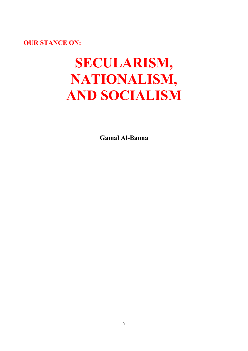**OUR STANCE ON:**

# **SECULARISM, NATIONALISM, AND SOCIALISM**

**Gamal Al-Banna**

١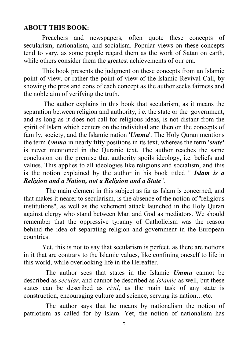# **ABOUT THIS BOOK:**

 Preachers and newspapers, often quote these concepts of secularism, nationalism, and socialism. Popular views on these concepts tend to vary, as some people regard them as the work of Satan on earth, while others consider them the greatest achievements of our era.

 This book presents the judgment on these concepts from an Islamic point of view, or rather the point of view of the Islamic Revival Call, by showing the pros and cons of each concept as the author seeks fairness and the noble aim of verifying the truth.

 The author explains in this book that secularism, as it means the separation between religion and authority, i.e. the state or the government, and as long as it does not call for religious ideas, is not distant from the spirit of Islam which centers on the individual and then on the concepts of family, society, and the Islamic nation '*Umma*'. The Holy Quran mentions the term *Umma* in nearly fifty positions in its text, whereas the term **'***state***'** is never mentioned in the Quranic text. The author reaches the same conclusion on the premise that authority spoils ideology, i.e. beliefs and values. This applies to all ideologies like religions and socialism, and this is the notion explained by the author in his book titled '' *Islam is a Religion and a Nation, not a Religion and a State*".

 The main element in this subject as far as Islam is concerned, and that makes it nearer to secularism, is the absence of the notion of ''religious institutions'', as well as the vehement attack launched in the Holy Quran against clergy who stand between Man and God as mediators. We should remember that the oppressive tyranny of Catholicism was the reason behind the idea of separating religion and government in the European countries.

 Yet, this is not to say that secularism is perfect, as there are notions in it that are contrary to the Islamic values, like confining oneself to life in this world, while overlooking life in the Hereafter.

 The author sees that states in the Islamic *Umma* cannot be described as *secular*, and cannot be described as *Islamic* as well, but these states can be described as *civil*, as the main task of any state is construction, encouraging culture and science, serving its nation…etc.

 The author says that he means by nationalism the notion of patriotism as called for by Islam. Yet, the notion of nationalism has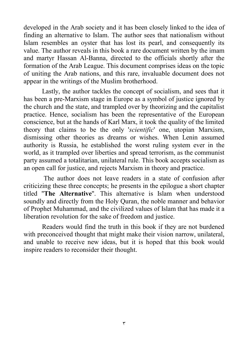developed in the Arab society and it has been closely linked to the idea of finding an alternative to Islam. The author sees that nationalism without Islam resembles an oyster that has lost its pearl, and consequently its value. The author reveals in this book a rare document written by the imam and martyr Hassan Al-Banna, directed to the officials shortly after the formation of the Arab League. This document comprises ideas on the topic of uniting the Arab nations, and this rare, invaluable document does not appear in the writings of the Muslim brotherhood.

 Lastly, the author tackles the concept of socialism, and sees that it has been a pre-Marxism stage in Europe as a symbol of justice ignored by the church and the state, and trampled over by theorizing and the capitalist practice. Hence, socialism has been the representative of the European conscience, but at the hands of Karl Marx, it took the quality of the limited theory that claims to be the only '*scientific*' one, utopian Marxism, dismissing other theories as dreams or wishes. When Lenin assumed authority is Russia, he established the worst ruling system ever in the world, as it trampled over liberties and spread terrorism, as the communist party assumed a totalitarian, unilateral rule. This book accepts socialism as an open call for justice, and rejects Marxism in theory and practice.

 The author does not leave readers in a state of confusion after criticizing these three concepts; he presents in the epilogue a short chapter titled ''**The Alternative**''. This alternative is Islam when understood soundly and directly from the Holy Quran, the noble manner and behavior of Prophet Muhammad, and the civilized values of Islam that has made it a liberation revolution for the sake of freedom and justice.

 Readers would find the truth in this book if they are not burdened with preconceived thought that might make their vision narrow, unilateral, and unable to receive new ideas, but it is hoped that this book would inspire readers to reconsider their thought.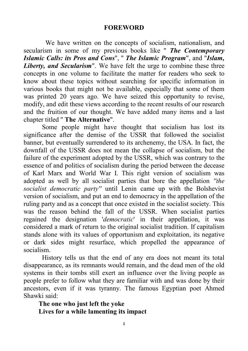#### **FOREWORD**

 We have written on the concepts of socialism, nationalism, and secularism in some of my previous books like '' *The Contemporary Islamic Calls: its Pros and Cons*", '' *The Islamic Program*", and "*Islam, Liberty, and Secularism*". We have felt the urge to combine these three concepts in one volume to facilitate the matter for readers who seek to know about these topics without searching for specific information in various books that might not be available, especially that some of them was printed 20 years ago. We have seized this opportunity to revise, modify, and edit these views according to the recent results of our research and the fruition of our thought. We have added many items and a last chapter titled '' **The Alternative**".

 Some people might have thought that socialism has lost its significance after the demise of the USSR that followed the socialist banner, but eventually surrendered to its archenemy, the USA. In fact, the downfall of the USSR does not mean the collapse of socialism, but the failure of the experiment adopted by the USSR, which was contrary to the essence of and politics of socialism during the period between the decease of Karl Marx and World War I. This right version of socialism was adopted as well by all socialist parties that bore the appellation *''the socialist democratic party''* until Lenin came up with the Bolshevist version of socialism, and put an end to democracy in the appellation of the ruling party and as a concept that once existed in the socialist society. This was the reason behind the fall of the USSR. When socialist parties regained the designation '*democratic*' in their appellation, it was considered a mark of return to the original socialist tradition. If capitalism stands alone with its values of opportunism and exploitation, its negative or dark sides might resurface, which propelled the appearance of socialism.

 History tells us that the end of any era does not meant its total disappearance, as its remnants would remain, and the dead men of the old systems in their tombs still exert an influence over the living people as people prefer to follow what they are familiar with and was done by their ancestors, even if it was tyranny. The famous Egyptian poet Ahmed Shawki said:

**The one who just left the yoke Lives for a while lamenting its impact**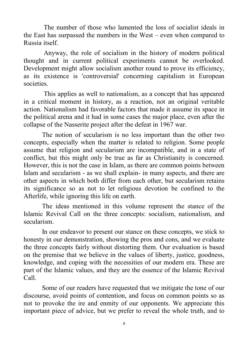The number of those who lamented the loss of socialist ideals in the East has surpassed the numbers in the West – even when compared to Russia itself.

 Anyway, the role of socialism in the history of modern political thought and in current political experiments cannot be overlooked. Development might allow socialism another round to prove its efficiency, as its existence is 'controversial' concerning capitalism in European societies.

 This applies as well to nationalism, as a concept that has appeared in a critical moment in history, as a reaction, not an original veritable action. Nationalism had favorable factors that made it assume its space in the political arena and it had in some cases the major place, even after the collapse of the Nasserite project after the defeat in 1967 war.

 The notion of secularism is no less important than the other two concepts, especially when the matter is related to religion. Some people assume that religion and secularism are incompatible, and in a state of conflict, but this might only be true as far as Christianity is concerned. However, this is not the case in Islam, as there are common points between Islam and secularism - as we shall explain- in many aspects, and there are other aspects in which both differ from each other, but secularism retains its significance so as not to let religious devotion be confined to the Afterlife, while ignoring this life on earth.

 The ideas mentioned in this volume represent the stance of the Islamic Revival Call on the three concepts: socialism, nationalism, and secularism.

 In our endeavor to present our stance on these concepts, we stick to honesty in our demonstration, showing the pros and cons, and we evaluate the three concepts fairly without distorting them. Our evaluation is based on the premise that we believe in the values of liberty, justice, goodness, knowledge, and coping with the necessities of our modern era. These are part of the Islamic values, and they are the essence of the Islamic Revival Call.

 Some of our readers have requested that we mitigate the tone of our discourse, avoid points of contention, and focus on common points so as not to provoke the ire and enmity of our opponents. We appreciate this important piece of advice, but we prefer to reveal the whole truth, and to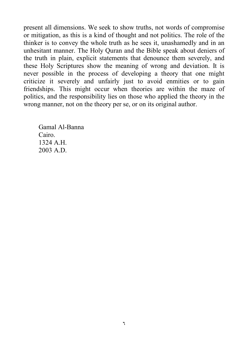present all dimensions. We seek to show truths, not words of compromise or mitigation, as this is a kind of thought and not politics. The role of the thinker is to convey the whole truth as he sees it, unashamedly and in an unhesitant manner. The Holy Quran and the Bible speak about deniers of the truth in plain, explicit statements that denounce them severely, and these Holy Scriptures show the meaning of wrong and deviation. It is never possible in the process of developing a theory that one might criticize it severely and unfairly just to avoid enmities or to gain friendships. This might occur when theories are within the maze of politics, and the responsibility lies on those who applied the theory in the wrong manner, not on the theory per se, or on its original author.

Gamal Al-Banna Cairo. 1324 A H. 2003 A.D.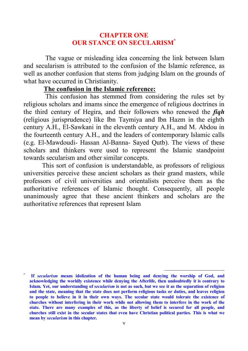## **CHAPTER ONE OUR STANCE ON SECULARISM\***

 The vague or misleading idea concerning the link between Islam and secularism is attributed to the confusion of the Islamic reference, as well as another confusion that stems from judging Islam on the grounds of what have occurred in Christianity.

#### **The confusion in the Islamic reference:**

 This confusion has stemmed from considering the rules set by religious scholars and imams since the emergence of religious doctrines in the third century of Hegira, and their followers who renewed the *fiqh* (religious jurisprudence) like Ibn Taymiya and Ibn Hazm in the eighth century A.H., El-Sawkani in the eleventh century A.H., and M. Abdou in the fourteenth century A.H., and the leaders of contemporary Islamic calls (e.g. El-Mawdoudi- Hassan Al-Banna- Sayed Qutb). The views of these scholars and thinkers were used to represent the Islamic standpoint towards secularism and other similar concepts.

 This sort of confusion is understandable, as professors of religious universities perceive these ancient scholars as their grand masters, while professors of civil universities and orientalists perceive them as the authoritative references of Islamic thought. Consequently, all people unanimously agree that these ancient thinkers and scholars are the authoritative references that represent Islam

**\***

 $\overline{a}$  **If** *secularism* **means idolization of the human being and denying the worship of God, and acknowledging the worldly existence while denying the Afterlife, then undoubtedly it is contrary to Islam. Yet, our understanding of** *secularism* **is not as such, but we see it as the separation of religion and the state, meaning that the state does not perform religious tasks or duties, and leaves religion to people to believe in it in their own ways. The secular state would tolerate the existence of churches without interfering in their work while not allowing them to interfere in the work of the state. There are many examples of this, as the liberty of belief is secured for all people, and churches still exist in the secular states that even have Christian political parties. This is what we mean by** *secularism* **in this chapter.**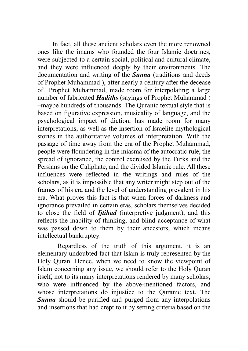In fact, all these ancient scholars even the more renowned ones like the imams who founded the four Islamic doctrines, were subjected to a certain social, political and cultural climate, and they were influenced deeply by their environments. The documentation and writing of the *Sunna* (traditions and deeds of Prophet Muhammad ), after nearly a century after the decease of Prophet Muhammad, made room for interpolating a large number of fabricated *Hadiths* (sayings of Prophet Muhammad ) –maybe hundreds of thousands. The Quranic textual style that is based on figurative expression, musicality of language, and the psychological impact of diction, has made room for many interpretations, as well as the insertion of Israelite mythological stories in the authoritative volumes of interpretation. With the passage of time away from the era of the Prophet Muhammad, people were floundering in the miasma of the autocratic rule, the spread of ignorance, the control exercised by the Turks and the Persians on the Caliphate, and the divided Islamic rule. All these influences were reflected in the writings and rules of the scholars, as it is impossible that any writer might step out of the frames of his era and the level of understanding prevalent in his era. What proves this fact is that when forces of darkness and ignorance prevailed in certain eras, scholars themselves decided to close the field of *Ijtihad* (interpretive judgment), and this reflects the inability of thinking, and blind acceptance of what was passed down to them by their ancestors, which means intellectual bankruptcy.

 Regardless of the truth of this argument, it is an elementary undoubted fact that Islam is truly represented by the Holy Quran. Hence, when we need to know the viewpoint of Islam concerning any issue, we should refer to the Holy Quran itself, not to its many interpretations rendered by many scholars, who were influenced by the above-mentioned factors, and whose interpretations do injustice to the Quranic text. The *Sunna* should be purified and purged from any interpolations and insertions that had crept to it by setting criteria based on the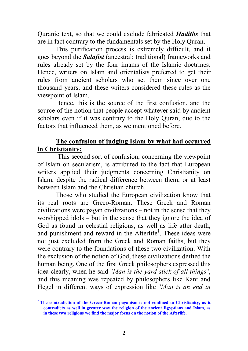Quranic text, so that we could exclude fabricated *Hadiths* that are in fact contrary to the fundamentals set by the Holy Quran.

 This purification process is extremely difficult, and it goes beyond the *Salafist* (ancestral; traditional) frameworks and rules already set by the four imams of the Islamic doctrines. Hence, writers on Islam and orientalists preferred to get their rules from ancient scholars who set them since over one thousand years, and these writers considered these rules as the viewpoint of Islam.

Hence, this is the source of the first confusion, and the source of the notion that people accept whatever said by ancient scholars even if it was contrary to the Holy Quran, due to the factors that influenced them, as we mentioned before.

## **The confusion of judging Islam by what had occurred in Christianity:**

 This second sort of confusion, concerning the viewpoint of Islam on secularism, is attributed to the fact that European writers applied their judgments concerning Christianity on Islam, despite the radical difference between them, or at least between Islam and the Christian church.

 Those who studied the European civilization know that its real roots are Greco-Roman. These Greek and Roman civilizations were pagan civilizations – not in the sense that they worshipped idols – but in the sense that they ignore the idea of God as found in celestial religions, as well as life after death, and punishment and reward in the Afterlife† . These ideas were not just excluded from the Greek and Roman faiths, but they were contrary to the foundations of these two civilization. With the exclusion of the notion of God, these civilizations deified the human being. One of the first Greek philosophers expressed this idea clearly, when he said ''*Man is the yard-stick of all things*'', and this meaning was repeated by philosophers like Kant and Hegel in different ways of expression like ''*Man is an end in* 

 $\overline{a}$ **† The contradiction of the Greco-Roman paganism is not confined to Christianity, as it contradicts as well in greater way the religion of the ancient Egyptians and Islam, as in these two religions we find the major focus on the notion of the Afterlife.**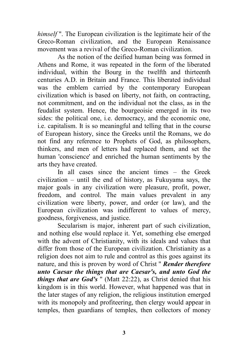*himself* ". The European civilization is the legitimate heir of the Greco-Roman civilization, and the European Renaissance movement was a revival of the Greco-Roman civilization.

 As the notion of the deified human being was formed in Athens and Rome, it was repeated in the form of the liberated individual, within the Bourg in the twelfth and thirteenth centuries A.D. in Britain and France. This liberated individual was the emblem carried by the contemporary European civilization which is based on liberty, not faith, on contracting, not commitment, and on the individual not the class, as in the feudalist system. Hence, the bourgeoisie emerged in its two sides: the political one, i.e. democracy, and the economic one, i.e. capitalism. It is so meaningful and telling that in the course of European history, since the Greeks until the Romans, we do not find any reference to Prophets of God, as philosophers, thinkers, and men of letters had replaced them, and set the human 'conscience' and enriched the human sentiments by the arts they have created.

 In all cases since the ancient times – the Greek civilization – until the end of history, as Fukuyama says, the major goals in any civilization were pleasure, profit, power, freedom, and control. The main values prevalent in any civilization were liberty, power, and order (or law), and the European civilization was indifferent to values of mercy, goodness, forgiveness, and justice.

 Secularism is major, inherent part of such civilization, and nothing else would replace it. Yet, something else emerged with the advent of Christianity, with its ideals and values that differ from those of the European civilization. Christianity as a religion does not aim to rule and control as this goes against its nature, and this is proven by word of Christ '' *Render therefore unto Caesar the things that are Caesar's, and unto God the things that are God's* '' (Matt 22:22), as Christ denied that his kingdom is in this world. However, what happened was that in the later stages of any religion, the religious institution emerged with its monopoly and profiteering, then clergy would appear in temples, then guardians of temples, then collectors of money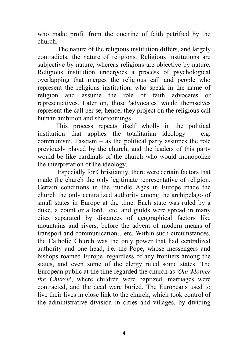who make profit from the doctrine of faith petrified by the church.

 The nature of the religious institution differs, and largely contradicts, the nature of religions. Religious institutions are subjective by nature, whereas religions are objective by nature. Religious institution undergoes a process of psychological overlapping that merges the religious call and people who represent the religious institution, who speak in the name of religion and assume the role of faith advocates or representatives. Later on, those 'advocates' would themselves represent the call per se; hence, they project on the religious call human ambition and shortcomings.

 This process repeats itself wholly in the political institution that applies the totalitarian ideology  $-$  e.g. communism, Fascism – as the political party assumes the role previously played by the church, and the leaders of this party would be like cardinals of the church who would monopolize the interpretation of the ideology.

 Especially for Christianity, there were certain factors that made the church the only legitimate representative of religion. Certain conditions in the middle Ages in Europe made the church the only centralized authority among the archipelago of small states in Europe at the time. Each state was ruled by a duke, a count or a lord…etc. and guilds were spread in many cites separated by distances of geographical factors like mountains and rivers, before the advent of modern means of transport and communication…etc. Within such circumstances, the Catholic Church was the only power that had centralized authority and one head, i.e. the Pope, whose messengers and bishops roamed Europe, regardless of any frontiers among the states, and even some of the clergy ruled some states. The European public at the time regarded the church as *'Our Mother the Church*', where children were baptized, marriages were contracted, and the dead were buried. The Europeans used to live their lives in close link to the church, which took control of the administrative division in cities and villages, by dividing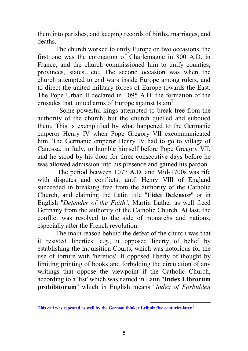them into parishes, and keeping records of births, marriages, and deaths.

 The church worked to unify Europe on two occasions, the first one was the coronation of Charlemagne in 800 A.D. in France, and the church commissioned him to unify counties, provinces, states…etc. The second occasion was when the church attempted to end wars inside Europe among rulers, and to direct the united military forces of Europe towards the East. The Pope Urban II declared in 1095 A.D. the formation of the crusades that united arms of Europe against Islam‡ .

 Some powerful kings attempted to break free from the authority of the church, but the church quelled and subdued them. This is exemplified by what happened to the Germanic emperor Henry IV when Pope Gregory VII excommunicated him. The Germanic emperor Henry IV had to go to village of Canossa, in Italy, to humble himself before Pope Gregory VII, and he stood by his door for three consecutive days before he was allowed admission into his presence and gained his pardon.

 The period between 1077 A.D. and Mid-1700s was rife with disputes and conflicts, until Henry VIII of England succeeded in breaking free from the authority of the Catholic Church, and claiming the Latin title ''**Fidei Defensor**'' or in English ''*Defender of the Faith*''. Martin Luther as well freed Germany from the authority of the Catholic Church. At last, the conflict was resolved to the side of monarchs and nations, especially after the French revolution.

 The main reason behind the defeat of the church was that it resisted liberties: e.g., it opposed liberty of belief by establishing the Inquisition Courts, which was notorious for the use of torture with 'heretics'. It opposed liberty of thought by limiting printing of books and forbidding the circulation of any writings that oppose the viewpoint if the Catholic Church, according to a 'list' which was named in Latin ''**Index Librorum prohibitorum**'' which in English means ''*Index of Forbidden* 

 $\overline{a}$ **This call was repeated as well by the German thinker Leibniz five centuries later.‡**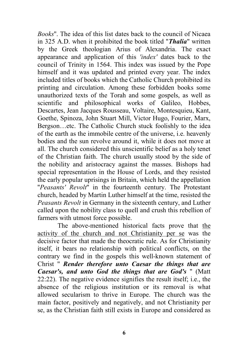*Books*''. The idea of this list dates back to the council of Nicaea in 325 A.D. when it prohibited the book titled "*Thalia*" written by the Greek theologian Arius of Alexandria. The exact appearance and application of this *'index'* dates back to the council of Trinity in 1564. This index was issued by the Pope himself and it was updated and printed every year. The index included titles of books which the Catholic Church prohibited its printing and circulation. Among these forbidden books some unauthorized texts of the Torah and some gospels, as well as scientific and philosophical works of Galileo, Hobbes, Descartes, Jean Jacques Rousseau, Voltaire, Montesquieu, Kant, Goethe, Spinoza, John Stuart Mill, Victor Hugo, Fourier, Marx, Bergson…etc. The Catholic Church stuck foolishly to the idea of the earth as the immobile centre of the universe, i.e. heavenly bodies and the sun revolve around it, while it does not move at all. The church considered this unscientific belief as a holy tenet of the Christian faith. The church usually stood by the side of the nobility and aristocracy against the masses. Bishops had special representation in the House of Lords, and they resisted the early popular uprisings in Britain, which held the appellation ''*Peasants' Revolt*'' in the fourteenth century. The Protestant church, headed by Martin Luther himself at the time, resisted the *Peasants Revolt* in Germany in the sixteenth century, and Luther called upon the nobility class to quell and crush this rebellion of farmers with utmost force possible.

 The above-mentioned historical facts prove that the activity of the church and not Christianity per se was the decisive factor that made the theocratic rule. As for Christianity itself, it bears no relationship with political conflicts, on the contrary we find in the gospels this well-known statement of Christ '' *Render therefore unto Caesar the things that are Caesar's, and unto God the things that are God's* '' (Matt 22:22). The negative evidence signifies the result itself; i.e., the absence of the religious institution or its removal is what allowed secularism to thrive in Europe. The church was the main factor, positively and negatively, and not Christianity per se, as the Christian faith still exists in Europe and considered as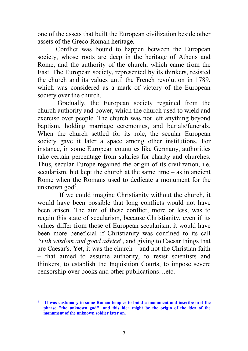one of the assets that built the European civilization beside other assets of the Greco-Roman heritage.

 Conflict was bound to happen between the European society, whose roots are deep in the heritage of Athens and Rome, and the authority of the church, which came from the East. The European society, represented by its thinkers, resisted the church and its values until the French revolution in 1789, which was considered as a mark of victory of the European society over the church.

 Gradually, the European society regained from the church authority and power, which the church used to wield and exercise over people. The church was not left anything beyond baptism, holding marriage ceremonies, and burials/funerals. When the church settled for its role, the secular European society gave it later a space among other institutions. For instance, in some European countries like Germany, authorities take certain percentage from salaries for charity and churches. Thus, secular Europe regained the origin of its civilization, i.e. secularism, but kept the church at the same time – as in ancient Rome when the Romans used to dedicate a monument for the unknown god§ .

 If we could imagine Christianity without the church, it would have been possible that long conflicts would not have been arisen. The aim of these conflict, more or less, was to regain this state of secularism, because Christianity, even if its values differ from those of European secularism, it would have been more beneficial if Christianity was confined to its call ''*with wisdom and good advice*'', and giving to Caesar things that are Caesar's. Yet, it was the church – and not the Christian faith – that aimed to assume authority, to resist scientists and thinkers, to establish the Inquisition Courts, to impose severe censorship over books and other publications…etc.

 $\overline{a}$ **§ It was customary in some Roman temples to build a monument and inscribe in it the phrase ''the unknown god'', and this idea might be the origin of the idea of the monument of the unknown soldier later on.**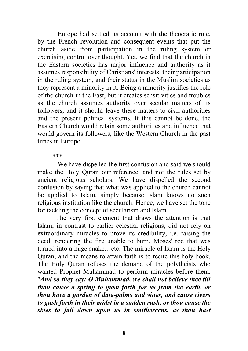Europe had settled its account with the theocratic rule, by the French revolution and consequent events that put the church aside from participation in the ruling system or exercising control over thought. Yet, we find that the church in the Eastern societies has major influence and authority as it assumes responsibility of Christians' interests, their participation in the ruling system, and their status in the Muslim societies as they represent a minority in it. Being a minority justifies the role of the church in the East, but it creates sensitivities and troubles as the church assumes authority over secular matters of its followers, and it should leave these matters to civil authorities and the present political systems. If this cannot be done, the Eastern Church would retain some authorities and influence that would govern its followers, like the Western Church in the past times in Europe.

#### \*\*\*

 We have dispelled the first confusion and said we should make the Holy Quran our reference, and not the rules set by ancient religious scholars. We have dispelled the second confusion by saying that what was applied to the church cannot be applied to Islam, simply because Islam knows no such religious institution like the church. Hence, we have set the tone for tackling the concept of secularism and Islam.

 The very first element that draws the attention is that Islam, in contrast to earlier celestial religions, did not rely on extraordinary miracles to prove its credibility, i.e. raising the dead, rendering the fire unable to burn, Moses' rod that was turned into a huge snake…etc. The miracle of Islam is the Holy Quran, and the means to attain faith is to recite this holy book. The Holy Quran refuses the demand of the polytheists who wanted Prophet Muhammad to perform miracles before them. "*And so they say: O Muhammad, we shall not believe thee till thou cause a spring to gush forth for us from the earth, or thou have a garden of date-palms and vines, and cause rivers to gush forth in their midst in a sudden rush, or thou cause the skies to fall down upon us in smithereens, as thou hast*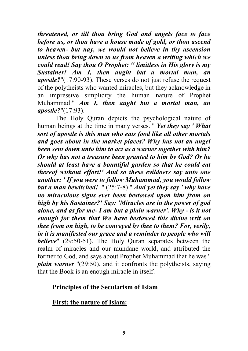*threatened, or till thou bring God and angels face to face before us, or thou have a house made of gold, or thou ascend to heaven- but nay, we would not believe in thy ascension unless thou bring down to us from heaven a writing which we could read! Say thou O Prophet: '' limitless in His glory is my Sustainer! Am I, then aught but a mortal man, an apostle?*"(17:90-93). These verses do not just refuse the request of the polytheists who wanted miracles, but they acknowledge in an impressive simplicity the human nature of Prophet Muhammad:" *Am I, then aught but a mortal man, an apostle?*"(17:93).

 The Holy Quran depicts the psychological nature of human beings at the time in many verses. '' *Yet they say ' What sort of apostle is this man who eats food like all other mortals and goes about in the market places? Why has not an angel been sent down unto him to act as a warner together with him? Or why has not a treasure been granted to him by God? Or he should at least have a bountiful garden so that he could eat thereof without effort!' And so these evildoers say unto one another: ' If you were to follow Muhammad, you would follow but a man bewitched!* '' (25:7-8) '' *And yet they say ' why have no miraculous signs ever been bestowed upon him from on high by his Sustainer?' Say: 'Miracles are in the power of god alone, and as for me- I am but a plain warner'. Why - is it not enough for them that We have bestowed this divine writ on thee from on high, to be conveyed by thee to them? For, verily, in it is manifested our grace and a reminder to people who will believe*'' (29:50-51). The Holy Quran separates between the realm of miracles and our mundane world, and attributed the former to God, and says about Prophet Muhammad that he was '' *plain warner* "(29:50), and it confronts the polytheists, saying that the Book is an enough miracle in itself.

#### **Principles of the Secularism of Islam**

## **First: the nature of Islam:**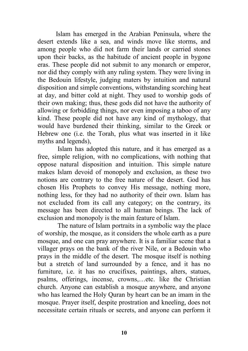Islam has emerged in the Arabian Peninsula, where the desert extends like a sea, and winds move like storms, and among people who did not farm their lands or carried stones upon their backs, as the habitude of ancient people in bygone eras. These people did not submit to any monarch or emperor, nor did they comply with any ruling system. They were living in the Bedouin lifestyle, judging maters by intuition and natural disposition and simple conventions, withstanding scorching heat at day, and bitter cold at night. They used to worship gods of their own making; thus, these gods did not have the authority of allowing or forbidding things, nor even imposing a taboo of any kind. These people did not have any kind of mythology, that would have burdened their thinking, similar to the Greek or Hebrew one (i.e. the Torah, plus what was inserted in it like myths and legends),

 Islam has adopted this nature, and it has emerged as a free, simple religion, with no complications, with nothing that oppose natural disposition and intuition. This simple nature makes Islam devoid of monopoly and exclusion, as these two notions are contrary to the free nature of the desert. God has chosen His Prophets to convey His message, nothing more, nothing less, for they had no authority of their own. Islam has not excluded from its call any category; on the contrary, its message has been directed to all human beings. The lack of exclusion and monopoly is the main feature of Islam.

 The nature of Islam portraits in a symbolic way the place of worship, the mosque, as it considers the whole earth as a pure mosque, and one can pray anywhere. It is a familiar scene that a villager prays on the bank of the river Nile, or a Bedouin who prays in the middle of the desert. The mosque itself is nothing but a stretch of land surrounded by a fence, and it has no furniture, i.e. it has no crucifixes, paintings, alters, statues, psalms, offerings, incense, crowns,…etc. like the Christian church. Anyone can establish a mosque anywhere, and anyone who has learned the Holy Quran by heart can be an imam in the mosque. Prayer itself, despite prostration and kneeling, does not necessitate certain rituals or secrets, and anyone can perform it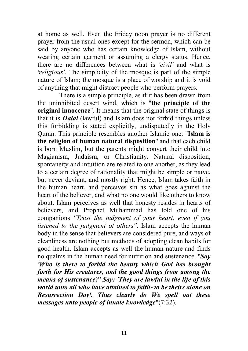at home as well. Even the Friday noon prayer is no different prayer from the usual ones except for the sermon, which can be said by anyone who has certain knowledge of Islam, without wearing certain garment or assuming a clergy status. Hence, there are no differences between what is *'civil'* and what is *'religious'*. The simplicity of the mosque is part of the simple nature of Islam; the mosque is a place of worship and it is void of anything that might distract people who perform prayers.

 There is a simple principle, as if it has been drawn from the uninhibited desert wind, which is ''**the principle of the original innocence**''. It means that the original state of things is that it is *Halal* (lawful) and Islam does not forbid things unless this forbidding is stated explicitly, undisputedly in the Holy Quran. This principle resembles another Islamic one: ''**Islam is the religion of human natural disposition**'' and that each child is born Muslim, but the parents might convert their child into Magianism, Judaism, or Christianity. Natural disposition, spontaneity and intuition are related to one another, as they lead to a certain degree of rationality that might be simple or naïve, but never deviant, and mostly right. Hence, Islam takes faith in the human heart, and perceives sin as what goes against the heart of the believer, and what no one would like others to know about. Islam perceives as well that honesty resides in hearts of believers, and Prophet Muhammad has told one of his companions *''Trust the judgment of your heart, even if you listened to the judgment of others''*. Islam accepts the human body in the sense that believers are considered pure, and ways of cleanliness are nothing but methods of adopting clean habits for good health. Islam accepts as well the human nature and finds no qualms in the human need for nutrition and sustenance. "*Say 'Who is there to forbid the beauty which God has brought forth for His creatures, and the good things from among the means of sustenance?' Say: 'They are lawful in the life of this world unto all who have attained to faith- to be theirs alone on Resurrection Day'. Thus clearly do We spell out these messages unto people of innate knowledge*"(7:32).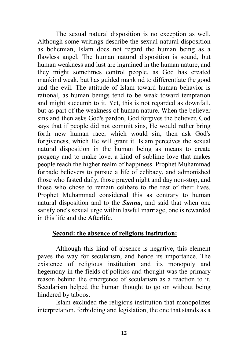The sexual natural disposition is no exception as well. Although some writings describe the sexual natural disposition as bohemian, Islam does not regard the human being as a flawless angel. The human natural disposition is sound, but human weakness and lust are ingrained in the human nature, and they might sometimes control people, as God has created mankind weak, but has guided mankind to differentiate the good and the evil. The attitude of Islam toward human behavior is rational, as human beings tend to be weak toward temptation and might succumb to it. Yet, this is not regarded as downfall, but as part of the weakness of human nature. When the believer sins and then asks God's pardon, God forgives the believer. God says that if people did not commit sins, He would rather bring forth new human race, which would sin, then ask God's forgiveness, which He will grant it. Islam perceives the sexual natural disposition in the human being as means to create progeny and to make love, a kind of sublime love that makes people reach the higher realm of happiness. Prophet Muhammad forbade believers to pursue a life of celibacy, and admonished those who fasted daily, those prayed night and day non-stop, and those who chose to remain celibate to the rest of their lives. Prophet Muhammad considered this as contrary to human natural disposition and to the *Sunna*, and said that when one satisfy one's sexual urge within lawful marriage, one is rewarded in this life and the Afterlife.

## **Second: the absence of religious institution:**

 Although this kind of absence is negative, this element paves the way for secularism, and hence its importance. The existence of religious institution and its monopoly and hegemony in the fields of politics and thought was the primary reason behind the emergence of secularism as a reaction to it. Secularism helped the human thought to go on without being hindered by taboos.

 Islam excluded the religious institution that monopolizes interpretation, forbidding and legislation, the one that stands as a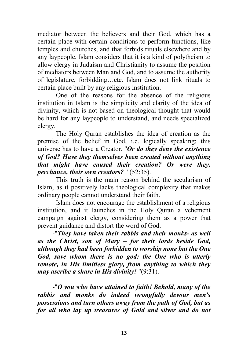mediator between the believers and their God, which has a certain place with certain conditions to perform functions, like temples and churches, and that forbids rituals elsewhere and by any laypeople. Islam considers that it is a kind of polytheism to allow clergy in Judaism and Christianity to assume the position of mediators between Man and God, and to assume the authority of legislature, forbidding…etc. Islam does not link rituals to certain place built by any religious institution.

One of the reasons for the absence of the religious institution in Islam is the simplicity and clarity of the idea of divinity, which is not based on theological thought that would be hard for any laypeople to understand, and needs specialized clergy.

 The Holy Quran establishes the idea of creation as the premise of the belief in God, i.e. logically speaking; this universe has to have a Creator. ''*Or do they deny the existence of God? Have they themselves been created without anything that might have caused their creation? Or were they, perchance, their own creators?* '' (52:35).

 This truth is the main reason behind the secularism of Islam, as it positively lacks theological complexity that makes ordinary people cannot understand their faith.

 Islam does not encourage the establishment of a religious institution, and it launches in the Holy Quran a vehement campaign against clergy, considering them as a power that prevent guidance and distort the word of God.

-"*They have taken their rabbis and their monks- as well as the Christ, son of Mary – for their lords beside God, although they had been forbidden to worship none but the One God, save whom there is no god: the One who is utterly remote, in His limitless glory, from anything to which they may ascribe a share in His divinity!* "(9:31).

-"*O you who have attained to faith! Behold, many of the rabbis and monks do indeed wrongfully devour men's possessions and turn others away from the path of God, but as for all who lay up treasures of Gold and silver and do not*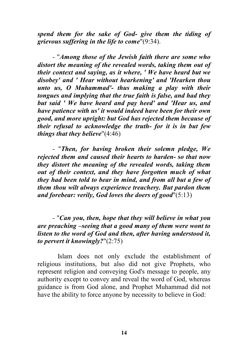*spend them for the sake of God- give them the tiding of grievous suffering in the life to come*"(9:34).

- "*Among those of the Jewish faith there are some who distort the meaning of the revealed words, taking them out of their context and saying, as it where, ' We have heard but we disobey' and ' Hear without hearkening' and 'Hearken thou unto us, O Muhammad'- thus making a play with their tongues and implying that the true faith is false, and had they but said ' We have heard and pay heed' and 'Hear us, and have patience with us' it would indeed have been for their own good, and more upright: but God has rejected them because of their refusal to acknowledge the truth- for it is in but few things that they believe*"(4:46)

- "*Then, for having broken their solemn pledge, We rejected them and caused their hearts to harden- so that now they distort the meaning of the revealed words, taking them out of their context, and they have forgotten much of what they had been told to bear in mind, and from all but a few of them thou wilt always experience treachery. But pardon them and forebear: verily, God loves the doers of good*"(5:13)

- "*Can you, then, hope that they will believe in what you are preaching –seeing that a good many of them were wont to listen to the word of God and then, after having understood it, to pervert it knowingly?*"(2:75)

 Islam does not only exclude the establishment of religious institutions, but also did not give Prophets, who represent religion and conveying God's message to people, any authority except to convey and reveal the word of God, whereas guidance is from God alone, and Prophet Muhammad did not have the ability to force anyone by necessity to believe in God: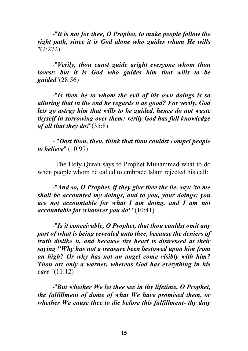-"*It is not for thee, O Prophet, to make people follow the right path, since it is God alone who guides whom He wills* "(2:272)

-"*Verily, thou canst guide aright everyone whom thou lovest: but it is God who guides him that wills to be guided*"(28:56)

-"*Is then he to whom the evil of his own doings is so alluring that in the end he regards it as good? For verily, God lets go astray him that wills to be guided, hence do not waste thyself in sorrowing over them: verily God has full knowledge of all that they do!*"(35:8)

- "*Dost thou, then, think that thou couldst compel people to believe*" (10:99)

 The Holy Quran says to Prophet Muhammad what to do when people whom he called to embrace Islam rejected his call:

-"*And so, O Prophet, if they give thee the lie, say: 'to me shall be accounted my doings, and to you, your doings: you are not accountable for what I am doing, and I am not accountable for whatever you do'* "(10:41)

-"*Is it conceivable, O Prophet, that thou couldst omit any part of what is being revealed unto thee, because the deniers of truth dislike it, and because thy heart is distressed at their saying ''Why has not a treasure been bestowed upon him from on high? Or why has not an angel come visibly with him? Thou art only a warner, whereas God has everything in his care* "(11:12)

-''*But whether We let thee see in thy lifetime, O Prophet, the fulfillment of dome of what We have promised them, or whether We cause thee to die before this fulfillment- thy duty*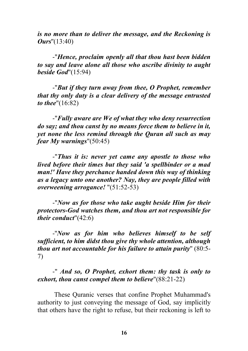*is no more than to deliver the message, and the Reckoning is Ours*"(13:40)

-"*Hence, proclaim openly all that thou hast been bidden to say and leave alone all those who ascribe divinity to aught beside God*"(15:94)

-"*But if they turn away from thee, O Prophet, remember that thy only duty is a clear delivery of the message entrusted to thee*"(16:82)

-"*Fully aware are We of what they who deny resurrection do say; and thou canst by no means force them to believe in it, yet none the less remind through the Quran all such as may fear My warnings*"(50:45)

-"*Thus it is: never yet came any apostle to those who lived before their times but they said 'a spellbinder or a mad man!' Have they perchance handed down this way of thinking as a legacy unto one another? Nay, they are people filled with overweening arrogance!* "(51:52-53)

-"*Now as for those who take aught beside Him for their protectors-God watches them, and thou art not responsible for their conduct*"(42:6)

-''*Now as for him who believes himself to be self sufficient, to him didst thou give thy whole attention, although thou art not accountable for his failure to attain purity*'' (80:5- 7)

-" *And so, O Prophet, exhort them: thy task is only to exhort, thou canst compel them to believe*"(88:21-22)

 These Quranic verses that confine Prophet Muhammad's authority to just conveying the message of God, say implicitly that others have the right to refuse, but their reckoning is left to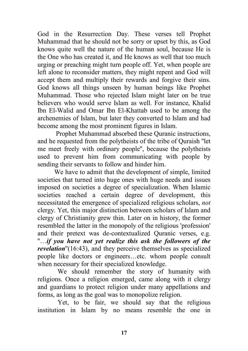God in the Resurrection Day. These verses tell Prophet Muhammad that he should not be sorry or upset by this, as God knows quite well the nature of the human soul, because He is the One who has created it, and He knows as well that too much urging or preaching might turn people off. Yet, when people are left alone to reconsider matters, they might repent and God will accept them and multiply their rewards and forgive their sins. God knows all things unseen by human beings like Prophet Muhammad. Those who rejected Islam might later on be true believers who would serve Islam as well. For instance, Khalid Ibn El-Walid and Omar Ibn El-Khattab used to be among the archenemies of Islam, but later they converted to Islam and had become among the most prominent figures in Islam.

 Prophet Muhammad absorbed these Quranic instructions, and he requested from the polytheists of the tribe of Quraish ''let me meet freely with ordinary people'', because the polytheists used to prevent him from communicating with people by sending their servants to follow and hinder him.

 We have to admit that the development of simple, limited societies that turned into huge ones with huge needs and issues imposed on societies a degree of specialization. When Islamic societies reached a certain degree of development, this necessitated the emergence of specialized religious scholars, *not* clergy. Yet, this major distinction between scholars of Islam and clergy of Christianity grew thin. Later on in history, the former resembled the latter in the monopoly of the religious 'profession' and their pretext was de-contextualized Quranic verses, e.g. ''…*if you have not yet realize this ask the followers of the revelation*"(16:43), and they perceive themselves as specialized people like doctors or engineers…etc. whom people consult when necessary for their specialized knowledge.

 We should remember the story of humanity with religions. Once a religion emerged, came along with it clergy and guardians to protect religion under many appellations and forms, as long as the goal was to monopolize religion.

 Yet, to be fair, we should say that the religious institution in Islam by no means resemble the one in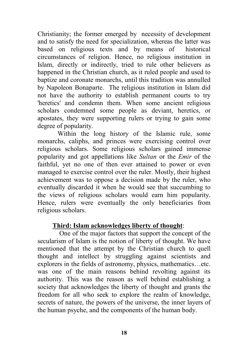Christianity; the former emerged by necessity of development and to satisfy the need for specialization, whereas the latter was based on religious texts and by means of historical circumstances of religion. Hence, no religious institution in Islam, directly or indirectly, tried to rule other believers as happened in the Christian church, as it ruled people and used to baptize and coronate monarchs, until this tradition was annulled by Napoleon Bonaparte. The religious institution in Islam did not have the authority to establish permanent courts to try 'heretics' and condemn them. When some ancient religious scholars condemned some people as deviant, heretics, or apostates, they were supporting rulers or trying to gain some degree of popularity.

 Within the long history of the Islamic rule, some monarchs, caliphs, and princes were exercising control over religious scholars. Some religious scholars gained immense popularity and got appellations like *Sultan* or the *Emir* of the faithful, yet no one of then ever attained to power or even managed to exercise control over the ruler. Mostly, their highest achievement was to oppose a decision made by the ruler, who eventually discarded it when he would see that succumbing to the views of religious scholars would earn him popularity. Hence, rulers were eventually the only beneficiaries from religious scholars.

## **Third: Islam acknowledges liberty of thought**:

 One of the major factors that support the concept of the secularism of Islam is the notion of liberty of thought. We have mentioned that the attempt by the Christian church to quell thought and intellect by struggling against scientists and explorers in the fields of astronomy, physics, mathematics…etc. was one of the main reasons behind revolting against its authority. This was the reason as well behind establishing a society that acknowledges the liberty of thought and grants the freedom for all who seek to explore the realm of knowledge, secrets of nature, the powers of the universe, the inner layers of the human psyche, and the components of the human body.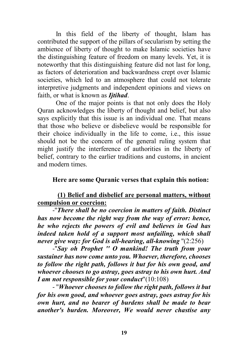In this field of the liberty of thought, Islam has contributed the support of the pillars of secularism by setting the ambience of liberty of thought to make Islamic societies have the distinguishing feature of freedom on many levels. Yet, it is noteworthy that this distinguishing feature did not last for long, as factors of deterioration and backwardness crept over Islamic societies, which led to an atmosphere that could not tolerate interpretive judgments and independent opinions and views on faith, or what is known as *Ijtihad*.

 One of the major points is that not only does the Holy Quran acknowledges the liberty of thought and belief, but also says explicitly that this issue is an individual one. That means that those who believe or disbelieve would be responsible for their choice individually in the life to come, i.e., this issue should not be the concern of the general ruling system that might justify the interference of authorities in the liberty of belief, contrary to the earlier traditions and customs, in ancient and modern times.

## **Here are some Quranic verses that explain this notion:**

## **(1) Belief and disbelief are personal matters, without compulsion or coercion:**

-''*There shall be no coercion in matters of faith. Distinct has now become the right way from the way of error: hence, he who rejects the powers of evil and believes in God has indeed taken hold of a support most unfailing, which shall never give way: for God is all-hearing, all-knowing* ''(2:256)

-"*Say oh Prophet '' O mankind! The truth from your sustainer has now come unto you. Whoever, therefore, chooses to follow the right path, follows it but for his own good, and whoever chooses to go astray, goes astray to his own hurt. And I am not responsible for your conduct*"(10:108)

- ''*Whoever chooses to follow the right path, follows it but for his own good, and whoever goes astray, goes astray for his own hurt, and no bearer of burdens shall be made to bear another's burden. Moreover, We would never chastise any*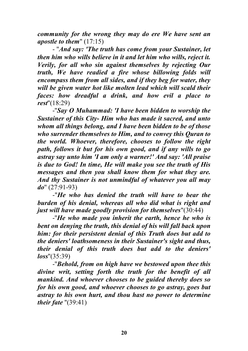*community for the wrong they may do ere We have sent an apostle to them*'' (17:15)

- ''*And say: 'The truth has come from your Sustainer, let then him who wills believe in it and let him who wills, reject it. Verily, for all who sin against themselves by rejecting Our truth, We have readied a fire whose billowing folds will encompass them from all sides, and if they beg for water, they will be given water hot like molten lead which will scald their faces: how dreadful a drink, and how evil a place to rest*''(18:29)

-''*Say O Muhammad: 'I have been bidden to worship the Sustainer of this City- Him who has made it sacred, and unto whom all things belong, and I have been bidden to be of those who surrender themselves to Him, and to convey this Quran to the world. Whoever, therefore, chooses to follow the right path, follows it but for his own good, and if any wills to go astray say unto him 'I am only a warner!' And say: 'All praise is due to God! In time, He will make you see the truth of His messages and then you shall know them for what they are. And thy Sustainer is not unmindful of whatever you all may do*'' (27:91-93)

-"*He who has denied the truth will have to bear the burden of his denial, whereas all who did what is right and just will have made goodly provision for themselves*"(30:44)

-''*He who made you inherit the earth, hence he who is bent on denying the truth, this denial of his will fall back upon him: for their persistent denial of this Truth does but add to the deniers' loathsomeness in their Sustainer's sight and thus, their denial of this truth does but add to the deniers' loss*''(35:39)

-''*Behold, from on high have we bestowed upon thee this divine writ, setting forth the truth for the benefit of all mankind. And whoever chooses to be guided thereby does so for his own good, and whoever chooses to go astray, goes but astray to his own hurt, and thou hast no power to determine their fate* "(39:41)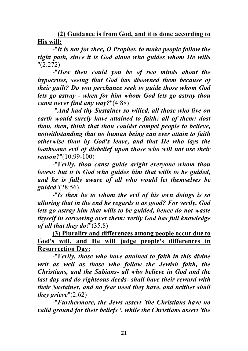**(2) Guidance is from God, and it is done according to His will:**

-"*It is not for thee, O Prophet, to make people follow the right path, since it is God alone who guides whom He wills* "(2:272)

-"*How then could you be of two minds about the hypocrites, seeing that God has disowned them because of their guilt? Do you perchance seek to guide those whom God lets go astray - when for him whom God lets go astray thou canst never find any way?*"(4:88)

-"*And had thy Sustainer so willed, all those who live on earth would surely have attained to faith: all of them: dost thou, then, think that thou couldst compel people to believe, notwithstanding that no human being can ever attain to faith otherwise than by God's leave, and that He who lays the loathsome evil of disbelief upon those who will not use their reason?*"(10:99-100)

-"*Verily, thou canst guide aright everyone whom thou lovest: but it is God who guides him that wills to be guided, and he is fully aware of all who would let themselves be guided*"(28:56)

-"*Is then he to whom the evil of his own doings is so alluring that in the end he regards it as good? For verily, God lets go astray him that wills to be guided, hence do not waste thyself in sorrowing over them: verily God has full knowledge of all that they do!*"(35:8)

**(3) Plurality and differences among people occur due to God's will, and He will judge people's differences in Resurrection Day:**

-"*Verily, those who have attained to faith in this divine writ as well as those who follow the Jewish faith, the Christians, and the Sabians- all who believe in God and the last day and do righteous deeds- shall have their reward with their Sustainer, and no fear need they have, and neither shall they grieve*"(2:62)

-"*Furthermore, the Jews assert 'the Christians have no valid ground for their beliefs ', while the Christians assert 'the*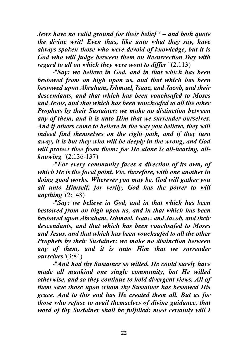*Jews have no valid ground for their belief ' – and both quote the divine writ! Even thus, like unto what they say, have always spoken those who were devoid of knowledge, but it is God who will judge between them on Resurrection Day with regard to all on which they were wont to differ* "(2:113)

-"*Say: we believe in God, and in that which has been bestowed from on high upon us, and that which has been bestowed upon Abraham, Ishmael, Isaac, and Jacob, and their descendants, and that which has been vouchsafed to Moses and Jesus, and that which has been vouchsafed to all the other Prophets by their Sustainer: we make no distinction between any of them, and it is unto Him that we surrender ourselves. And if others come to believe in the way you believe, they will indeed find themselves on the right path, and if they turn away, it is but they who will be deeply in the wrong, and God will protect thee from them: for He alone is all-hearing, allknowing* "(2:136-137)

-"*For every community faces a direction of its own, of which He is the focal point. Vie, therefore, with one another in doing good works. Wherever you may be, God will gather you all unto Himself, for verily, God has the power to will anything*"(2:148)

-"*Say: we believe in God, and in that which has been bestowed from on high upon us, and in that which has been bestowed upon Abraham, Ishmael, Isaac, and Jacob, and their descendants, and that which has been vouchsafed to Moses and Jesus, and that which has been vouchsafed to all the other Prophets by their Sustainer: we make no distinction between any of them, and it is unto Him that we surrender ourselves*"(3:84)

-"*And had thy Sustainer so willed, He could surely have made all mankind one single community, but He willed otherwise, and so they continue to hold divergent views. All of them save those upon whom thy Sustainer has bestowed His grace. And to this end has He created them all. But as for those who refuse to avail themselves of divine guidance, that word of thy Sustainer shall be fulfilled: most certainly will I*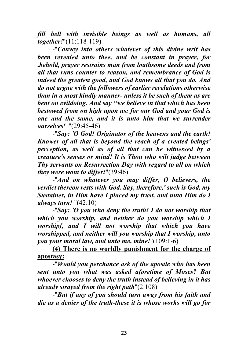*fill hell with invisible beings as well as humans, all together!*"(11:118-119)

-"*Convey into others whatever of this divine writ has been revealed unto thee, and be constant in prayer, for ,behold, prayer restrains man from loathsome deeds and from all that runs counter to reason, and remembrance of God is indeed the greatest good, and God knows all that you do. And do not argue with the followers of earlier revelations otherwise than in a most kindly manner- unless it be such of them as are bent on evildoing. And say ''we believe in that which has been bestowed from on high upon us: for our God and your God is one and the same, and it is unto him that we surrender ourselves'* "(29:45-46)

-"*Say: 'O God! Originator of the heavens and the earth! Knower of all that is beyond the reach of a created beings' perception, as well as of all that can be witnessed by a creature's senses or mind! It is Thou who wilt judge between Thy servants on Resurrection Day with regard to all on which they were wont to differ!*"(39:46)

-"*And on whatever you may differ, O believers, the verdict thereon rests with God. Say, therefore,' such is God, my Sustainer, in Him have I placed my trust, and unto Him do I always turn!* "(42:10)

-"*Say: 'O you who deny the truth! I do not worship that which you worship, and neither do you worship which I worship[, and I will not worship that which you have worshipped, and neither will you worship that I worship, unto you your moral law, and unto me, mine!*"(109:1-6)

**(4) There is no worldly punishment for the charge of apostasy:**

-"*Would you perchance ask of the apostle who has been sent unto you what was asked aforetime of Moses? But whoever chooses to deny the truth instead of believing in it has already strayed from the right path*"(2:108)

-"*But if any of you should turn away from his faith and die as a denier of the truth-these it is whose works will go for*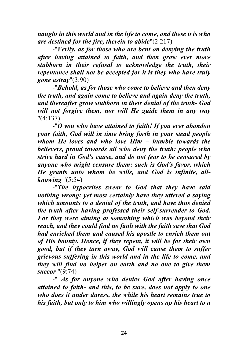*naught in this world and in the life to come, and these it is who are destined for the fire, therein to abide*"(2:217)

-"*Verily, as for those who are bent on denying the truth after having attained to faith, and then grow ever more stubborn in their refusal to acknowledge the truth, their repentance shall not be accepted for it is they who have truly gone astray*"(3:90)

-"*Behold, as for those who come to believe and then deny the truth, and again come to believe and again deny the truth, and thereafter grow stubborn in their denial of the truth- God will not forgive them, nor will He guide them in any way*  "(4:137)

-"*O you who have attained to faith! If you ever abandon your faith, God will in time bring forth in your stead people whom He loves and who love Him – humble towards the believers, proud towards all who deny the truth: people who strive hard in God's cause, and do not fear to be censured by anyone who might censure them: such is God's favor, which He grants unto whom he wills, and God is infinite, allknowing* "(5:54)

-"*The hypocrites swear to God that they have said nothing wrong; yet most certainly have they uttered a saying which amounts to a denial of the truth, and have thus denied the truth after having professed their self-surrender to God. For they were aiming at something which was beyond their reach, and they could find no fault with the faith save that God had enriched them and caused his apostle to enrich them out of His bounty. Hence, if they repent, it will be for their own good, but if they turn away, God will cause them to suffer grievous suffering in this world and in the life to come, and they will find no helper on earth and no one to give them succor* "(9:74)

-" *As for anyone who denies God after having once attained to faith- and this, to be sure, does not apply to one who does it under duress, the while his heart remains true to his faith, but only to him who willingly opens up his heart to a*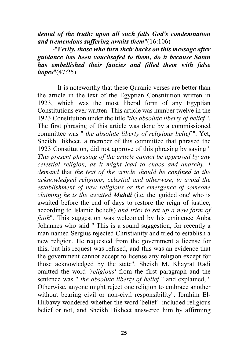*denial of the truth: upon all such falls God's condemnation and tremendous suffering awaits them*"(16:106)

-"*Verily, those who turn their backs on this message after guidance has been vouchsafed to them, do it because Satan has embellished their fancies and filled them with false hopes*"(47:25)

 It is noteworthy that these Quranic verses are better than the article in the text of the Egyptian Constitution written in 1923, which was the most liberal form of any Egyptian Constitutions ever written. This article was number twelve in the 1923 Constitution under the title ''*the absolute liberty of belief* ''. The first phrasing of this article was done by a commissioned committee was '' *the absolute liberty of religious belief* ''. Yet, Sheikh Bikheet, a member of this committee that phrased the 1923 Constitution, did not approve of this phrasing by saying '' *This present phrasing of the article cannot be approved by any celestial religion, as it might lead to chaos and anarchy. I demand* that *the text of the article should be confined to the acknowledged religions, celestial and otherwise, to avoid the establishment of new religions or the emergence of someone claiming he is the awaited Mahdi* (i.e. the 'guided one' who is awaited before the end of days to restore the reign of justice, according to Islamic beliefs) *and tries to set up a new form of faith*''. This suggestion was welcomed by his eminence Anba Johannes who said '' This is a sound suggestion, for recently a man named Sergius rejected Christianity and tried to establish a new religion. He requested from the government a license for this, but his request was refused, and this was an evidence that the government cannot accept to license any religion except for those acknowledged by the state''. Sheikh M. Khayrat Radi omitted the word *'religious'* from the first paragraph and the sentence was '' *the absolute liberty of belief* '' and explained, '' Otherwise, anyone might reject one religion to embrace another without bearing civil or non-civil responsibility''. Ibrahim El-Hilbawy wondered whether the word 'belief' included religious belief or not, and Sheikh Bikheet answered him by affirming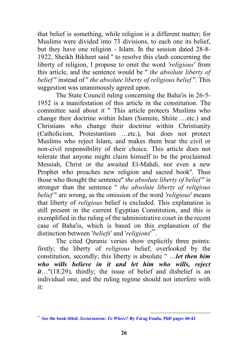that belief is something, while religion is a different matter; for Muslims were divided into 73 divisions, to each one its belief, but they have one religion - Islam. In the session dated 28-8- 1922, Sheikh Bikheet said '' to resolve this clash concerning the liberty of religion, I propose to omit the word *'religious'* from this article, and the sentence would be '' *the absolute liberty of belief* '' instead of '' *the absolute liberty of religious belief* ''. This suggestion was unanimously agreed upon.

 The State Council ruling concerning the Baha'is in 26-5- 1952 is a manifestation of this article in the constitution. The committee said about it '' This article protects Muslims who change their doctrine within Islam (Sunnite, Shiite …etc.) and Christians who change their doctrine within Christianity (Catholicism, Protestantism …etc.), but does not protect Muslims who reject Islam, and makes them bear the civil or non-civil responsibility of their choice. This article does not tolerate that anyone might claim himself to be the proclaimed Messiah, Christ or the awaited El-Mahdi, nor even a new Prophet who preaches new religion and sacred book''. Thus those who thought the sentence'' *the absolute liberty of belief* '' is stronger than the sentence '' *the absolute liberty of religious belief* '' are wrong, as the omission of the word *'religious*' means that liberty of *religious* belief is excluded. This explanation is still present in the current Egyptian Constitution, and this is exemplified in the ruling of the administrative court in the recent case of Baha'is, which is based on this explanation of the distinction between '*beliefs*' and '*religions*' \*\* .

 The cited Quranic verses show explicitly three points: firstly; the liberty of *religious* belief, overlooked by the constitution, secondly; this liberty is absolute '' …*let then him who wills believe in it and let him who wills, reject it*…"(18:29), thirdly; the issue of belief and disbelief is an individual one, and the ruling regime should not interfere with it:

 $\overline{a}$ **\*\* See the book titled:** *Sectarianism: To Where?* **By Farag Fouda, PhD pages 40-42**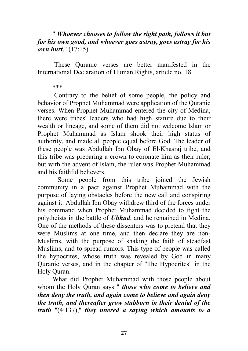" *Whoever chooses to follow the right path, follows it but for his own good, and whoever goes astray, goes astray for his own hurt*.'' (17:15).

These Quranic verses are better manifested in the International Declaration of Human Rights, article no. 18.

#### \*\*\*

 Contrary to the belief of some people, the policy and behavior of Prophet Muhammad were application of the Quranic verses. When Prophet Muhammad entered the city of Medina, there were tribes' leaders who had high stature due to their wealth or lineage, and some of them did not welcome Islam or Prophet Muhammad as Islam shook their high status of authority, and made all people equal before God. The leader of these people was Abdullah Ibn Obay of El-Khasraj tribe, and this tribe was preparing a crown to coronate him as their ruler, but with the advent of Islam, the ruler was Prophet Muhammad and his faithful believers.

 Some people from this tribe joined the Jewish community in a pact against Prophet Muhammad with the purpose of laying obstacles before the new call and conspiring against it. Abdullah Ibn Obay withdrew third of the forces under his command when Prophet Muhammad decided to fight the polytheists in the battle of *Uhhud*, and he remained in Medina. One of the methods of these dissenters was to pretend that they were Muslims at one time, and then declare they are non-Muslims, with the purpose of shaking the faith of steadfast Muslims, and to spread rumors. This type of people was called the hypocrites, whose truth was revealed by God in many Quranic verses, and in the chapter of ''The Hypocrites" in the Holy Quran.

What did Prophet Muhammad with those people about whom the Holy Quran says " *those who come to believe and then deny the truth, and again come to believe and again deny the truth, and thereafter grow stubborn in their denial of the truth* "(4:137),'' *they uttered a saying which amounts to a*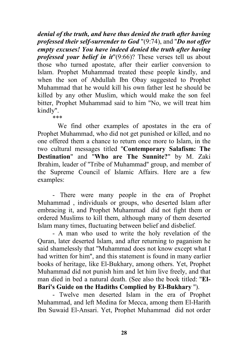*denial of the truth, and have thus denied the truth after having professed their self-surrender to God* "(9:74), and ''*Do not offer empty excuses! You have indeed denied the truth after having professed your belief in it*"(9:66)? These verses tell us about those who turned apostate, after their earlier conversion to Islam. Prophet Muhammad treated these people kindly, and when the son of Abdullah Ibn Obay suggested to Prophet Muhammad that he would kill his own father lest he should be killed by any other Muslim, which would make the son feel bitter, Prophet Muhammad said to him "No, we will treat him kindly".

\*\*\*

 We find other examples of apostates in the era of Prophet Muhammad, who did not get punished or killed, and no one offered them a chance to return once more to Islam, in the two cultural messages titled ''**Contemporary Salafism: The Destination**" and "**Who are The Sunnite?**" by M. Zaki Ibrahim, leader of ''Tribe of Muhammad'' group, and member of the Supreme Council of Islamic Affairs. Here are a few examples:

- There were many people in the era of Prophet Muhammad , individuals or groups, who deserted Islam after embracing it, and Prophet Muhammad did not fight them or ordered Muslims to kill them, although many of them deserted Islam many times, fluctuating between belief and disbelief.

- A man who used to write the holy revelation of the Quran, later deserted Islam, and after returning to paganism he said shamelessly that ''Muhammad does not know except what I had written for him'', and this statement is found in many earlier books of heritage, like El-Bukhary, among others. Yet, Prophet Muhammad did not punish him and let him live freely, and that man died in bed a natural death. (See also the book titled: ''**El-Bari's Guide on the Hadiths Complied by El-Bukhary** '').

- Twelve men deserted Islam in the era of Prophet Muhammad, and left Medina for Mecca, among them El-Harith Ibn Suwaid El-Ansari. Yet, Prophet Muhammad did not order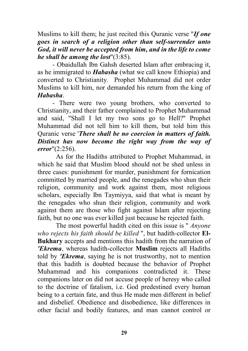Muslims to kill them; he just recited this Quranic verse "*If one goes in search of a religion other than self-surrender unto God, it will never be accepted from him, and in the life to come he shall be among the lost*"(3:85).

- Obaidullah Ibn Gahsh deserted Islam after embracing it, as he immigrated to *Habasha* (what we call know Ethiopia) and converted to Christianity. Prophet Muhammad did not order Muslims to kill him, nor demanded his return from the king of *Habasha*.

- There were two young brothers, who converted to Christianity, and their father complained to Prophet Muhammad and said, "Shall I let my two sons go to Hell?" Prophet Muhammad did not tell him to kill them, but told him this Quranic verse '*There shall be no coercion in matters of faith. Distinct has now become the right way from the way of error*"(2:256).

 As for the Hadiths attributed to Prophet Muhammad, in which he said that Muslim blood should not be shed unless in three cases: punishment for murder, punishment for fornication committed by married people, and the renegades who shun their religion, community and work against them, most religious scholars, especially Ibn Taymiyya, said that what is meant by the renegades who shun their religion, community and work against them are those who fight against Islam after rejecting faith, but no one was ever killed just because he rejected faith.

 The most powerful hadith cited on this issue is '' *Anyone who rejects his faith should be killed* '', but hadith-collector **El-Bukhary** accepts and mentions this hadith from the narration of *'Ekrema*, whereas hadith-collector **Muslim** rejects all Hadiths told by *'Ekrema*, saying he is not trustworthy, not to mention that this hadith is doubted because the behavior of Prophet Muhammad and his companions contradicted it. These companions later on did not accuse people of heresy who called to the doctrine of fatalism, i.e. God predestined every human being to a certain fate, and thus He made men different in belief and disbelief. Obedience and disobedience, like differences in other facial and bodily features, and man cannot control or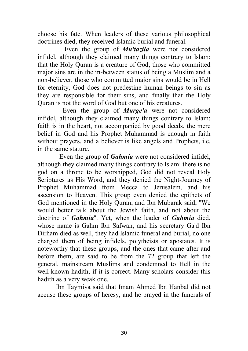choose his fate. When leaders of these various philosophical doctrines died, they received Islamic burial and funeral.

 Even the group of *Mu'tazila* were not considered infidel, although they claimed many things contrary to Islam: that the Holy Quran is a creature of God, those who committed major sins are in the in-between status of being a Muslim and a non-believer, those who committed major sins would be in Hell for eternity, God does not predestine human beings to sin as they are responsible for their sins, and finally that the Holy Quran is not the word of God but one of his creatures.

 Even the group of *Murge'a* were not considered infidel, although they claimed many things contrary to Islam: faith is in the heart, not accompanied by good deeds, the mere belief in God and his Prophet Muhammad is enough in faith without prayers, and a believer is like angels and Prophets, i.e. in the same stature.

 Even the group of *Gahmia* were not considered infidel, although they claimed many things contrary to Islam: there is no god on a throne to be worshipped, God did not reveal Holy Scriptures as His Word, and they denied the Night-Journey of Prophet Muhammad from Mecca to Jerusalem, and his ascension to Heaven. This group even denied the epithets of God mentioned in the Holy Quran, and Ibn Mubarak said, ''We would better talk about the Jewish faith, and not about the doctrine of *Gahmia*''. Yet, when the leader of *Gahmia* died, whose name is Gahm Ibn Safwan, and his secretary Ga'd Ibn Dirham died as well, they had Islamic funeral and burial, no one charged them of being infidels, polytheists or apostates. It is noteworthy that these groups, and the ones that came after and before them, are said to be from the 72 group that left the general, mainstream Muslims and condemned to Hell in the well-known hadith, if it is correct. Many scholars consider this hadith as a very weak one.

 Ibn Taymiya said that Imam Ahmed Ibn Hanbal did not accuse these groups of heresy, and he prayed in the funerals of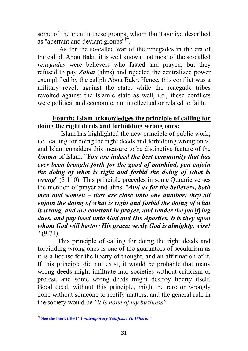some of the men in these groups, whom Ibn Taymiya described as "aberrant and deviant groups"<sup>††</sup>.

 As for the so-called war of the renegades in the era of the caliph Abou Bakr, it is well known that most of the so-called *renegades* were believers who fasted and prayed, but they refused to pay *Zakat* (alms) and rejected the centralized power exemplified by the caliph Abou Bakr. Hence, this conflict was a military revolt against the state, while the renegade tribes revolted against the Islamic state as well, i.e., these conflicts were political and economic, not intellectual or related to faith.

### **Fourth: Islam acknowledges the principle of calling for doing the right deeds and forbidding wrong ones:**

Islam has highlighted the new principle of public work; i.e., calling for doing the right deeds and forbidding wrong ones, and Islam considers this measure to be distinctive feature of the *Umma* of Islam. ''*You are indeed the best community that has ever been brought forth for the good of mankind, you enjoin the doing of what is right and forbid the doing of what is wrong*'' (3:110). This principle precedes in some Quranic verses the mention of prayer and alms. ''*And as for the believers, both men and women – they are close unto one another: they all enjoin the doing of what is right and forbid the doing of what is wrong, and are constant in prayer, and render the purifying dues, and pay heed unto God and His Apostles. It is they upon whom God will bestow His grace: verily God is almighty, wise!*  $" (9:71).$ 

 This principle of calling for doing the right deeds and forbidding wrong ones is one of the guarantees of secularism as it is a license for the liberty of thought, and an affirmation of it. If this principle did not exist, it would be probable that many wrong deeds might infiltrate into societies without criticism or protest, and some wrong deeds might destroy liberty itself. Good deed, without this principle, might be rare or wrongly done without someone to rectify matters, and the general rule in the society would be *''it is none of my business''*.

 $\overline{a}$ **†† See the book titled ''***Contemporary Salafism: To Where?***"**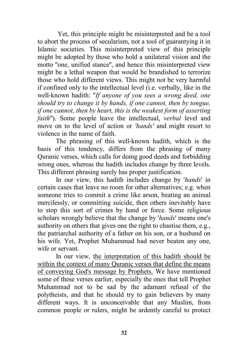Yet, this principle might be misinterpreted and be a tool to abort the process of secularism, not a tool of guarantying it in Islamic societies. This misinterpreted view of this principle might be adopted by those who hold a unilateral vision and the motto ''one, unified stance'', and hence this misinterpreted view might be a lethal weapon that would be brandished to terrorize those who hold different views. This might not be very harmful if confined only to the intellectual level (i.e. verbally, like in the well-known hadith: ''*If anyone of you sees a wrong deed, one should try to change it by hands, if one cannot, then by tongue, if one cannot, then by heart, this is the weakest form of asserting faith*''). Some people leave the intellectual, *verbal* level and move on to the level of action or *'hands'* and might resort to violence in the name of faith.

 The phrasing of this well-known hadith, which is the basis of this tendency, differs from the phrasing of many Quranic verses, which calls for doing good deeds and forbidding wrong ones, whereas the hadith includes change by three levels. This different phrasing surely has proper justification.

 In our view, this hadith includes change by '*hands*' in certain cases that leave no room for other alternatives; e.g. when someone tries to commit a crime like arson, beating an animal mercilessly, or committing suicide, then others inevitably have to stop this sort of crimes by hand or force. Some religious scholars wrongly believe that the change by '*hands*' means one's authority on others that gives one the right to chastise them, e.g., the patriarchal authority of a father on his son, or a husband on his wife. Yet, Prophet Muhammad had never beaten any one, wife or servant.

 In our view, the interpretation of this hadith should be within the context of many Quranic verses that define the means of conveying God's message by Prophets. We have mentioned some of these verses earlier, especially the ones that tell Prophet Muhammad not to be sad by the adamant refusal of the polytheists, and that he should try to gain believers by many different ways. It is unconceivable that any Muslim, from common people or rulers, might be ardently careful to protect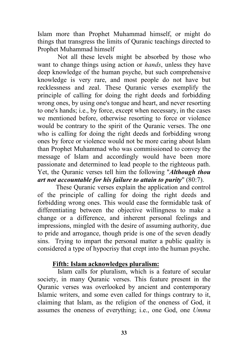Islam more than Prophet Muhammad himself, or might do things that transgress the limits of Quranic teachings directed to Prophet Muhammad himself

 Not all these levels might be absorbed by those who want to change things using action or *hands*, unless they have deep knowledge of the human psyche, but such comprehensive knowledge is very rare, and most people do not have but recklessness and zeal. These Quranic verses exemplify the principle of calling for doing the right deeds and forbidding wrong ones, by using one's tongue and heart, and never resorting to one's hands; i.e., by force, except when necessary, in the cases we mentioned before, otherwise resorting to force or violence would be contrary to the spirit of the Quranic verses. The one who is calling for doing the right deeds and forbidding wrong ones by force or violence would not be more caring about Islam than Prophet Muhammad who was commissioned to convey the message of Islam and accordingly would have been more passionate and determined to lead people to the righteous path. Yet, the Quranic verses tell him the following ''*Although thou art not accountable for his failure to attain to purity*'' (80:7).

 These Quranic verses explain the application and control of the principle of calling for doing the right deeds and forbidding wrong ones. This would ease the formidable task of differentiating between the objective willingness to make a change or a difference, and inherent personal feelings and impressions, mingled with the desire of assuming authority, due to pride and arrogance, though pride is one of the seven deadly sins. Trying to impart the personal matter a public quality is considered a type of hypocrisy that crept into the human psyche.

# **Fifth: Islam acknowledges pluralism:**

 Islam calls for pluralism, which is a feature of secular society, in many Quranic verses. This feature present in the Quranic verses was overlooked by ancient and contemporary Islamic writers, and some even called for things contrary to it, claiming that Islam, as the religion of the oneness of God, it assumes the oneness of everything; i.e., one God, one *Umma*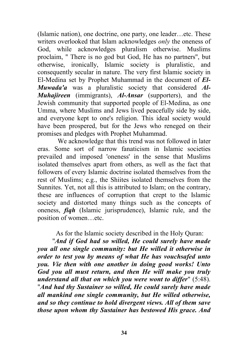(Islamic nation), one doctrine, one party, one leader…etc. These writers overlooked that Islam acknowledges *only* the oneness of God, while acknowledges pluralism otherwise. Muslims proclaim, '' There is no god but God, He has no partners'', but otherwise, ironically, Islamic society is pluralistic, and consequently secular in nature. The very first Islamic society in El-Medina set by Prophet Muhammad in the document of *El-Muwada'a* was a pluralistic society that considered *Al-Muhajireen* (immigrants), *Al-Ansar* (supporters), and the Jewish community that supported people of El-Medina, as one Umma, where Muslims and Jews lived peacefully side by side, and everyone kept to one's religion. This ideal society would have been prospered, but for the Jews who reneged on their promises and pledges with Prophet Muhammad.

 We acknowledge that this trend was not followed in later eras. Some sort of narrow fanaticism in Islamic societies prevailed and imposed 'oneness' in the sense that Muslims isolated themselves apart from others, as well as the fact that followers of every Islamic doctrine isolated themselves from the rest of Muslims; e.g., the Shiites isolated themselves from the Sunnites. Yet, not all this is attributed to Islam; on the contrary, these are influences of corruption that crept to the Islamic society and distorted many things such as the concepts of oneness, *fiqh* (Islamic jurisprudence), Islamic rule, and the position of women…etc.

As for the Islamic society described in the Holy Quran:

''*And if God had so willed, He could surely have made you all one single community: but He willed it otherwise in order to test you by means of what He has vouchsafed unto you. Vie then with one another in doing good works! Unto God you all must return, and then He will make you truly understand all that on which you were wont to differ*" (5:48). "*And had thy Sustainer so willed, He could surely have made all mankind one single community, but He willed otherwise, and so they continue to hold divergent views. All of them save those upon whom thy Sustainer has bestowed His grace. And*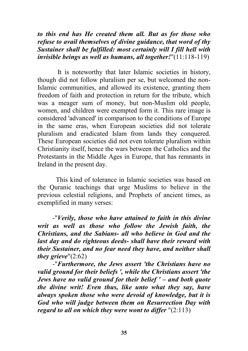### *to this end has He created them all. But as for those who refuse to avail themselves of divine guidance, that word of thy Sustainer shall be fulfilled: most certainly will I fill hell with invisible beings as well as humans, all together!*"(11:118-119)

 It is noteworthy that later Islamic societies in history, though did not follow pluralism per se, but welcomed the non-Islamic communities, and allowed its existence, granting them freedom of faith and protection in return for the tribute, which was a meager sum of money, but non-Muslim old people, women, and children were exempted form it. This rare image is considered 'advanced' in comparison to the conditions of Europe in the same eras, when European societies did not tolerate pluralism and eradicated Islam from lands they conquered. These European societies did not even tolerate pluralism within Christianity itself, hence the wars between the Catholics and the Protestants in the Middle Ages in Europe, that has remnants in Ireland in the present day.

 This kind of tolerance in Islamic societies was based on the Quranic teachings that urge Muslims to believe in the previous celestial religions, and Prophets of ancient times, as exemplified in many verses:

-"*Verily, those who have attained to faith in this divine writ as well as those who follow the Jewish faith, the Christians, and the Sabians- all who believe in God and the last day and do righteous deeds- shall have their reward with their Sustainer, and no fear need they have, and neither shall they grieve*"(2:62)

-"*Furthermore, the Jews assert 'the Christians have no valid ground for their beliefs ', while the Christians assert 'the Jews have no valid ground for their belief ' – and both quote the divine writ! Even thus, like unto what they say, have always spoken those who were devoid of knowledge, but it is God who will judge between them on Resurrection Day with regard to all on which they were wont to differ* "(2:113)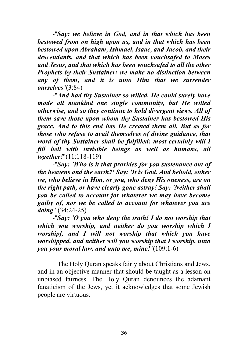-"*Say: we believe in God, and in that which has been bestowed from on high upon us, and in that which has been bestowed upon Abraham, Ishmael, Isaac, and Jacob, and their descendants, and that which has been vouchsafed to Moses and Jesus, and that which has been vouchsafed to all the other Prophets by their Sustainer: we make no distinction between any of them, and it is unto Him that we surrender ourselves*"(3:84)

-"*And had thy Sustainer so willed, He could surely have made all mankind one single community, but He willed otherwise, and so they continue to hold divergent views. All of them save those upon whom thy Sustainer has bestowed His grace. And to this end has He created them all. But as for those who refuse to avail themselves of divine guidance, that word of thy Sustainer shall be fulfilled: most certainly will I fill hell with invisible beings as well as humans, all together!*"(11:118-119)

-"*Say: 'Who is it that provides for you sustenance out of the heavens and the earth?' Say: 'It is God. And behold, either we, who believe in Him, or you, who deny His oneness, are on the right path, or have clearly gone astray! Say: 'Neither shall you be called to account for whatever we may have become guilty of, nor we be called to account for whatever you are doing* "(34:24-25)

-"*Say: 'O you who deny the truth! I do not worship that which you worship, and neither do you worship which I worship[, and I will not worship that which you have worshipped, and neither will you worship that I worship, unto you your moral law, and unto me, mine!*"(109:1-6)

 The Holy Quran speaks fairly about Christians and Jews, and in an objective manner that should be taught as a lesson on unbiased fairness. The Holy Quran denounces the adamant fanaticism of the Jews, yet it acknowledges that some Jewish people are virtuous: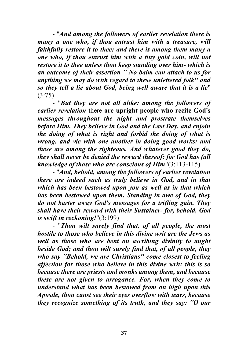- "*And among the followers of earlier revelation there is many a one who, if thou entrust him with a treasure, will faithfully restore it to thee; and there is among them many a one who, if thou entrust him with a tiny gold coin, will not restore it to thee unless thou keep standing over him- which is an outcome of their assertion '' No balm can attach to us for anything we may do with regard to these unlettered folk'' and so they tell a lie about God, being well aware that it is a lie*" (3:75)

- "*But they are not all alike: among the followers of earlier revelation* there **are upright people who recite God's** *messages throughout the night and prostrate themselves before Him. They believe in God and the Last Day, and enjoin the doing of what is right and forbid the doing of what is wrong, and vie with one another in doing good works: and these are among the righteous. And whatever good they do, they shall never be denied the reward thereof: for God has full knowledge of those who are conscious of Him*"(3:113-115)

- "*And, behold, among the followers of earlier revelation there are indeed such as truly believe in God, and in that which has been bestowed upon you as well as in that which has been bestowed upon them. Standing in awe of God, they do not barter away God's messages for a trifling gain. They shall have their reward with their Sustainer- for, behold, God is swift in reckoning!*"(3:199)

- "*Thou wilt surely find that, of all people, the most hostile to those who believe in this divine writ are the Jews as well as those who are bent on ascribing divinity to aught beside God; and thou wilt surely find that, of all people, they who say ''Behold, we are Christians'' come closest to feeling affection for those who believe in this divine writ: this is so because there are priests and monks among them, and because these are not given to arrogance. For, when they come to understand what has been bestowed from on high upon this Apostle, thou canst see their eyes overflow with tears, because they recognize something of its truth, and they say: ''O our*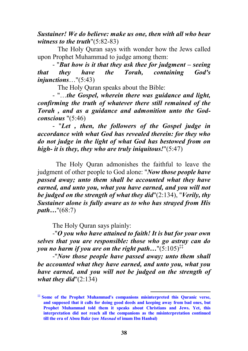*Sustainer! We do believe: make us one, then with all who bear witness to the truth*"(5:82-83)

 The Holy Quran says with wonder how the Jews called upon Prophet Muhammad to judge among them:

- "*But how is it that they ask thee for judgment – seeing that they have the Torah, containing God's injunctions*…"(5:43)

The Holy Quran speaks about the Bible:

- "…*the Gospel, wherein there was guidance and light, confirming the truth of whatever there still remained of the Torah , and as a guidance and admonition unto the Godconscious* "(5:46)

- "*Let , then, the followers of the Gospel judge in accordance with what God has revealed therein: for they who do not judge in the light of what God has bestowed from on high- it is they, they who are truly iniquitous!*"(5:47)

 The Holy Quran admonishes the faithful to leave the judgment of other people to God alone: "*Now those people have passed away; unto them shall be accounted what they have earned, and unto you, what you have earned, and you will not be judged on the strength of what they did*"(2:134), "*Verily, thy Sustainer alone is fully aware as to who has strayed from His path…*"(68:7)

The Holy Quran says plainly:

-"*O you who have attained to faith! It is but for your own selves that you are responsible: those who go astray can do you no harm if you are on the right path…*"(5:105) ‡‡

-"*Now those people have passed away; unto them shall be accounted what they have earned, and unto you, what you have earned, and you will not be judged on the strength of what they did*"(2:134)

 $\overline{a}$ 

**<sup>‡‡</sup> Some of the Prophet Muhammad's companions misinterpreted this Quranic verse, and supposed that it calls for doing good deeds and keeping away from bad ones, but Prophet Muhammad told them it speaks about Christians and Jews. Yet, this interpretation did not reach all the companions as the misinterpretation continued till the era of Abou Bakr (see** *Musnad* **of imam Ibn Hanbal)**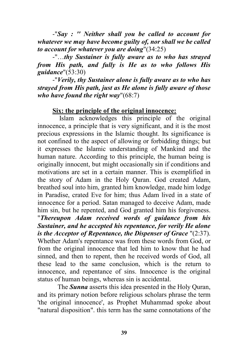-"*Say : '' Neither shall you be called to account for whatever we may have become guilty of, nor shall we be called to account for whatever you are doing*"(34:25)

-"…*thy Sustainer is fully aware as to who has strayed from His path, and fully is He as to who follows His guidance*"(53:30)

-"*Verily, thy Sustainer alone is fully aware as to who has strayed from His path, just as He alone is fully aware of those who have found the right way*"(68:7)

#### **Six: the principle of the original innocence:**

 Islam acknowledges this principle of the original innocence, a principle that is very significant, and it is the most precious expressions in the Islamic thought. Its significance is not confined to the aspect of allowing or forbidding things; but it expresses the Islamic understanding of Mankind and the human nature. According to this principle, the human being is originally innocent, but might occasionally sin if conditions and motivations are set in a certain manner. This is exemplified in the story of Adam in the Holy Quran. God created Adam, breathed soul into him, granted him knowledge, made him lodge in Paradise, crated Eve for him; thus Adam lived in a state of innocence for a period. Satan managed to deceive Adam, made him sin, but he repented, and God granted him his forgiveness. "*Thereupon Adam received words of guidance from his Sustainer, and he accepted his repentance, for verily He alone is the Acceptor of Repentance, the Dispenser of Grace* "(2:37). Whether Adam's repentance was from these words from God, or from the original innocence that led him to know that he had sinned, and then to repent, then he received words of God, all these lead to the same conclusion, which is the return to innocence, and repentance of sins. Innocence is the original status of human beings, whereas sin is accidental.

 The *Sunna* asserts this idea presented in the Holy Quran, and its primary notion before religious scholars phrase the term 'the original innocence', as Prophet Muhammad spoke about "natural disposition". this term has the same connotations of the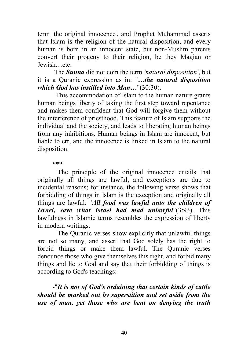term 'the original innocence', and Prophet Muhammad asserts that Islam is the religion of the natural disposition, and every human is born in an innocent state, but non-Muslim parents convert their progeny to their religion, be they Magian or Jewish…etc.

 The *Sunna* did not coin the term *'natural disposition'*, but it is a Quranic expression as in: "*…the natural disposition which God has instilled into Man…*"(30:30).

 This accommodation of Islam to the human nature grants human beings liberty of taking the first step toward repentance and makes them confident that God will forgive them without the interference of priesthood. This feature of Islam supports the individual and the society, and leads to liberating human beings from any inhibitions. Human beings in Islam are innocent, but liable to err, and the innocence is linked in Islam to the natural disposition.

\*\*\*

 The principle of the original innocence entails that originally all things are lawful, and exceptions are due to incidental reasons; for instance, the following verse shows that forbidding of things in Islam is the exception and originally all things are lawful: "*All food was lawful unto the children of Israel, save what Israel had mad unlawful*"(3:93). This lawfulness in Islamic terms resembles the expression of liberty in modern writings.

 The Quranic verses show explicitly that unlawful things are not so many, and assert that God solely has the right to forbid things or make them lawful. The Quranic verses denounce those who give themselves this right, and forbid many things and lie to God and say that their forbidding of things is according to God's teachings:

-"*It is not of God's ordaining that certain kinds of cattle should be marked out by superstition and set aside from the use of man, yet those who are bent on denying the truth*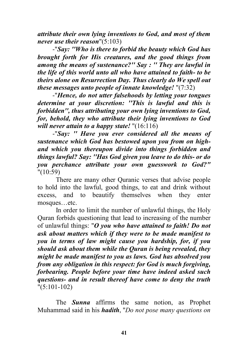*attribute their own lying inventions to God, and most of them never use their reason*"(5:103)

-"*Say: ''Who is there to forbid the beauty which God has brought forth for His creatures, and the good things from among the means of sustenance?'' Say : '' They are lawful in the life of this world unto all who have attained to faith- to be theirs alone on Resurrection Day. Thus clearly do We spell out these messages unto people of innate knowledge!* "(7:32)

-"*Hence, do not utter falsehoods by letting your tongues determine at your discretion: ''This is lawful and this is forbidden'', thus attributing your own lying inventions to God, for, behold, they who attribute their lying inventions to God will never attain to a happy state!* "(16:116)

-"*Say: '' Have you ever considered all the means of sustenance which God has bestowed upon you from on highand which you thereupon divide into things forbidden and things lawful? Say: ''Has God given you leave to do this- or do you perchance attribute your own guesswork to God?"*   $^{\prime\prime}(10:59)$ 

 There are many other Quranic verses that advise people to hold into the lawful, good things, to eat and drink without excess, and to beautify themselves when they enter mosques…etc.

 In order to limit the number of unlawful things, the Holy Quran forbids questioning that lead to increasing of the number of unlawful things: "*O you who have attained to faith! Do not ask about matters which if they were to be made manifest to you in terms of law might cause you hardship, for, if you should ask about them while the Quran is being revealed, they might be made manifest to you as laws. God has absolved you from any obligation in this respect: for God is much forgiving, forbearing. People before your time have indeed asked such questions- and in result thereof have come to deny the truth*  "(5:101-102)

 The *Sunna* affirms the same notion, as Prophet Muhammad said in his *hadith*, ''*Do not pose many questions on*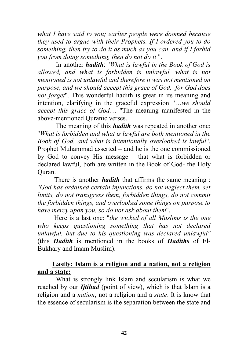*what I have said to you; earlier people were doomed because they used to argue with their Prophets. If I ordered you to do something, then try to do it as much as you can, and if I forbid you from doing something, then do not do it* ''.

 In another *hadith*: ''*What is lawful in the Book of God is allowed, and what is forbidden is unlawful, what is not mentioned is not unlawful and therefore it was not mentioned on purpose, and we should accept this grace of God, for God does not forget*''. This wonderful hadith is great in its meaning and intention, clarifying in the graceful expression "…*we should accept this grace of God*… "The meaning manifested in the above-mentioned Quranic verses.

The meaning of this *hadith* was repeated in another one: ''*What is forbidden and what is lawful are both mentioned in the Book of God, and what is intentionally overlooked is lawful*''. Prophet Muhammad asserted – and he is the one commissioned by God to convey His message – that what is forbidden or declared lawful, both are written in the Book of God- the Holy Quran.

 There is another *hadith* that affirms the same meaning : ''*God has ordained certain injunctions, do not neglect them, set limits, do not transgress them, forbidden things, do not commit the forbidden things, and overlooked some things on purpose to have mercy upon you, so do not ask about them*''.

 Here is a last one: "*the wicked of all Muslims is the one who keeps questioning something that has not declared unlawful, but due to his questioning was declared unlawful"* (this *Hadith* is mentioned in the books of *Hadiths* of El-Bukhary and Imam Muslim).

## **Lastly: Islam is a religion and a nation, not a religion and a state:**

 What is strongly link Islam and secularism is what we reached by our *Ijtihad* (point of view), which is that Islam is a religion and a *nation*, not a religion and a *state*. It is know that the essence of secularism is the separation between the state and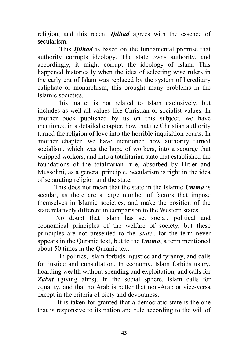religion, and this recent *Ijtihad* agrees with the essence of secularism.

 This *Ijtihad* is based on the fundamental premise that authority corrupts ideology. The state owns authority, and accordingly, it might corrupt the ideology of Islam. This happened historically when the idea of selecting wise rulers in the early era of Islam was replaced by the system of hereditary caliphate or monarchism, this brought many problems in the Islamic societies.

 This matter is not related to Islam exclusively, but includes as well all values like Christian or socialist values. In another book published by us on this subject, we have mentioned in a detailed chapter, how that the Christian authority turned the religion of love into the horrible inquisition courts. In another chapter, we have mentioned how authority turned socialism, which was the hope of workers, into a scourge that whipped workers, and into a totalitarian state that established the foundations of the totalitarian rule, absorbed by Hitler and Mussolini, as a general principle. Secularism is right in the idea of separating religion and the state.

 This does not mean that the state in the Islamic *Umma* is secular, as there are a large number of factors that impose themselves in Islamic societies, and make the position of the state relatively different in comparison to the Western states.

 No doubt that Islam has set social, political and economical principles of the welfare of society, but these principles are not presented to the '*state*', for the term never appears in the Quranic text, but to the *Umma*, a term mentioned about 50 times in the Quranic text.

 In politics, Islam forbids injustice and tyranny, and calls for justice and consultation. In economy, Islam forbids usury, hoarding wealth without spending and exploitation, and calls for *Zakat* (giving alms). In the social sphere, Islam calls for equality, and that no Arab is better that non-Arab or vice-versa except in the criteria of piety and devoutness.

 It is taken for granted that a democratic state is the one that is responsive to its nation and rule according to the will of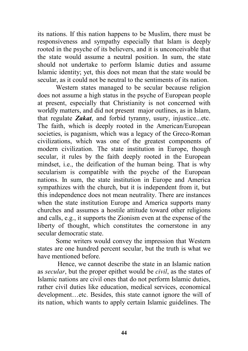its nations. If this nation happens to be Muslim, there must be responsiveness and sympathy especially that Islam is deeply rooted in the psyche of its believers, and it is unconceivable that the state would assume a neutral position. In sum, the state should not undertake to perform Islamic duties and assume Islamic identity; yet, this does not mean that the state would be secular, as it could not be neutral to the sentiments of its nation.

 Western states managed to be secular because religion does not assume a high status in the psyche of European people at present, especially that Christianity is not concerned with worldly matters, and did not present major outlines, as in Islam, that regulate *Zakat*, and forbid tyranny, usury, injustice...etc. The faith, which is deeply rooted in the American/European societies, is paganism, which was a legacy of the Greco-Roman civilizations, which was one of the greatest components of modern civilization. The state institution in Europe, though secular, it rules by the faith deeply rooted in the European mindset, i.e., the deification of the human being. That is why secularism is compatible with the psyche of the European nations. In sum, the state institution in Europe and America sympathizes with the church, but it is independent from it, but this independence does not mean neutrality. There are instances when the state institution Europe and America supports many churches and assumes a hostile attitude toward other religions and calls, e.g., it supports the Zionism even at the expense of the liberty of thought, which constitutes the cornerstone in any secular democratic state.

 Some writers would convey the impression that Western states are one hundred percent secular, but the truth is what we have mentioned before.

 Hence, we cannot describe the state in an Islamic nation as *secular*, but the proper epithet would be *civil*, as the states of Islamic nations are civil ones that do not perform Islamic duties, rather civil duties like education, medical services, economical development…etc. Besides, this state cannot ignore the will of its nation, which wants to apply certain Islamic guidelines. The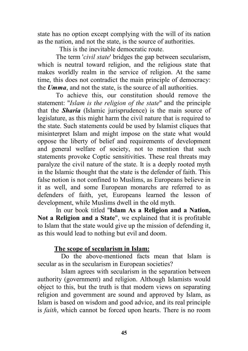state has no option except complying with the will of its nation as the nation, and not the state, is the source of authorities.

This is the inevitable democratic route.

 The term '*civil state*' bridges the gap between secularism, which is neutral toward religion, and the religious state that makes worldly realm in the service of religion. At the same time, this does not contradict the main principle of democracy: the *Umma*, and not the state, is the source of all authorities.

 To achieve this, our constitution should remove the statement: ''*Islam is the religion of the state*'' and the principle that the *Sharia* (Islamic jurisprudence) is the main source of legislature, as this might harm the civil nature that is required to the state. Such statements could be used by Islamist cliques that misinterpret Islam and might impose on the state what would oppose the liberty of belief and requirements of development and general welfare of society, not to mention that such statements provoke Coptic sensitivities. These real threats may paralyze the civil nature of the state. It is a deeply rooted myth in the Islamic thought that the state is the defender of faith. This false notion is not confined to Muslims, as Europeans believe in it as well, and some European monarchs are referred to as defenders of faith, yet, Europeans learned the lesson of development, while Muslims dwell in the old myth.

 In our book titled ''**Islam As a Religion and a Nation, Not a Religion and a State**", we explained that it is profitable to Islam that the state would give up the mission of defending it, as this would lead to nothing but evil and doom.

### **The scope of secularism in Islam:**

 Do the above-mentioned facts mean that Islam is secular as in the secularism in European societies?

 Islam agrees with secularism in the separation between authority (government) and religion. Although Islamists would object to this, but the truth is that modern views on separating religion and government are sound and approved by Islam, as Islam is based on wisdom and good advice, and its real principle is *faith*, which cannot be forced upon hearts. There is no room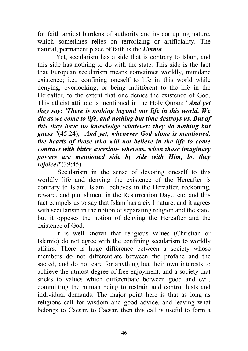for faith amidst burdens of authority and its corrupting nature, which sometimes relies on terrorizing or artificiality. The natural, permanent place of faith is the *Umma*.

 Yet, secularism has a side that is contrary to Islam, and this side has nothing to do with the state. This side is the fact that European secularism means sometimes worldly, mundane existence; i.e., confining oneself to life in this world while denying, overlooking, or being indifferent to the life in the Hereafter, to the extent that one denies the existence of God. This atheist attitude is mentioned in the Holy Quran: "*And yet they say: 'There is nothing beyond our life in this world. We die as we come to life, and nothing but time destroys us. But of this they have no knowledge whatever: they do nothing but guess* "(45:24), "*And yet, whenever God alone is mentioned, the hearts of those who will not believe in the life to come contract with bitter aversion- whereas, when those imaginary powers are mentioned side by side with Him, lo, they rejoice!*"(39:45).

 Secularism in the sense of devoting oneself to this worldly life and denying the existence of the Hereafter is contrary to Islam. Islam believes in the Hereafter, reckoning, reward, and punishment in the Resurrection Day…etc. and this fact compels us to say that Islam has a civil nature, and it agrees with secularism in the notion of separating religion and the state, but it opposes the notion of denying the Hereafter and the existence of God.

 It is well known that religious values (Christian or Islamic) do not agree with the confining secularism to worldly affairs. There is huge difference between a society whose members do not differentiate between the profane and the sacred, and do not care for anything but their own interests to achieve the utmost degree of free enjoyment, and a society that sticks to values which differentiate between good and evil, committing the human being to restrain and control lusts and individual demands. The major point here is that as long as religions call for wisdom and good advice, and leaving what belongs to Caesar, to Caesar, then this call is useful to form a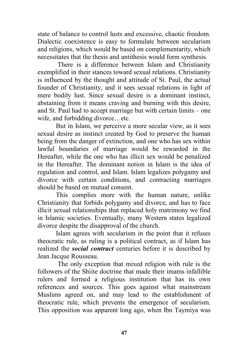state of balance to control lusts and excessive, chaotic freedom. Dialectic coexistence is easy to formulate between secularism and religions, which would be based on complementarity, which necessitates that the thesis and antithesis would form synthesis.

 There is a difference between Islam and Christianity exemplified in their stances toward sexual relations. Christianity is influenced by the thought and attitude of St. Paul, the actual founder of Christianity, and it sees sexual relations in light of mere bodily lust. Since sexual desire is a dominant instinct, abstaining from it means craving and burning with this desire, and St. Paul had to accept marriage but with certain limits – one wife, and forbidding divorce…etc.

 But in Islam, we perceive a more secular view, as it sees sexual desire as instinct created by God to preserve the human being from the danger of extinction, and one who has sex within lawful boundaries of marriage would be rewarded in the Hereafter, while the one who has illicit sex would be penalized in the Hereafter. The dominant notion in Islam is the idea of regulation and control, and Islam. Islam legalizes polygamy and divorce with certain conditions, and contracting marriages should be based on mutual consent.

 This complies more with the human nature, unlike Christianity that forbids polygamy and divorce, and has to face illicit sexual relationships that replaced holy matrimony we find in Islamic societies. Eventually, many Western states legalized divorce despite the disapproval of the church.

 Islam agrees with secularism in the point that it refuses theocratic rule, as ruling is a political contract, as if Islam has realized the *social contract* centuries before it is described by Jean Jacque Rousseau.

 The only exception that mixed religion with rule is the followers of the Shiite doctrine that made their imams infallible rulers and formed a religious institution that has its own references and sources. This goes against what mainstream Muslims agreed on, and may lead to the establishment of theocratic rule, which prevents the emergence of secularism. This opposition was apparent long ago, when Ibn Taymiya was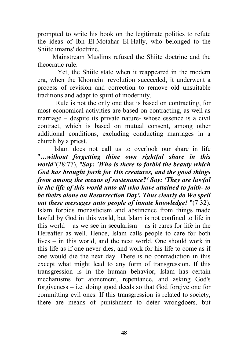prompted to write his book on the legitimate politics to refute the ideas of Ibn El-Motahar El-Hally, who belonged to the Shiite imams' doctrine.

Mainstream Muslims refused the Shiite doctrine and the theocratic rule.

 Yet, the Shiite state when it reappeared in the modern era, when the Khomeini revolution succeeded, it underwent a process of revision and correction to remove old unsuitable traditions and adapt to spirit of modernity.

 Rule is not the only one that is based on contracting, for most economical activities are based on contracting, as well as marriage – despite its private nature- whose essence is a civil contract, which is based on mutual consent, among other additional conditions, excluding conducting marriages in a church by a priest.

 Islam does not call us to overlook our share in life "*…without forgetting thine own rightful share in this world*"(28:77), "*Say: 'Who is there to forbid the beauty which God has brought forth for His creatures, and the good things from among the means of sustenance?' Say: 'They are lawful in the life of this world unto all who have attained to faith- to be theirs alone on Resurrection Day'. Thus clearly do We spell out these messages unto people of innate knowledge!* "(7:32). Islam forbids monasticism and abstinence from things made lawful by God in this world, but Islam is not confined to life in this world – as we see in secularism – as it cares for life in the Hereafter as well. Hence, Islam calls people to care for both lives – in this world, and the next world. One should work in this life as if one never dies, and work for his life to come as if one would die the next day. There is no contradiction in this except what might lead to any form of transgression. If this transgression is in the human behavior, Islam has certain mechanisms for atonement, repentance, and asking God's forgiveness – i.e. doing good deeds so that God forgive one for committing evil ones. If this transgression is related to society, there are means of punishment to deter wrongdoers, but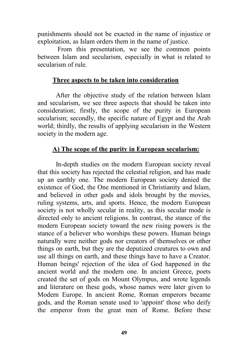punishments should not be exacted in the name of injustice or exploitation, as Islam orders them in the name of justice.

 From this presentation, we see the common points between Islam and secularism, especially in what is related to secularism of rule.

### **Three aspects to be taken into consideration**

 After the objective study of the relation between Islam and secularism, we see three aspects that should be taken into consideration; firstly, the scope of the purity in European secularism; secondly, the specific nature of Egypt and the Arab world; thirdly, the results of applying secularism in the Western society in the modern age.

### **A) The scope of the purity in European secularism:**

 In-depth studies on the modern European society reveal that this society has rejected the celestial religion, and has made up an earthly one. The modern European society denied the existence of God, the One mentioned in Christianity and Islam, and believed in other gods and idols brought by the movies, ruling systems, arts, and sports. Hence, the modern European society is not wholly secular in reality, as this secular mode is directed only to ancient religions. In contrast, the stance of the modern European society toward the new rising powers is the stance of a believer who worships these powers. Human beings naturally were neither gods nor creators of themselves or other things on earth, but they are the deputized creatures to own and use all things on earth, and these things have to have a Creator. Human beings' rejection of the idea of God happened in the ancient world and the modern one. In ancient Greece, poets created the set of gods on Mount Olympus, and wrote legends and literature on these gods, whose names were later given to Modern Europe. In ancient Rome, Roman emperors became gods, and the Roman senate used to 'appoint' those who deify the emperor from the great men of Rome. Before these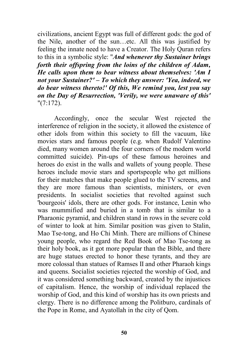civilizations, ancient Egypt was full of different gods: the god of the Nile, another of the sun…etc. All this was justified by feeling the innate need to have a Creator. The Holy Quran refers to this in a symbolic style: "*And whenever thy Sustainer brings forth their offspring from the loins of the children of Adam, He calls upon them to bear witness about themselves: 'Am I not your Sustainer?' – To which they answer: 'Yea, indeed, we do bear witness thereto!' Of this, We remind you, lest you say on the Day of Resurrection, 'Verily, we were unaware of this'*  "(7:172).

 Accordingly, once the secular West rejected the interference of religion in the society, it allowed the existence of other idols from within this society to fill the vacuum, like movies stars and famous people (e.g. when Rudolf Valentino died, many women around the four corners of the modern world committed suicide). Pin-ups of these famous heroines and heroes do exist in the walls and wallets of young people. These heroes include movie stars and sportspeople who get millions for their matches that make people glued to the TV screens, and they are more famous than scientists, ministers, or even presidents. In socialist societies that revolted against such 'bourgeois' idols, there are other gods. For instance, Lenin who was mummified and buried in a tomb that is similar to a Pharaonic pyramid, and children stand in rows in the severe cold of winter to look at him. Similar position was given to Stalin, Mao Tse-tong, and Ho Chi Minh. There are millions of Chinese young people, who regard the Red Book of Mao Tse-tong as their holy book, as it got more popular than the Bible, and there are huge statues erected to honor these tyrants, and they are more colossal than statues of Ramses II and other Pharaoh kings and queens. Socialist societies rejected the worship of God, and it was considered something backward, created by the injustices of capitalism. Hence, the worship of individual replaced the worship of God, and this kind of worship has its own priests and clergy. There is no difference among the Politburo, cardinals of the Pope in Rome, and Ayatollah in the city of Qom.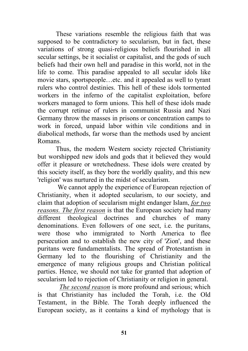These variations resemble the religious faith that was supposed to be contradictory to secularism, but in fact, these variations of strong quasi-religious beliefs flourished in all secular settings, be it socialist or capitalist, and the gods of such beliefs had their own hell and paradise in this world, not in the life to come. This paradise appealed to all secular idols like movie stars, sportspeople…etc. and it appealed as well to tyrant rulers who control destinies. This hell of these idols tormented workers in the inferno of the capitalist exploitation, before workers managed to form unions. This hell of these idols made the corrupt retinue of rulers in communist Russia and Nazi Germany throw the masses in prisons or concentration camps to work in forced, unpaid labor within vile conditions and in diabolical methods, far worse than the methods used by ancient Romans.

 Thus, the modern Western society rejected Christianity but worshipped new idols and gods that it believed they would offer it pleasure or wretchedness. These idols were created by this society itself, as they bore the worldly quality, and this new 'religion' was nurtured in the midst of secularism.

 We cannot apply the experience of European rejection of Christianity, when it adopted secularism, to our society, and claim that adoption of secularism might endanger Islam, *for two reasons. The first reason* is that the European society had many different theological doctrines and churches of many denominations. Even followers of one sect, i.e. the puritans, were those who immigrated to North America to flee persecution and to establish the new city of 'Zion', and these puritans were fundamentalists. The spread of Protestantism in Germany led to the flourishing of Christianity and the emergence of many religious groups and Christian political parties. Hence, we should not take for granted that adoption of secularism led to rejection of Christianity or religion in general.

 *The second reason* is more profound and serious; which is that Christianity has included the Torah, i.e. the Old Testament, in the Bible. The Torah deeply influenced the European society, as it contains a kind of mythology that is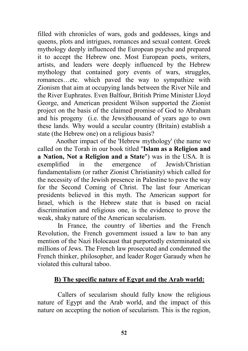filled with chronicles of wars, gods and goddesses, kings and queens, plots and intrigues, romances and sexual content. Greek mythology deeply influenced the European psyche and prepared it to accept the Hebrew one. Most European poets, writers, artists, and leaders were deeply influenced by the Hebrew mythology that contained gory events of wars, struggles, romances…etc. which paved the way to sympathize with Zionism that aim at occupying lands between the River Nile and the River Euphrates. Even Balfour, British Prime Minister Lloyd George, and American president Wilson supported the Zionist project on the basis of the claimed promise of God to Abraham and his progeny (i.e. the Jews)thousand of years ago to own these lands. Why would a secular country (Britain) establish a state (the Hebrew one) on a religious basis?

 Another impact of the 'Hebrew mythology' (the name we called on the Torah in our book titled ''**Islam as a Religion and a Nation, Not a Religion and a State**") was in the USA. It is exemplified in the emergence of Jewish/Christian fundamentalism (or rather Zionist Christianity) which called for the necessity of the Jewish presence in Palestine to pave the way for the Second Coming of Christ. The last four American presidents believed in this myth. The American support for Israel, which is the Hebrew state that is based on racial discrimination and religious one, is the evidence to prove the weak, shaky nature of the American secularism.

 In France, the country of liberties and the French Revolution, the French government issued a law to ban any mention of the Nazi Holocaust that purportedly exterminated six millions of Jews. The French law prosecuted and condemned the French thinker, philosopher, and leader Roger Garaudy when he violated this cultural taboo.

### **B) The specific nature of Egypt and the Arab world:**

 Callers of secularism should fully know the religious nature of Egypt and the Arab world, and the impact of this nature on accepting the notion of secularism. This is the region,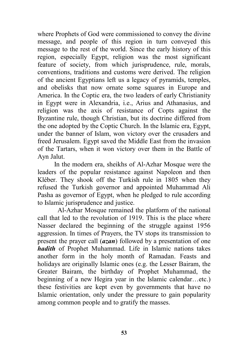where Prophets of God were commissioned to convey the divine message, and people of this region in turn conveyed this message to the rest of the world. Since the early history of this region, especially Egypt, religion was the most significant feature of society, from which jurisprudence, rule, morals, conventions, traditions and customs were derived. The religion of the ancient Egyptians left us a legacy of pyramids, temples, and obelisks that now ornate some squares in Europe and America. In the Coptic era, the two leaders of early Christianity in Egypt were in Alexandria, i.e., Arius and Athanasius, and religion was the axis of resistance of Copts against the Byzantine rule, though Christian, but its doctrine differed from the one adopted by the Coptic Church. In the Islamic era, Egypt, under the banner of Islam, won victory over the crusaders and freed Jerusalem. Egypt saved the Middle East from the invasion of the Tartars, when it won victory over them in the Battle of Ayn Jalut.

 In the modern era, sheikhs of Al-Azhar Mosque were the leaders of the popular resistance against Napoleon and then Kléber. They shook off the Turkish rule in 1805 when they refused the Turkish governor and appointed Muhammad Ali Pasha as governor of Egypt, when he pledged to rule according to Islamic jurisprudence and justice.

 Al-Azhar Mosque remained the platform of the national call that led to the revolution of 1919. This is the place where Nasser declared the beginning of the struggle against 1956 aggression. In times of Prayers, the TV stops its transmission to present the prayer call (*azan*) followed by a presentation of one *hadith* of Prophet Muhammad. Life in Islamic nations takes another form in the holy month of Ramadan. Feasts and holidays are originally Islamic ones (e.g. the Lesser Bairam, the Greater Bairam, the birthday of Prophet Muhammad, the beginning of a new Hegira year in the Islamic calendar…etc.) these festivities are kept even by governments that have no Islamic orientation, only under the pressure to gain popularity among common people and to gratify the masses.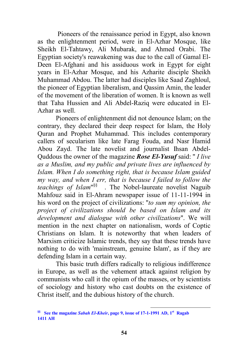Pioneers of the renaissance period in Egypt, also known as the enlightenment period, were in El-Azhar Mosque, like Sheikh El-Tahtawy, Ali Mubarak, and Ahmed Orabi. The Egyptian society's reawakening was due to the call of Gamal El-Deen El-Afghani and his assiduous work in Egypt for eight years in El-Azhar Mosque, and his Azharite disciple Sheikh Muhammad Abdou. The latter had disciples like Saad Zaghloul, the pioneer of Egyptian liberalism, and Qassim Amin, the leader of the movement of the liberation of women. It is known as well that Taha Hussien and Ali Abdel-Raziq were educated in El-Azhar as well.

 Pioneers of enlightenment did not denounce Islam; on the contrary, they declared their deep respect for Islam, the Holy Quran and Prophet Muhammad. This includes contemporary callers of secularism like late Farag Fouda, and Nasr Hamid Abou Zayd. The late novelist and journalist Ihsan Abdel-Quddous the owner of the magazine *Rose El-Yusuf* said: '' *I live as a Muslim, and my public and private lives are influenced by Islam. When I do something right, that is because Islam guided my way, and when I err, that is because I failed to follow the teachings of Islam*''§§ . The Nobel-laureate novelist Naguib Mahfouz said in El-Ahram newspaper issue of 11-11-1994 in his word on the project of civilizations: ''*to sum my opinion, the project of civilizations should be based on Islam and its development and dialogue with other civilizations*''. We will mention in the next chapter on nationalism, words of Coptic Christians on Islam. It is noteworthy that when leaders of Marxism criticize Islamic trends, they say that these trends have nothing to do with 'mainstream, genuine Islam', as if they are defending Islam in a certain way.

 This basic truth differs radically to religious indifference in Europe, as well as the vehement attack against religion by communists who call it the opium of the masses, or by scientists of sociology and history who cast doubts on the existence of Christ itself, and the dubious history of the church.

 **§§ See the magazine** *Sabah El-Kheir***, page 9, issue of 17-1-1991 AD, 1 st Ragab 1411 AH**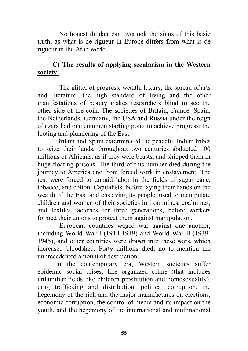No honest thinker can overlook the signs of this basic truth, as what is de rigueur in Europe differs from what is de rigueur in the Arab world.

# **C) The results of applying secularism in the Western society:**

 The glitter of progress, wealth, luxury, the spread of arts and literature, the high standard of living and the other manifestations of beauty makes researchers blind to see the other side of the coin. The societies of Britain, France, Spain, the Netherlands, Germany, the USA and Russia under the reign of czars had one common starting point to achieve progress: the looting and plundering of the East.

 Britain and Spain exterminated the peaceful Indian tribes to seize their lands, throughout two centuries abducted 100 millions of Africans, as if they were beasts, and shipped them in huge floating prisons. The third of this number died during the journey to America and from forced work in enslavement. The rest were forced to unpaid labor in the fields of sugar cane, tobacco, and cotton. Capitalists, before laying their hands on the wealth of the East and enslaving its people, used to manipulate children and women of their societies in iron mines, coalmines, and textiles factories for three generations, before workers formed their unions to protect them against manipulation.

 European countries waged war against one another, including World War I (1914-1919) and World War II (1939-1945), and other countries were drawn into these wars, which increased bloodshed. Forty millions died, no to mention the unprecedented amount of destruction.

In the contemporary era, Western societies suffer epidemic social crises, like organized crime (that includes unfamiliar fields like children prostitution and homosexuality), drug trafficking and distribution, political corruption, the hegemony of the rich and the major manufactures on elections, economic corruption, the control of media and its impact on the youth, and the hegemony of the international and multinational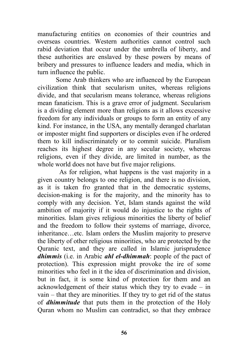manufacturing entities on economies of their countries and overseas countries. Western authorities cannot control such rabid deviation that occur under the umbrella of liberty, and these authorities are enslaved by these powers by means of bribery and pressures to influence leaders and media, which in turn influence the public.

 Some Arab thinkers who are influenced by the European civilization think that secularism unites, whereas religions divide, and that secularism means tolerance, whereas religions mean fanaticism. This is a grave error of judgment. Secularism is a dividing element more than religions as it allows excessive freedom for any individuals or groups to form an entity of any kind. For instance, in the USA, any mentally deranged charlatan or imposter might find supporters or disciples even if he ordered them to kill indiscriminately or to commit suicide. Pluralism reaches its highest degree in any secular society, whereas religions, even if they divide, are limited in number, as the whole world does not have but five major religions.

 As for religion, what happens is the vast majority in a given country belongs to one religion, and there is no division, as it is taken fro granted that in the democratic systems, decision-making is for the majority, and the minority has to comply with any decision. Yet, Islam stands against the wild ambition of majority if it would do injustice to the rights of minorities. Islam gives religious minorities the liberty of belief and the freedom to follow their systems of marriage, divorce, inheritance…etc. Islam orders the Muslim majority to preserve the liberty of other religious minorities, who are protected by the Quranic text, and they are called in Islamic jurisprudence *dhimmis* (i.e. in Arabic *ahl el-dhimmah*: people of the pact of protection). This expression might provoke the ire of some minorities who feel in it the idea of discrimination and division, but in fact, it is some kind of protection for them and an acknowledgement of their status which they try to evade – in vain – that they are minorities. If they try to get rid of the status of *dhimmitude* that puts them in the protection of the Holy Quran whom no Muslim can contradict, so that they embrace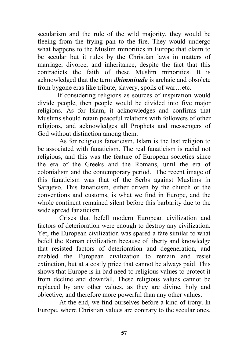secularism and the rule of the wild majority, they would be fleeing from the frying pan to the fire. They would undergo what happens to the Muslim minorities in Europe that claim to be secular but it rules by the Christian laws in matters of marriage, divorce, and inheritance, despite the fact that this contradicts the faith of these Muslim minorities. It is acknowledged that the term *dhimmitude* is archaic and obsolete from bygone eras like tribute, slavery, spoils of war…etc.

 If considering religions as sources of inspiration would divide people, then people would be divided into five major religions. As for Islam, it acknowledges and confirms that Muslims should retain peaceful relations with followers of other religions, and acknowledges all Prophets and messengers of God without distinction among them.

 As for religious fanaticism, Islam is the last religion to be associated with fanaticism. The real fanaticism is racial not religious, and this was the feature of European societies since the era of the Greeks and the Romans, until the era of colonialism and the contemporary period. The recent image of this fanaticism was that of the Serbs against Muslims in Sarajevo. This fanaticism, either driven by the church or the conventions and customs, is what we find in Europe, and the whole continent remained silent before this barbarity due to the wide spread fanaticism.

 Crises that befell modern European civilization and factors of deterioration were enough to destroy any civilization. Yet, the European civilization was spared a fate similar to what befell the Roman civilization because of liberty and knowledge that resisted factors of deterioration and degeneration, and enabled the European civilization to remain and resist extinction, but at a costly price that cannot be always paid. This shows that Europe is in bad need to religious values to protect it from decline and downfall. These religious values cannot be replaced by any other values, as they are divine, holy and objective, and therefore more powerful than any other values.

 At the end, we find ourselves before a kind of irony. In Europe, where Christian values are contrary to the secular ones,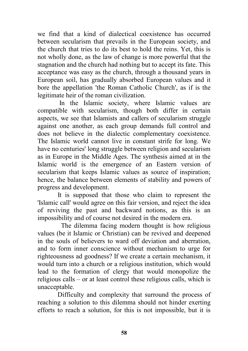we find that a kind of dialectical coexistence has occurred between secularism that prevails in the European society, and the church that tries to do its best to hold the reins. Yet, this is not wholly done, as the law of change is more powerful that the stagnation and the church had nothing but to accept its fate. This acceptance was easy as the church, through a thousand years in European soil, has gradually absorbed European values and it bore the appellation 'the Roman Catholic Church', as if is the legitimate heir of the roman civilization.

 In the Islamic society, where Islamic values are compatible with secularism, though both differ in certain aspects, we see that Islamists and callers of secularism struggle against one another, as each group demands full control and does not believe in the dialectic complementary coexistence. The Islamic world cannot live in constant strife for long. We have no centuries' long struggle between religion and secularism as in Europe in the Middle Ages. The synthesis aimed at in the Islamic world is the emergence of an Eastern version of secularism that keeps Islamic values as source of inspiration; hence, the balance between elements of stability and powers of progress and development.

 It is supposed that those who claim to represent the 'Islamic call' would agree on this fair version, and reject the idea of reviving the past and backward notions, as this is an impossibility and of course not desired in the modern era.

 The dilemma facing modern thought is how religious values (be it Islamic or Christian) can be revived and deepened in the souls of believers to ward off deviation and aberration, and to form inner conscience without mechanism to urge for righteousness ad goodness? If we create a certain mechanism, it would turn into a church or a religious institution, which would lead to the formation of clergy that would monopolize the religious calls – or at least control these religious calls, which is unacceptable.

 Difficulty and complexity that surround the process of reaching a solution to this dilemma should not hinder exerting efforts to reach a solution, for this is not impossible, but it is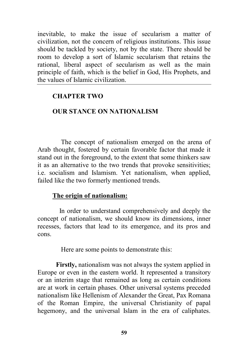inevitable, to make the issue of secularism a matter of civilization, not the concern of religious institutions. This issue should be tackled by society, not by the state. There should be room to develop a sort of Islamic secularism that retains the rational, liberal aspect of secularism as well as the main principle of faith, which is the belief in God, His Prophets, and the values of Islamic civilization.

## **CHAPTER TWO**

# **OUR STANCE ON NATIONALISM**

 The concept of nationalism emerged on the arena of Arab thought, fostered by certain favorable factor that made it stand out in the foreground, to the extent that some thinkers saw it as an alternative to the two trends that provoke sensitivities; i.e. socialism and Islamism. Yet nationalism, when applied, failed like the two formerly mentioned trends.

# **The origin of nationalism:**

 In order to understand comprehensively and deeply the concept of nationalism, we should know its dimensions, inner recesses, factors that lead to its emergence, and its pros and cons.

Here are some points to demonstrate this:

 **Firstly,** nationalism was not always the system applied in Europe or even in the eastern world. It represented a transitory or an interim stage that remained as long as certain conditions are at work in certain phases. Other universal systems preceded nationalism like Hellenism of Alexander the Great, Pax Romana of the Roman Empire, the universal Christianity of papal hegemony, and the universal Islam in the era of caliphates.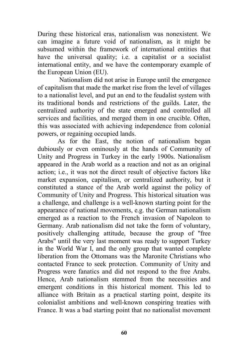During these historical eras, nationalism was nonexistent. We can imagine a future void of nationalism, as it might be subsumed within the framework of international entities that have the universal quality; i.e. a capitalist or a socialist international entity, and we have the contemporary example of the European Union (EU).

 Nationalism did not arise in Europe until the emergence of capitalism that made the market rise from the level of villages to a nationalist level, and put an end to the feudalist system with its traditional bonds and restrictions of the guilds. Later, the centralized authority of the state emerged and controlled all services and facilities, and merged them in one crucible. Often, this was associated with achieving independence from colonial powers, or regaining occupied lands.

 As for the East, the notion of nationalism began dubiously or even ominously at the hands of Community of Unity and Progress in Turkey in the early 1900s. Nationalism appeared in the Arab world as a reaction and not as an original action; i.e., it was not the direct result of objective factors like market expansion, capitalism, or centralized authority, but it constituted a stance of the Arab world against the policy of Community of Unity and Progress. This historical situation was a challenge, and challenge is a well-known starting point for the appearance of national movements, e.g. the German nationalism emerged as a reaction to the French invasion of Napoleon to Germany. Arab nationalism did not take the form of voluntary, positively challenging attitude, because the group of ''free Arabs'' until the very last moment was ready to support Turkey in the World War I, and the only group that wanted complete liberation from the Ottomans was the Maronite Christians who contacted France to seek protection. Community of Unity and Progress were fanatics and did not respond to the free Arabs. Hence, Arab nationalism stemmed from the necessities and emergent conditions in this historical moment. This led to alliance with Britain as a practical starting point, despite its colonialist ambitions and well-known conspiring treaties with France. It was a bad starting point that no nationalist movement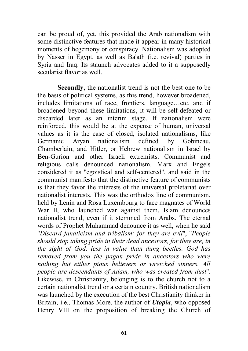can be proud of, yet, this provided the Arab nationalism with some distinctive features that made it appear in many historical moments of hegemony or conspiracy. Nationalism was adopted by Nasser in Egypt, as well as Ba'ath (i.e. revival) parties in Syria and Iraq. Its staunch advocates added to it a supposedly secularist flavor as well.

 **Secondly,** the nationalist trend is not the best one to be the basis of political systems, as this trend, however broadened, includes limitations of race, frontiers, language…etc. and if broadened beyond these limitations, it will be self-defeated or discarded later as an interim stage. If nationalism were reinforced, this would be at the expense of human, universal values as it is the case of closed, isolated nationalisms, like Germanic Aryan nationalism defined by Gobineau, Chamberlain, and Hitler, or Hebrew nationalism in Israel by Ben-Gurion and other Israeli extremists. Communist and religious calls denounced nationalism. Marx and Engels considered it as ''egoistical and self-centered'', and said in the communist manifesto that the distinctive feature of communists is that they favor the interests of the universal proletariat over nationalist interests. This was the orthodox line of communism, held by Lenin and Rosa Luxembourg to face magnates of World War II, who launched war against them. Islam denounces nationalist trend, even if it stemmed from Arabs. The eternal words of Prophet Muhammad denounce it as well, when he said ''*Discard fanaticism and tribalism; for they are evil*'', ''*People should stop taking pride in their dead ancestors, for they are, in the sight of God, less in value than dung beetles. God has removed from you the pagan pride in ancestors who were nothing but either pious believers or wretched sinners. All people are descendants of Adam, who was created from dust*''. Likewise, in Christianity, belonging is to the church not to a certain nationalist trend or a certain country. British nationalism was launched by the execution of the best Christianity thinker in Britain, i.e., Thomas More, the author of *Utopia*, who opposed Henry VIII on the proposition of breaking the Church of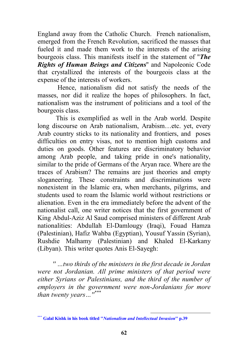England away from the Catholic Church. French nationalism, emerged from the French Revolution, sacrificed the masses that fueled it and made them work to the interests of the arising bourgeois class. This manifests itself in the statement of ''*The Rights of Human Beings and Citizens*'' and Napoleonic Code that crystallized the interests of the bourgeois class at the expense of the interests of workers.

 Hence, nationalism did not satisfy the needs of the masses, nor did it realize the hopes of philosophers. In fact, nationalism was the instrument of politicians and a tool of the bourgeois class.

 This is exemplified as well in the Arab world. Despite long discourse on Arab nationalism, Arabism…etc. yet, every Arab country sticks to its nationality and frontiers, and poses difficulties on entry visas, not to mention high customs and duties on goods. Other features are discriminatory behavior among Arab people, and taking pride in one's nationality, similar to the pride of Germans of the Aryan race. Where are the traces of Arabism? The remains are just theories and empty sloganeering. These constraints and discriminations were nonexistent in the Islamic era, when merchants, pilgrims, and students used to roam the Islamic world without restrictions or alienation. Even in the era immediately before the advent of the nationalist call, one writer notices that the first government of King Abdul-Aziz Al Saud comprised ministers of different Arab nationalities: Abdullah El-Damlougy (Iraqi), Fouad Hamza (Palestinian), Hafiz Wahba (Egyptian), Yousuf Yassin (Syrian), Rushdie Malhamy (Palestinian) and Khaled El-Karkany (Libyan). This writer quotes Anis El-Sayegh:

*'' …two thirds of the ministers in the first decade in Jordan were not Jordanian. All prime ministers of that period were either Syrians or Palestinians, and the third of the number of employers in the government were non-Jordanians for more than twenty years…''\*\*\** 

 $\overline{a}$ **\*\*\* Galal Kishk in his book titled ''***Nationalism and Intellectual Invasion***'' p.39**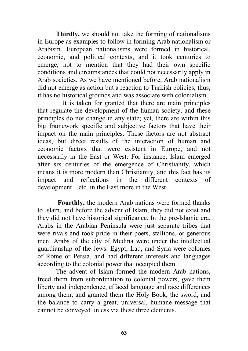**Thirdly,** we should not take the forming of nationalisms in Europe as examples to follow in forming Arab nationalism or Arabism. European nationalisms were formed in historical, economic, and political contexts, and it took centuries to emerge, not to mention that they had their own specific conditions and circumstances that could not necessarily apply in Arab societies. As we have mentioned before, Arab nationalism did not emerge as action but a reaction to Turkish policies; thus, it has no historical grounds and was associate with colonialism.

 It is taken for granted that there are main principles that regulate the development of the human society, and these principles do not change in any state; yet, there are within this big framework specific and subjective factors that have their impact on the main principles. These factors are not abstract ideas, but direct results of the interaction of human and economic factors that were existent in Europe, and not necessarily in the East or West. For instance, Islam emerged after six centuries of the emergence of Christianity, which means it is more modern than Christianity, and this fact has its impact and reflections in the different contexts of development…etc. in the East more in the West.

 **Fourthly,** the modern Arab nations were formed thanks to Islam, and before the advent of Islam, they did not exist and they did not have historical significance. In the pre-Islamic era, Arabs in the Arabian Peninsula were just separate tribes that were rivals and took pride in their poets, stallions, or generous men. Arabs of the city of Medina were under the intellectual guardianship of the Jews. Egypt, Iraq, and Syria were colonies of Rome or Persia, and had different interests and languages according to the colonial power that occupied them.

 The advent of Islam formed the modern Arab nations, freed them from subordination to colonial powers, gave them liberty and independence, effaced language and race differences among them, and granted them the Holy Book, the sword, and the balance to carry a great, universal, humane message that cannot be conveyed unless via these three elements.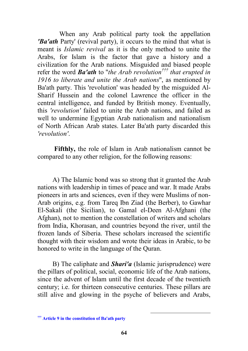When any Arab political party took the appellation *'Ba'ath* Party' (revival party), it occurs to the mind that what is meant is *Islamic revival* as it is the only method to unite the Arabs, for Islam is the factor that gave a history and a civilization for the Arab nations. Misguided and biased people refer the word *Ba'ath* to ''*the Arab revolution††† that erupted in 1916 to liberate and unite the Arab nations*'', as mentioned by Ba'ath party. This 'revolution' was headed by the misguided Al-Sharif Hussein and the colonel Lawrence the officer in the central intelligence, and funded by British money. Eventually, this *'revolution'* failed to unite the Arab nations, and failed as well to undermine Egyptian Arab nationalism and nationalism of North African Arab states. Later Ba'ath party discarded this *'revolution'*.

**Fifthly,** the role of Islam in Arab nationalism cannot be compared to any other religion, for the following reasons:

A) The Islamic bond was so strong that it granted the Arab nations with leadership in times of peace and war. It made Arabs pioneers in arts and sciences, even if they were Muslims of non-Arab origins, e.g. from Tareq Ibn Ziad (the Berber), to Gawhar El-Sakali (the Sicilian), to Gamal el-Deen Al-Afghani (the Afghan), not to mention the constellation of writers and scholars from India, Khorasan, and countries beyond the river, until the frozen lands of Siberia. These scholars increased the scientific thought with their wisdom and wrote their ideas in Arabic, to be honored to write in the language of the Quran.

B) The caliphate and *Shari'a* (Islamic jurisprudence) were the pillars of political, social, economic life of the Arab nations, since the advent of Islam until the first decade of the twentieth century; i.e. for thirteen consecutive centuries. These pillars are still alive and glowing in the psyche of believers and Arabs,

 $\overline{a}$ 

**<sup>†††</sup> Article 9 in the constitution of Ba'ath party**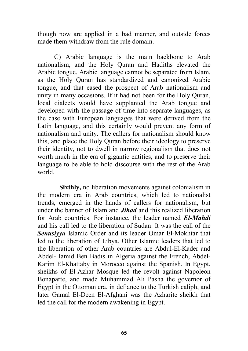though now are applied in a bad manner, and outside forces made them withdraw from the rule domain.

 C) Arabic language is the main backbone to Arab nationalism, and the Holy Quran and Hadiths elevated the Arabic tongue. Arabic language cannot be separated from Islam, as the Holy Quran has standardized and canonized Arabic tongue, and that eased the prospect of Arab nationalism and unity in many occasions. If it had not been for the Holy Quran, local dialects would have supplanted the Arab tongue and developed with the passage of time into separate languages, as the case with European languages that were derived from the Latin language, and this certainly would prevent any form of nationalism and unity. The callers for nationalism should know this, and place the Holy Quran before their ideology to preserve their identity, not to dwell in narrow regionalism that does not worth much in the era of gigantic entities, and to preserve their language to be able to hold discourse with the rest of the Arab world.

 **Sixthly,** no liberation movements against colonialism in the modern era in Arab countries, which led to nationalist trends, emerged in the hands of callers for nationalism, but under the banner of Islam and *Jihad* and this realized liberation for Arab countries. For instance, the leader named *El-Mahdi*  and his call led to the liberation of Sudan. It was the call of the *Senusiyya* Islamic Order and its leader Omar El-Mokhtar that led to the liberation of Libya. Other Islamic leaders that led to the liberation of other Arab countries are Abdul-El-Kader and Abdel-Hamid Ben Badis in Algeria against the French, Abdel-Karim El-Khattaby in Morocco against the Spanish. In Egypt, sheikhs of El-Azhar Mosque led the revolt against Napoleon Bonaparte, and made Muhammad Ali Pasha the governor of Egypt in the Ottoman era, in defiance to the Turkish caliph, and later Gamal El-Deen El-Afghani was the Azharite sheikh that led the call for the modern awakening in Egypt.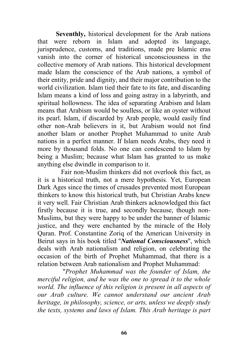**Seventhly,** historical development for the Arab nations that were reborn in Islam and adopted its language, jurisprudence, customs, and traditions, made pre Islamic eras vanish into the corner of historical unconsciousness in the collective memory of Arab nations. This historical development made Islam the conscience of the Arab nations, a symbol of their entity, pride and dignity, and their major contribution to the world civilization. Islam tied their fate to its fate, and discarding Islam means a kind of loss and going astray in a labyrinth, and spiritual hollowness. The idea of separating Arabism and Islam means that Arabism would be soulless, or like an oyster without its pearl. Islam, if discarded by Arab people, would easily find other non-Arab believers in it, but Arabism would not find another Islam or another Prophet Muhammad to unite Arab nations in a perfect manner. If Islam needs Arabs, they need it more by thousand folds. No one can condescend to Islam by being a Muslim; because what Islam has granted to us make anything else dwindle in comparison to it.

 Fair non-Muslim thinkers did not overlook this fact, as it is a historical truth, not a mere hypothesis. Yet, European Dark Ages since the times of crusades prevented most European thinkers to know this historical truth, but Christian Arabs knew it very well. Fair Christian Arab thinkers acknowledged this fact firstly because it is true, and secondly because, though non-Muslims, but they were happy to be under the banner of Islamic justice, and they were enchanted by the miracle of the Holy Quran. Prof. Constantine Zoriq of the American University in Beirut says in his book titled ''*National Consciousness*'', which deals with Arab nationalism and religion, on celebrating the occasion of the birth of Prophet Muhammad, that there is a relation between Arab nationalism and Prophet Muhammad:

 "*Prophet Muhammad was the founder of Islam, the merciful religion, and he was the one to spread it to the whole world. The influence of this religion is present in all aspects of our Arab culture. We cannot understand our ancient Arab heritage, in philosophy, science, or arts, unless we deeply study the texts, systems and laws of Islam. This Arab heritage is part*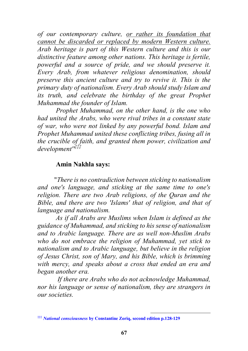*of our contemporary culture, or rather its foundation that cannot be discarded or replaced by modern Western culture. Arab heritage is part of this Western culture and this is our distinctive feature among other nations. This heritage is fertile, powerful and a source of pride, and we should preserve it. Every Arab, from whatever religious denomination, should preserve this ancient culture and try to revive it. This is the primary duty of nationalism. Every Arab should study Islam and its truth, and celebrate the birthday of the great Prophet Muhammad the founder of Islam.*

 *Prophet Muhammad, on the other hand, is the one who had united the Arabs, who were rival tribes in a constant state of war, who were not linked by any powerful bond. Islam and Prophet Muhammad united these conflicting tribes, fusing all in the crucible of faith, and granted them power, civilization and development''‡‡‡*

#### **Amin Nakhla says:**

 "*There is no contradiction between sticking to nationalism and one's language, and sticking at the same time to one's religion. There are two Arab religions, of the Quran and the Bible, and there are two 'Islams' that of religion, and that of language and nationalism.*

 *As if all Arabs are Muslims when Islam is defined as the guidance of Muhammad, and sticking to his sense of nationalism and to Arabic language. There are as well non-Muslim Arabs who do not embrace the religion of Muhammad, yet stick to nationalism and to Arabic language, but believe in the religion of Jesus Christ, son of Mary, and his Bible, which is brimming with mercy, and speaks about a cross that ended an era and began another era.*

 *If there are Arabs who do not acknowledge Muhammad, nor his language or sense of nationalism, they are strangers in our societies.*

 $\overline{a}$ 

**<sup>‡‡‡</sup>** *National consciousness* **by Constantine Zoriq, second edition p.128-129**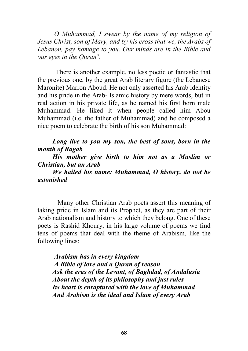*O Muhammad, I swear by the name of my religion of Jesus Christ, son of Mary, and by his cross that we, the Arabs of Lebanon, pay homage to you. Our minds are in the Bible and our eyes in the Quran*''.

 There is another example, no less poetic or fantastic that the previous one, by the great Arab literary figure (the Lebanese Maronite) Marron Aboud. He not only asserted his Arab identity and his pride in the Arab- Islamic history by mere words, but in real action in his private life, as he named his first born male Muhammad. He liked it when people called him Abou Muhammad (i.e. the father of Muhammad) and he composed a nice poem to celebrate the birth of his son Muhammad:

## *Long live to you my son, the best of sons, born in the month of Ragab*

*His mother give birth to him not as a Muslim or Christian, but an Arab*

*We hailed his name: Muhammad, O history, do not be astonished*

 Many other Christian Arab poets assert this meaning of taking pride in Islam and its Prophet, as they are part of their Arab nationalism and history to which they belong. One of these poets is Rashid Khoury, in his large volume of poems we find tens of poems that deal with the theme of Arabism, like the following lines:

 *Arabism has in every kingdom A Bible of love and a Quran of reason Ask the eras of the Levant, of Baghdad, of Andalusia About the depth of its philosophy and just rules Its heart is enraptured with the love of Muhammad And Arabism is the ideal and Islam of every Arab*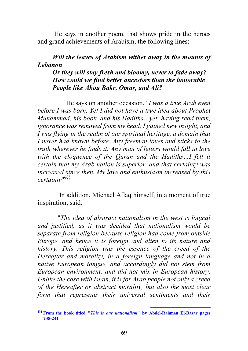He says in another poem, that shows pride in the heroes and grand achievements of Arabism, the following lines:

### *Will the leaves of Arabism wither away in the mounts of Lebanon*

### *Or they will stay fresh and bloomy, never to fade away? How could we find better ancestors than the honorable People like Abou Bakr, Omar, and Ali?*

 He says on another occasion, ''*I was a true Arab even before I was born. Yet I did not have a true idea about Prophet Muhammad, his book, and his Hadiths…yet, having read them, ignorance was removed from my head, I gained new insight, and I was flying in the realm of our spiritual heritage, a domain that I never had known before. Any freeman loves and sticks to the truth wherever he finds it. Any man of letters would fall in love*  with the eloquence of the Quran and the Hadiths...I felt it *certain that my Arab nation is superior, and that certainty was increased since then. My love and enthusiasm increased by this certainty*''§§§

 In addition, Michael Aflaq himself, in a moment of true inspiration, said:

 "*The idea of abstract nationalism in the west is logical and justified, as it was decided that nationalism would be separate from religion because religion had come from outside Europe, and hence it is foreign and alien to its nature and history. This religion was the essence of the creed of the Hereafter and morality, in a foreign language and not in a native European tongue, and accordingly did not stem from European environment, and did not mix in European history. Unlike the case with Islam, it is for Arab people not only a creed of the Hereafter or abstract morality, but also the most clear form that represents their universal sentiments and their* 

 $\overline{a}$ 

**<sup>§§§</sup> From the book titled ''***This is our nationalism***" by Abdel-Rahman El-Bazar pages 238-241**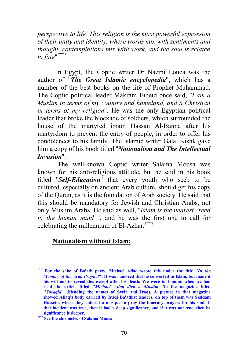*perspective to life. This religion is the most powerful expression of their unity and identity, where words mix with sentiments and thought, contemplations mix with work, and the soul is related to fate*" *\*\*\*\**

 In Egypt, the Coptic writer Dr Nazmi Louca was the author of ''*The Great Islamic encyclopedia*'', which has a number of the best books on the life of Prophet Muhammad. The Coptic political leader Makram Eibeid once said, ''*I am a Muslim in terms of my country and homeland, and a Christian in terms of my religion*''. He was the only Egyptian political leader that broke the blockade of soldiers, which surrounded the house of the martyred imam Hassan Al-Banna after his martyrdom to prevent the entry of people, in order to offer his condolences to his family. The Islamic writer Galal Kishk gave him a copy of his book titled ''*Nationalism and The Intellectual Invasion*''.

 The well-known Coptic writer Salama Mousa was known for his anti-religious attitude, but he said in his book titled ''*Self-Education*'' that every youth who seek to be cultured, especially on ancient Arab culture, should get his copy of the Quran, as it is the foundation of Arab society. He said that this should be mandatory for Jewish and Christian Arabs, not only Muslim Arabs. He said as well, ''*Islam is the nearest creed to the human mind* '', and he was the first one to call for celebrating the millennium of El-Azhar.††††

## **Nationalism without Islam:**

 $\overline{a}$ **\*\*\*\* For the sake of Ba'ath party, Michael Aflaq wrote this under the title ''***In the Memory of the Arab Prophet***". It was rumored that he converted to Islam, but made it his will not to reveal this except after his death. We were in London when we had read the article titled ''***Michael Aflaq died a Muslim* **''in the magazine titled ''***Suraqia***'' (blending the names of Syria and Iraq). A picture in that magazine showed Aflaq's body carried by Iraqi Ba'athist leaders, on top of them was Saddam Hussein, where they entered a mosque to pray the funerary prayers for his soul. If that incident was true, then it had a deep significance, and if it was not true, then its significance is deeper.** 

**<sup>††††</sup> See the chronicles of Salama Mousa**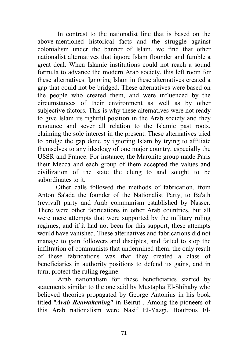In contrast to the nationalist line that is based on the above-mentioned historical facts and the struggle against colonialism under the banner of Islam, we find that other nationalist alternatives that ignore Islam flounder and fumble a great deal. When Islamic institutions could not reach a sound formula to advance the modern Arab society, this left room for these alternatives. Ignoring Islam in these alternatives created a gap that could not be bridged. These alternatives were based on the people who created them, and were influenced by the circumstances of their environment as well as by other subjective factors. This is why these alternatives were not ready to give Islam its rightful position in the Arab society and they renounce and sever all relation to the Islamic past roots, claiming the sole interest in the present. These alternatives tried to bridge the gap done by ignoring Islam by trying to affiliate themselves to any ideology of one major country, especially the USSR and France. For instance, the Maronite group made Paris their Mecca and each group of them accepted the values and civilization of the state the clung to and sought to be subordinates to it.

 Other calls followed the methods of fabrication, from Anton Sa'ada the founder of the Nationalist Party, to Ba'ath (revival) party and Arab communism established by Nasser. There were other fabrications in other Arab countries, but all were mere attempts that were supported by the military ruling regimes, and if it had not been for this support, these attempts would have vanished. These alternatives and fabrications did not manage to gain followers and disciples, and failed to stop the infiltration of communists that undermined them. the only result of these fabrications was that they created a class of beneficiaries in authority positions to defend its gains, and in turn, protect the ruling regime.

 Arab nationalism for these beneficiaries started by statements similar to the one said by Mustapha El-Shihaby who believed theories propagated by George Antonius in his book titled ''*Arab Reawakening*" in Beirut . Among the pioneers of this Arab nationalism were Nasif El-Yazgi, Boutrous El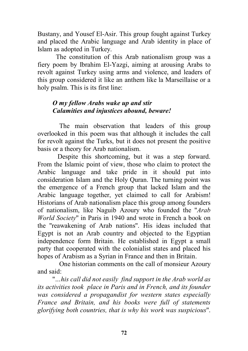Bustany, and Yousef El-Asir. This group fought against Turkey and placed the Arabic language and Arab identity in place of Islam as adopted in Turkey.

 The constitution of this Arab nationalism group was a fiery poem by Ibrahim El-Yazgi, aiming at arousing Arabs to revolt against Turkey using arms and violence, and leaders of this group considered it like an anthem like la Marseillaise or a holy psalm. This is its first line:

### *O my fellow Arabs wake up and stir Calamities and injustices abound, beware!*

 The main observation that leaders of this group overlooked in this poem was that although it includes the call for revolt against the Turks, but it does not present the positive basis or a theory for Arab nationalism.

 Despite this shortcoming, but it was a step forward. From the Islamic point of view, those who claim to protect the Arabic language and take pride in it should put into consideration Islam and the Holy Quran. The turning point was the emergence of a French group that lacked Islam and the Arabic language together, yet claimed to call for Arabism! Historians of Arab nationalism place this group among founders of nationalism, like Naguib Azoury who founded the ''*Arab World Society*'' in Paris in 1940 and wrote in French a book on the ''reawakening of Arab nations''. His ideas included that Egypt is not an Arab country and objected to the Egyptian independence form Britain. He established in Egypt a small party that cooperated with the colonialist states and placed his hopes of Arabism as a Syrian in France and then in Britain.

 One historian comments on the call of monsieur Azoury and said:

''*…his call did not easily find support in the Arab world as its activities took place in Paris and in French, and its founder was considered a propagandist for western states especially France and Britain, and his books were full of statements glorifying both countries, that is why his work was suspicious*''.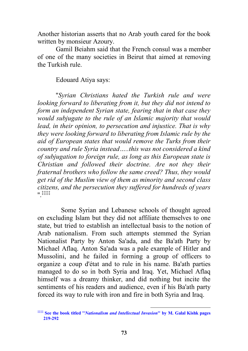Another historian asserts that no Arab youth cared for the book written by monsieur Azoury.

 Gamil Beiahm said that the French consul was a member of one of the many societies in Beirut that aimed at removing the Turkish rule.

Edouard Atiya says:

 ''*Syrian Christians hated the Turkish rule and were looking forward to liberating from it, but they did not intend to form an independent Syrian state, fearing that in that case they would subjugate to the rule of an Islamic majority that would lead, in their opinion, to persecution and injustice. That is why they were looking forward to liberating from Islamic rule by the aid of European states that would remove the Turks from their country and rule Syria instead…..this was not considered a kind of subjugation to foreign rule, as long as this European state is Christian and followed their doctrine. Are not they their fraternal brothers who follow the same creed? Thus, they would get rid of the Muslim view of them as minority and second class citizens, and the persecution they suffered for hundreds of years* ''.‡‡‡‡

 Some Syrian and Lebanese schools of thought agreed on excluding Islam but they did not affiliate themselves to one state, but tried to establish an intellectual basis to the notion of Arab nationalism. From such attempts stemmed the Syrian Nationalist Party by Anton Sa'ada, and the Ba'ath Party by Michael Aflaq. Anton Sa'ada was a pale example of Hitler and Mussolini, and he failed in forming a group of officers to organize a coup d'état and to rule in his name. Ba'ath parties managed to do so in both Syria and Iraq. Yet, Michael Aflaq himself was a dreamy thinker, and did nothing but incite the sentiments of his readers and audience, even if his Ba'ath party forced its way to rule with iron and fire in both Syria and Iraq.

 $\overline{a}$ 

**<sup>‡‡‡‡</sup> See the book titled ''***Nationalism and Intellectual Invasion***'' by M. Galal Kishk pages 219-292**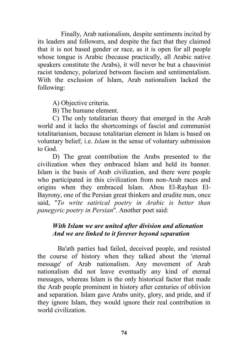Finally, Arab nationalism, despite sentiments incited by its leaders and followers, and despite the fact that they claimed that it is not based gender or race, as it is open for all people whose tongue is Arabic (because practically, all Arabic native speakers constitute the Arabs), it will never be but a chauvinist racist tendency, polarized between fascism and sentimentalism. With the exclusion of Islam, Arab nationalism lacked the following:

A) Objective criteria.

B) The humane element.

C) The only totalitarian theory that emerged in the Arab world and it lacks the shortcomings of fascist and communist totalitarianism, because totalitarian element in Islam is based on voluntary belief; i.e. *Islam* in the sense of voluntary submission to God.

D) The great contribution the Arabs presented to the civilization when they embraced Islam and held its banner. Islam is the basis of Arab civilization, and there were people who participated in this civilization from non-Arab races and origins when they embraced Islam. Abou El-Rayhan El-Bayrony, one of the Persian great thinkers and erudite men, once said, ''*To write satirical poetry in Arabic is better than panegyric poetry in Persian*''. Another poet said:

## *With Islam we are united after division and alienation And we are linked to it forever beyond separation*

 Ba'ath parties had failed, deceived people, and resisted the course of history when they talked about the 'eternal message' of Arab nationalism. Any movement of Arab nationalism did not leave eventually any kind of eternal messages, whereas Islam is the only historical factor that made the Arab people prominent in history after centuries of oblivion and separation. Islam gave Arabs unity, glory, and pride, and if they ignore Islam, they would ignore their real contribution in world civilization.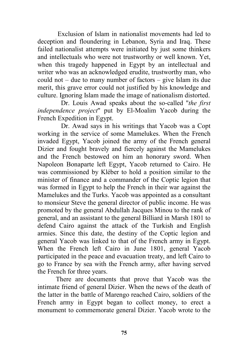Exclusion of Islam in nationalist movements had led to deception and floundering in Lebanon, Syria and Iraq. These failed nationalist attempts were initiated by just some thinkers and intellectuals who were not trustworthy or well known. Yet, when this tragedy happened in Egypt by an intellectual and writer who was an acknowledged erudite, trustworthy man, who could not – due to many number of factors – give Islam its due merit, this grave error could not justified by his knowledge and culture. Ignoring Islam made the image of nationalism distorted.

 Dr. Louis Awad speaks about the so-called ''*the first independence project*'' put by El-Moalim Yacob during the French Expedition in Egypt.

 Dr. Awad says in his writings that Yacob was a Copt working in the service of some Mamelukes. When the French invaded Egypt, Yacob joined the army of the French general Dizier and fought bravely and fiercely against the Mamelukes and the French bestowed on him an honorary sword. When Napoleon Bonaparte left Egypt, Yacob returned to Cairo. He was commissioned by Kléber to hold a position similar to the minister of finance and a commander of the Coptic legion that was formed in Egypt to help the French in their war against the Mamelukes and the Turks. Yacob was appointed as a consultant to monsieur Steve the general director of public income. He was promoted by the general Abdullah Jacques Minou to the rank of general, and an assistant to the general Billiard in Marsh 1801 to defend Cairo against the attack of the Turkish and English armies. Since this date, the destiny of the Coptic legion and general Yacob was linked to that of the French army in Egypt. When the French left Cairo in June 1801, general Yacob participated in the peace and evacuation treaty, and left Cairo to go to France by sea with the French army, after having served the French for three years.

 There are documents that prove that Yacob was the intimate friend of general Dizier. When the news of the death of the latter in the battle of Marengo reached Cairo, soldiers of the French army in Egypt began to collect money, to erect a monument to commemorate general Dizier. Yacob wrote to the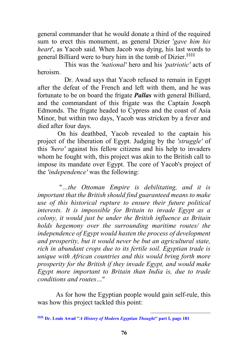general commander that he would donate a third of the required sum to erect this monument, as general Dizier '*gave him his heart*', as Yacob said. When Jacob was dying, his last words to general Billiard were to bury him in the tomb of Dizier.§§§§

 This was the *'national'* hero and his *'patriotic'* acts of heroism.

 Dr. Awad says that Yacob refused to remain in Egypt after the defeat of the French and left with them, and he was fortunate to be on board the frigate *Pallas* with general Billiard, and the commandant of this frigate was the Captain Joseph Edmonds. The frigate headed to Cypress and the coast of Asia Minor, but within two days, Yacob was stricken by a fever and died after four days.

 On his deathbed, Yacob revealed to the captain his project of the liberation of Egypt. Judging by the *'struggle'* of this *'hero'* against his fellow citizens and his help to invaders whom he fought with, this project was akin to the British call to impose its mandate over Egypt. The core of Yacob's project of the *'independence'* was the following:

 "*…the Ottoman Empire is debilitating, and it is important that the British should find guaranteed means to make use of this historical rupture to ensure their future political interests. It is impossible for Britain to invade Egypt as a colony, it would just be under the British influence as Britain holds hegemony over the surrounding maritime routes/ the independence of Egypt would hasten the process of development and prosperity, but it would never be but an agricultural state, rich in abundant crops due to its fertile soil. Egyptian trade is unique with African countries and this would bring forth more prosperity for the British if they invade Egypt, and would make Egypt more important to Britain than India is, due to trade conditions and routes…*''

 As for how the Egyptian people would gain self-rule, this was how this project tackled this point:

 $\overline{a}$ **§§§§ Dr. Louis Awad ''***A History of Modern Egyptian Thought***'' part I, page 181**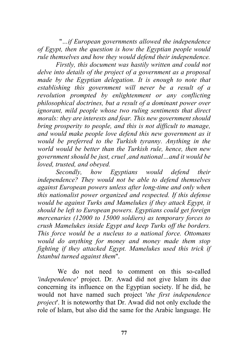"*…if European governments allowed the independence of Egypt, then the question is how the Egyptian people would rule themselves and how they would defend their independence.* 

 *Firstly, this document was hastily written and could not delve into details of the project of a government as a proposal made by the Egyptian delegation. It is enough to note that establishing this government will never be a result of a revolution prompted by enlightenment or any conflicting philosophical doctrines, but a result of a dominant power over ignorant, mild people whose two ruling sentiments that direct morals: they are interests and fear. This new government should bring prosperity to people, and this is not difficult to manage, and would make people love defend this new government as it would be preferred to the Turkish tyranny. Anything in the world would be better than the Turkish rule, hence, then new government should be just, cruel ,and national…and it would be loved, trusted, and obeyed.*

 *Secondly, how Egyptians would defend their independence? They would not be able to defend themselves against European powers unless after long-time and only when this nationalist power organized and respected. If this defense would be against Turks and Mamelukes if they attack Egypt, it should be left to European powers. Egyptians could get foreign mercenaries (12000 to 15000 soldiers) as temporary forces to crush Mamelukes inside Egypt and keep Turks off the borders. This force would be a nucleus to a national force. Ottomans would do anything for money and money made them stop fighting if they attacked Egypt. Mamelukes used this trick if Istanbul turned against them*''.

We do not need to comment on this so-called *'independence'* project. Dr. Awad did not give Islam its due concerning its influence on the Egyptian society. If he did, he would not have named such project '*the first independence project*'. It is noteworthy that Dr. Awad did not only exclude the role of Islam, but also did the same for the Arabic language. He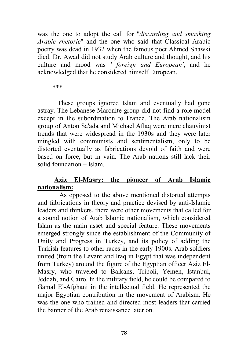was the one to adopt the call for ''*discarding and smashing Arabic rhetoric*'' and the one who said that Classical Arabic poetry was dead in 1932 when the famous poet Ahmed Shawki died. Dr. Awad did not study Arab culture and thought, and his culture and mood was *' foreign and European'*, and he acknowledged that he considered himself European.

\*\*\*

 These groups ignored Islam and eventually had gone astray. The Lebanese Maronite group did not find a role model except in the subordination to France. The Arab nationalism group of Anton Sa'ada and Michael Aflaq were mere chauvinist trends that were widespread in the 1930s and they were later mingled with communists and sentimentalism, only to be distorted eventually as fabrications devoid of faith and were based on force, but in vain. The Arab nations still lack their solid foundation – Islam.

## **Aziz El-Masry: the pioneer of Arab Islamic nationalism:**

 As opposed to the above mentioned distorted attempts and fabrications in theory and practice devised by anti-Islamic leaders and thinkers, there were other movements that called for a sound notion of Arab Islamic nationalism, which considered Islam as the main asset and special feature. These movements emerged strongly since the establishment of the Community of Unity and Progress in Turkey, and its policy of adding the Turkish features to other races in the early 1900s. Arab soldiers united (from the Levant and Iraq in Egypt that was independent from Turkey) around the figure of the Egyptian officer Aziz El-Masry, who traveled to Balkans, Tripoli, Yemen, Istanbul, Jeddah, and Cairo. In the military field, he could be compared to Gamal El-Afghani in the intellectual field. He represented the major Egyptian contribution in the movement of Arabism. He was the one who trained and directed most leaders that carried the banner of the Arab renaissance later on.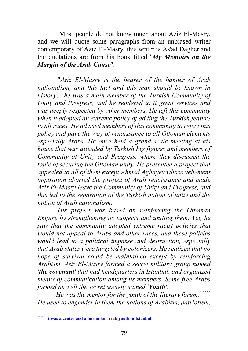Most people do not know much about Aziz El-Masry, and we will quote some paragraphs from an unbiased writer contemporary of Aziz El-Masry, this writer is As'ad Dagher and the quotations are from his book titled ''*My Memoirs on the Margin of the Arab Cause*'':

 "*Aziz El-Masry is the bearer of the banner of Arab nationalism, and this fact and this man should be known in history….he was a main member of the Turkish Community of Unity and Progress, and he rendered to it great services and was deeply respected by other members. He left this community when it adopted an extreme policy of adding the Turkish feature to all races. He advised members of this community to reject this policy and pave the way of renaissance to all Ottoman elements especially Arabs. He once held a grand scale meeting at his house that was attended by Turkish big figures and members of Community of Unity and Progress, where they discussed the topic of securing the Ottoman unity. He presented a project that appealed to all of them except Ahmed Aghayev whose vehement opposition aborted the project of Arab renaissance and made Aziz El-Masry leave the Community of Unity and Progress, and this led to the separation of the Turkish notion of unity and the notion of Arab nationalism.*

 *His project was based on reinforcing the Ottoman Empire by strengthening its subjects and uniting them. Yet, he saw that the community adopted extreme racist policies that would not appeal to Arabs and other races, and these policies would lead to a political impasse and destruction, especially that Arab states were targeted by colonizers. He realized that no hope of survival could be maintained except by reinforcing Arabism. Aziz El-Masry formed a secret military group named 'the covenant' that had headquarters in Istanbul, and organized means of communication among its members. Some free Arabs formed as well the secret society named 'Youth'.*

*He was the mentor for the youth of the literary forum.*<sup>\*\*</sup> *He used to engender in them the notions of Arabism, patriotism,* 

 $\overline{a}$ 

**<sup>\*\*\*\*\*</sup> It was a center and a forum for Arab youth in Istanbul**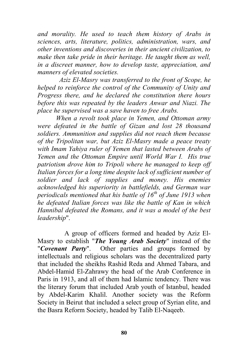*and morality. He used to teach them history of Arabs in sciences, arts, literature, politics, administration, wars, and other inventions and discoveries in their ancient civilization, to make then take pride in their heritage. He taught them as well, in a discreet manner, how to develop taste, appreciation, and manners of elevated societies.*

 *Aziz El-Masry was transferred to the front of Scope, he helped to reinforce the control of the Community of Unity and Progress there, and he declared the constitution there hours before this was repeated by the leaders Anwar and Niazi. The place he supervised was a save haven to free Arabs.*

*When a revolt took place in Yemen, and Ottoman army were defeated in the battle of Gizan and lost 28 thousand soldiers. Ammunition and supplies did not reach them because of the Tripolitan war, but Aziz El-Masry made a peace treaty with Imam Yahiya ruler of Yemen that lasted between Arabs of Yemen and the Ottoman Empire until World War I. His true patriotism drove him to Tripoli where he managed to keep off Italian forces for a long time despite lack of sufficient number of soldier and lack of supplies and money. His enemies acknowledged his superiority in battlefields, and German war periodicals mentioned that his battle of 16th of June 1913 when he defeated Italian forces was like the battle of Kan in which Hannibal defeated the Romans, and it was a model of the best leadership*''.

 A group of officers formed and headed by Aziz El-Masry to establish "*The Young Arab Society*" instead of the "*Covenant Party*". Other parties and groups formed by intellectuals and religious scholars was the decentralized party that included the sheikhs Rashid Reda and Ahmed Tabara, and Abdel-Hamid El-Zahrawy the head of the Arab Conference in Paris in 1913, and all of them had Islamic tendency. There was the literary forum that included Arab youth of Istanbul, headed by Abdel-Karim Khalil. Another society was the Reform Society in Beirut that included a select group of Syrian elite, and the Basra Reform Society, headed by Talib El-Naqeeb.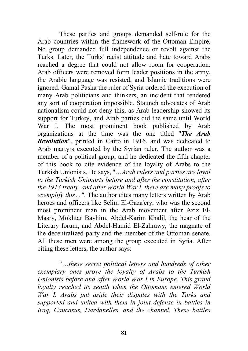These parties and groups demanded self-rule for the Arab countries within the framework of the Ottoman Empire. No group demanded full independence or revolt against the Turks. Later, the Turks' racist attitude and hate toward Arabs reached a degree that could not allow room for cooperation. Arab officers were removed form leader positions in the army, the Arabic language was resisted, and Islamic traditions were ignored. Gamal Pasha the ruler of Syria ordered the execution of many Arab politicians and thinkers, an incident that rendered any sort of cooperation impossible. Staunch advocates of Arab nationalism could not deny this, as Arab leadership showed its support for Turkey, and Arab parties did the same until World War I. The most prominent book published by Arab organizations at the time was the one titled ''*The Arab Revolution*", printed in Cairo in 1916, and was dedicated to Arab martyrs executed by the Syrian ruler. The author was a member of a political group, and he dedicated the fifth chapter of this book to cite evidence of the loyalty of Arabs to the Turkish Unionists. He says, ''…*Arab rulers and parties are loyal to the Turkish Unionists before and after the constitution, after the 1913 treaty, and after World War I. there are many proofs to exemplify this…"*. The author cites many letters written by Arab heroes and officers like Selim El-Gaza'ery, who was the second most prominent man in the Arab movement after Aziz El-Masry, Mokhtar Bayhim, Abdel-Karim Khalil, the hear of the Literary forum, and Abdel-Hamid El-Zahrawy, the magnate of the decentralized party and the member of the Ottoman senate. All these men were among the group executed in Syria. After citing these letters, the author says:

 "…*these secret political letters and hundreds of other exemplary ones prove the loyalty of Arabs to the Turkish Unionists before and after World War I in Europe. This grand loyalty reached its zenith when the Ottomans entered World War I. Arabs put aside their disputes with the Turks and supported and united with them in joint defense in battles in Iraq, Caucasus, Dardanelles, and the channel. These battles*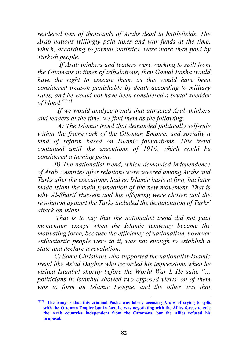*rendered tens of thousands of Arabs dead in battlefields. The Arab nations willingly paid taxes and war funds at the time, which, according to formal statistics, were more than paid by Turkish people.* 

 *If Arab thinkers and leaders were working to spilt from the Ottomans in times of tribulations, then Gamal Pasha would have the right to execute them, as this would have been considered treason punishable by death according to military rules, and he would not have been considered a brutal shedder of blood*. †††††

 *If we would analyze trends that attracted Arab thinkers and leaders at the time, we find them as the following:*

 *A) The Islamic trend that demanded politically self-rule within the framework of the Ottoman Empire, and socially a kind of reform based on Islamic foundations. This trend continued until the executions of 1916, which could be considered a turning point.*

 *B) The nationalist trend, which demanded independence of Arab countries after relations were severed among Arabs and Turks after the executions, had no Islamic basis at first, but later made Islam the main foundation of the new movement. That is why Al-Sharif Hussein and his offspring were chosen and the revolution against the Turks included the denunciation of Turks' attack on Islam.* 

 *That is to say that the nationalist trend did not gain momentum except when the Islamic tendency became the motivating force, because the efficiency of nationalism, however enthusiastic people were to it, was not enough to establish a state and declare a revolution.* 

 *C) Some Christians who supported the nationalist-Islamic trend like As'ad Dagher who recorded his impressions when he visited Istanbul shortly before the World War I. He said, ''… politicians in Istanbul showed two opposed views, on of them was to form an Islamic League, and the other was that* 

 $\overline{a}$ **††††† The irony is that this criminal Pasha was falsely accusing Arabs of trying to split with the Ottoman Empire but in fact, he was negotiating with the Allies forces to rule the Arab countries independent from the Ottomans, but the Allies refused his proposal.**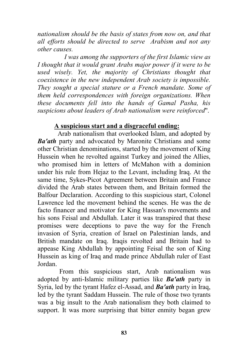*nationalism should be the basis of states from now on, and that all efforts should be directed to serve Arabism and not any other causes.*

 *I was among the supporters of the first Islamic view as I thought that it would grant Arabs major power if it were to be used wisely. Yet, the majority of Christians thought that coexistence in the new independent Arab society is impossible. They sought a special stature or a French mandate. Some of them held correspondences with foreign organizations. When these documents fell into the hands of Gamal Pasha, his suspicions about leaders of Arab nationalism were reinforced*''.

### **A suspicious start and a disgraceful ending:**

 Arab nationalism that overlooked Islam, and adopted by *Ba'ath* party and advocated by Maronite Christians and some other Christian denominations, started by the movement of King Hussein when he revolted against Turkey and joined the Allies, who promised him in letters of McMahon with a dominion under his rule from Hejaz to the Levant, including Iraq. At the same time, Sykes-Picot Agreement between Britain and France divided the Arab states between them, and Britain formed the Balfour Declaration. According to this suspicious start, Colonel Lawrence led the movement behind the scenes. He was the de facto financer and motivator for King Hassan's movements and his sons Feisal and Abdullah. Later it was transpired that these promises were deceptions to pave the way for the French invasion of Syria, creation of Israel on Palestinian lands, and British mandate on Iraq. Iraqis revolted and Britain had to appease King Abdullah by appointing Feisal the son of King Hussein as king of Iraq and made prince Abdullah ruler of East Jordan.

 From this suspicious start, Arab nationalism was adopted by anti-Islamic military parties like *Ba'ath* party in Syria, led by the tyrant Hafez el-Assad, and *Ba'ath* party in Iraq, led by the tyrant Saddam Hussein. The rule of those two tyrants was a big insult to the Arab nationalism they both claimed to support. It was more surprising that bitter enmity began grew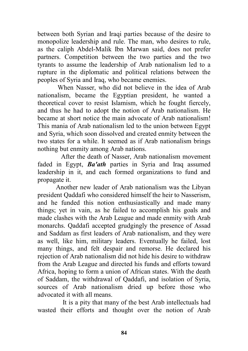between both Syrian and Iraqi parties because of the desire to monopolize leadership and rule. The man, who desires to rule, as the caliph Abdel-Malik Ibn Marwan said, does not prefer partners. Competition between the two parties and the two tyrants to assume the leadership of Arab nationalism led to a rupture in the diplomatic and political relations between the peoples of Syria and Iraq, who became enemies.

 When Nasser, who did not believe in the idea of Arab nationalism, became the Egyptian president, he wanted a theoretical cover to resist Islamism, which he fought fiercely, and thus he had to adopt the notion of Arab nationalism. He became at short notice the main advocate of Arab nationalism! This mania of Arab nationalism led to the union between Egypt and Syria, which soon dissolved and created enmity between the two states for a while. It seemed as if Arab nationalism brings nothing but enmity among Arab nations.

 After the death of Nasser, Arab nationalism movement faded in Egypt, *Ba'ath* parties in Syria and Iraq assumed leadership in it, and each formed organizations to fund and propagate it.

 Another new leader of Arab nationalism was the Libyan president Qaddafi who considered himself the heir to Nasserism, and he funded this notion enthusiastically and made many things; yet in vain, as he failed to accomplish his goals and made clashes with the Arab League and made enmity with Arab monarchs. Qaddafi accepted grudgingly the presence of Assad and Saddam as first leaders of Arab nationalism, and they were as well, like him, military leaders. Eventually he failed, lost many things, and felt despair and remorse. He declared his rejection of Arab nationalism did not hide his desire to withdraw from the Arab League and directed his funds and efforts toward Africa, hoping to form a union of African states. With the death of Saddam, the withdrawal of Qaddafi, and isolation of Syria, sources of Arab nationalism dried up before those who advocated it with all means.

 It is a pity that many of the best Arab intellectuals had wasted their efforts and thought over the notion of Arab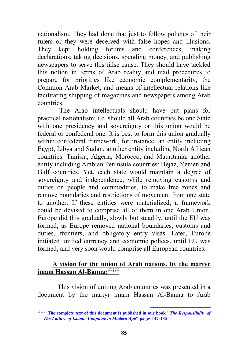nationalism. They had done that just to follow policies of their rulers or they were deceived with false hopes and illusions. They kept holding forums and conferences, making declarations, taking decisions, spending money, and publishing newspapers to serve this false cause. They should have tackled this notion in terms of Arab reality and mad procedures to prepare for priorities like economic complementarity, the Common Arab Market, and means of intellectual relations like facilitating shipping of magazines and newspapers among Arab countries.

 The Arab intellectuals should have put plans for practical nationalism; i.e. should all Arab countries be one State with one presidency and sovereignty or this union would be federal or confederal one. It is best to form this union gradually within confederal framework; for instance, an entity including Egypt, Libya and Sudan, another entity including North African countries: Tunisia, Algeria, Morocco, and Mauritania, another entity including Arabian Peninsula countries: Hejaz, Yemen and Gulf countries. Yet, each state would maintain a degree of sovereignty and independence, while removing customs and duties on people and commodities, to make free zones and remove boundaries and restrictions of movement from one state to another. If these entities were materialized, a framework could be devised to comprise all of them in one Arab Union. Europe did this gradually, slowly but steadily, until the EU was formed, as Europe removed national boundaries, customs and duties, frontiers, and obligatory entry visas. Later, Europe initiated unified currency and economic polices, until EU was formed, and very soon would comprise all European countries.

### **A vision for the union of Arab nations, by the martyr imam Hassan Al-Banna:‡‡‡‡‡**

 This vision of uniting Arab countries was presented in a document by the martyr imam Hassan Al-Banna to Arab

 $\overline{a}$ <sup>‡‡‡‡‡‡‡</sup> The complete text of this document is published in our book "*The Responsibility of The Failure of Islamic Caliphate in Modern Age***" pages 147-185**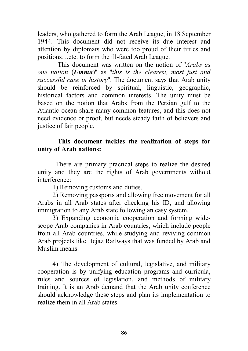leaders, who gathered to form the Arab League, in 18 September 1944. This document did not receive its due interest and attention by diplomats who were too proud of their tittles and positions…etc. to form the ill-fated Arab League.

 This document was written on the notion of ''*Arabs as one nation* (*Umma*)'' as ''*this is the clearest, most just and successful case in history*''. The document says that Arab unity should be reinforced by spiritual, linguistic, geographic, historical factors and common interests. The unity must be based on the notion that Arabs from the Persian gulf to the Atlantic ocean share many common features, and this does not need evidence or proof, but needs steady faith of believers and justice of fair people.

## **This document tackles the realization of steps for unity of Arab nations:**

 There are primary practical steps to realize the desired unity and they are the rights of Arab governments without interference:

1) Removing customs and duties.

2) Removing passports and allowing free movement for all Arabs in all Arab states after checking his ID, and allowing immigration to any Arab state following an easy system.

3) Expanding economic cooperation and forming widescope Arab companies in Arab countries, which include people from all Arab countries, while studying and reviving common Arab projects like Hejaz Railways that was funded by Arab and Muslim means.

4) The development of cultural, legislative, and military cooperation is by unifying education programs and curricula, rules and sources of legislation, and methods of military training. It is an Arab demand that the Arab unity conference should acknowledge these steps and plan its implementation to realize them in all Arab states.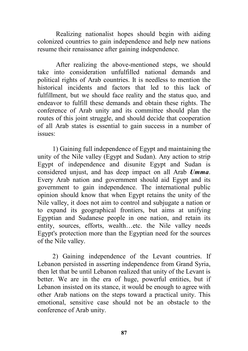Realizing nationalist hopes should begin with aiding colonized countries to gain independence and help new nations resume their renaissance after gaining independence.

 After realizing the above-mentioned steps, we should take into consideration unfulfilled national demands and political rights of Arab countries. It is needless to mention the historical incidents and factors that led to this lack of fulfillment, but we should face reality and the status quo, and endeavor to fulfill these demands and obtain these rights. The conference of Arab unity and its committee should plan the routes of this joint struggle, and should decide that cooperation of all Arab states is essential to gain success in a number of issues:

1) Gaining full independence of Egypt and maintaining the unity of the Nile valley (Egypt and Sudan). Any action to strip Egypt of independence and disunite Egypt and Sudan is considered unjust, and has deep impact on all Arab *Umma*. Every Arab nation and government should aid Egypt and its government to gain independence. The international public opinion should know that when Egypt retains the unity of the Nile valley, it does not aim to control and subjugate a nation or to expand its geographical frontiers, but aims at unifying Egyptian and Sudanese people in one nation, and retain its entity, sources, efforts, wealth…etc. the Nile valley needs Egypt's protection more than the Egyptian need for the sources of the Nile valley.

2) Gaining independence of the Levant countries. If Lebanon persisted in asserting independence from Grand Syria, then let that be until Lebanon realized that unity of the Levant is better. We are in the era of huge, powerful entities, but if Lebanon insisted on its stance, it would be enough to agree with other Arab nations on the steps toward a practical unity. This emotional, sensitive case should not be an obstacle to the conference of Arab unity.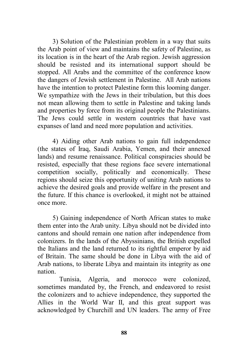3) Solution of the Palestinian problem in a way that suits the Arab point of view and maintains the safety of Palestine, as its location is in the heart of the Arab region. Jewish aggression should be resisted and its international support should be stopped. All Arabs and the committee of the conference know the dangers of Jewish settlement in Palestine. All Arab nations have the intention to protect Palestine form this looming danger. We sympathize with the Jews in their tribulation, but this does not mean allowing them to settle in Palestine and taking lands and properties by force from its original people the Palestinians. The Jews could settle in western countries that have vast expanses of land and need more population and activities.

4) Aiding other Arab nations to gain full independence (the states of Iraq, Saudi Arabia, Yemen, and their annexed lands) and resume renaissance. Political conspiracies should be resisted, especially that these regions face severe international competition socially, politically and economically. These regions should seize this opportunity of uniting Arab nations to achieve the desired goals and provide welfare in the present and the future. If this chance is overlooked, it might not be attained once more.

5) Gaining independence of North African states to make them enter into the Arab unity. Libya should not be divided into cantons and should remain one nation after independence from colonizers. In the lands of the Abyssinians, the British expelled the Italians and the land returned to its rightful emperor by aid of Britain. The same should be done in Libya with the aid of Arab nations, to liberate Libya and maintain its integrity as one nation.

 Tunisia, Algeria, and morocco were colonized, sometimes mandated by, the French, and endeavored to resist the colonizers and to achieve independence, they supported the Allies in the World War II, and this great support was acknowledged by Churchill and UN leaders. The army of Free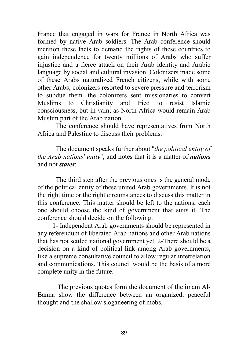France that engaged in wars for France in North Africa was formed by native Arab soldiers. The Arab conference should mention these facts to demand the rights of these countries to gain independence for twenty millions of Arabs who suffer injustice and a fierce attack on their Arab identity and Arabic language by social and cultural invasion. Colonizers made some of these Arabs naturalized French citizens, while with some other Arabs; colonizers resorted to severe pressure and terrorism to subdue them. the colonizers sent missionaries to convert Muslims to Christianity and tried to resist Islamic consciousness, but in vain; as North Africa would remain Arab Muslim part of the Arab nation.

 The conference should have representatives from North Africa and Palestine to discuss their problems.

 The document speaks further about ''*the political entity of the Arab nations' unity*'', and notes that it is a matter of *nations* and not *states*:

 The third step after the previous ones is the general mode of the political entity of these united Arab governments. It is not the right time or the right circumstances to discuss this matter in this conference. This matter should be left to the nations; each one should choose the kind of government that suits it. The conference should decide on the following:

1- Independent Arab governments should be represented in any referendum of liberated Arab nations and other Arab nations that has not settled national government yet. 2-There should be a decision on a kind of political link among Arab governments, like a supreme consultative council to allow regular interrelation and communications. This council would be the basis of a more complete unity in the future.

 The previous quotes form the document of the imam Al-Banna show the difference between an organized, peaceful thought and the shallow sloganeering of mobs.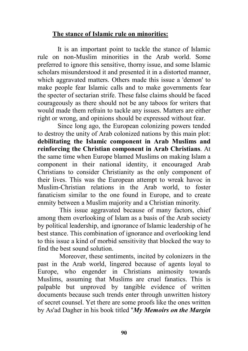## **The stance of Islamic rule on minorities:**

 It is an important point to tackle the stance of Islamic rule on non-Muslim minorities in the Arab world. Some preferred to ignore this sensitive, thorny issue, and some Islamic scholars misunderstood it and presented it in a distorted manner, which aggravated matters. Others made this issue a 'demon' to make people fear Islamic calls and to make governments fear the specter of sectarian strife. These false claims should be faced courageously as there should not be any taboos for writers that would made them refrain to tackle any issues. Matters are either right or wrong, and opinions should be expressed without fear.

 Since long ago, the European colonizing powers tended to destroy the unity of Arab colonized nations by this main plot: **debilitating the Islamic component in Arab Muslims and reinforcing the Christian component in Arab Christians**. At the same time when Europe blamed Muslims on making Islam a component in their national identity, it encouraged Arab Christians to consider Christianity as the only component of their lives. This was the European attempt to wreak havoc in Muslim-Christian relations in the Arab world, to foster fanaticism similar to the one found in Europe, and to create enmity between a Muslim majority and a Christian minority.

 This issue aggravated because of many factors, chief among them overlooking of Islam as a basis of the Arab society by political leadership, and ignorance of Islamic leadership of he best stance. This combination of ignorance and overlooking lend to this issue a kind of morbid sensitivity that blocked the way to find the best sound solution.

 Moreover, these sentiments, incited by colonizers in the past in the Arab world, lingered because of agents loyal to Europe, who engender in Christians animosity towards Muslims, assuming that Muslims are cruel fanatics. This is palpable but unproved by tangible evidence of written documents because such trends enter through unwritten history of secret counsel. Yet there are some proofs like the ones written by As'ad Dagher in his book titled ''*My Memoirs on the Margin*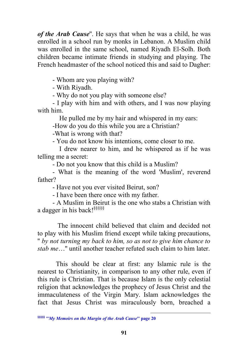*of the Arab Cause*''. He says that when he was a child, he was enrolled in a school run by monks in Lebanon. A Muslim child was enrolled in the same school, named Riyadh El-Solh. Both children became intimate friends in studying and playing. The French headmaster of the school noticed this and said to Dagher:

- Whom are you playing with?

- With Riyadh.

- Why do not you play with someone else?

- I play with him and with others, and I was now playing with him.

He pulled me by my hair and whispered in my ears:

-How do you do this while you are a Christian?

-What is wrong with that?

- You do not know his intentions, come closer to me.

 I drew nearer to him, and he whispered as if he was telling me a secret:

- Do not you know that this child is a Muslim?

- What is the meaning of the word 'Muslim', reverend father?

- Have not you ever visited Beirut, son?

- I have been there once with my father.

- A Muslim in Beirut is the one who stabs a Christian with a dagger in his back!§§§§§

 The innocent child believed that claim and decided not to play with his Muslim friend except while taking precautions, '' *by not turning my back to him, so as not to give him chance to stab me*…'' until another teacher refuted such claim to him later.

 This should be clear at first: any Islamic rule is the nearest to Christianity, in comparison to any other rule, even if this rule is Christian. That is because Islam is the only celestial religion that acknowledges the prophecy of Jesus Christ and the immaculateness of the Virgin Mary. Islam acknowledges the fact that Jesus Christ was miraculously born, breached a

 $\overline{a}$ **§§§§§ ''***My Memoirs on the Margin of the Arab Cause***'' page 20**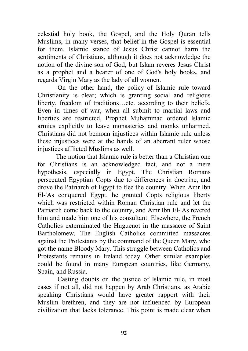celestial holy book, the Gospel, and the Holy Quran tells Muslims, in many verses, that belief in the Gospel is essential for them. Islamic stance of Jesus Christ cannot harm the sentiments of Christians, although it does not acknowledge the notion of the divine son of God, but Islam reveres Jesus Christ as a prophet and a bearer of one of God's holy books, and regards Virgin Mary as the lady of all women.

 On the other hand, the policy of Islamic rule toward Christianity is clear; which is granting social and religious liberty, freedom of traditions…etc. according to their beliefs. Even in times of war, when all submit to martial laws and liberties are restricted, Prophet Muhammad ordered Islamic armies explicitly to leave monasteries and monks unharmed. Christians did not bemoan injustices within Islamic rule unless these injustices were at the hands of an aberrant ruler whose injustices afflicted Muslims as well.

 The notion that Islamic rule is better than a Christian one for Christians is an acknowledged fact, and not a mere hypothesis, especially in Egypt. The Christian Romans persecuted Egyptian Copts due to differences in doctrine, and drove the Patriarch of Egypt to flee the country. When Amr Ibn El-'As conquered Egypt, he granted Copts religious liberty which was restricted within Roman Christian rule and let the Patriarch come back to the country, and Amr Ibn El-'As revered him and made him one of his consultant. Elsewhere, the French Catholics exterminated the Huguenot in the massacre of Saint Bartholomew. The English Catholics committed massacres against the Protestants by the command of the Queen Mary, who got the name Bloody Mary. This struggle between Catholics and Protestants remains in Ireland today. Other similar examples could be found in many European countries, like Germany, Spain, and Russia.

 Casting doubts on the justice of Islamic rule, in most cases if not all, did not happen by Arab Christians, as Arabic speaking Christians would have greater rapport with their Muslim brethren, and they are not influenced by European civilization that lacks tolerance. This point is made clear when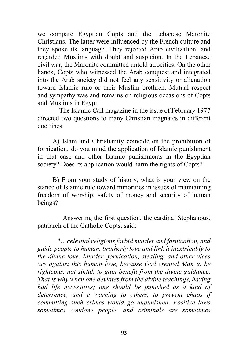we compare Egyptian Copts and the Lebanese Maronite Christians. The latter were influenced by the French culture and they spoke its language. They rejected Arab civilization, and regarded Muslims with doubt and suspicion. In the Lebanese civil war, the Maronite committed untold atrocities. On the other hands, Copts who witnessed the Arab conquest and integrated into the Arab society did not feel any sensitivity or alienation toward Islamic rule or their Muslim brethren. Mutual respect and sympathy was and remains on religious occasions of Copts and Muslims in Egypt.

 The Islamic Call magazine in the issue of February 1977 directed two questions to many Christian magnates in different doctrines:

A) Islam and Christianity coincide on the prohibition of fornication; do you mind the application of Islamic punishment in that case and other Islamic punishments in the Egyptian society? Does its application would harm the rights of Copts?

B) From your study of history, what is your view on the stance of Islamic rule toward minorities in issues of maintaining freedom of worship, safety of money and security of human beings?

 Answering the first question, the cardinal Stephanous, patriarch of the Catholic Copts, said:

 "…*celestial religions forbid murder and fornication, and guide people to human, brotherly love and link it inextricably to the divine love. Murder, fornication, stealing, and other vices are against this human love, because God created Man to be righteous, not sinful, to gain benefit from the divine guidance. That is why when one deviates from the divine teachings, having had life necessities; one should be punished as a kind of deterrence, and a warning to others, to prevent chaos if committing such crimes would go unpunished. Positive laws sometimes condone people, and criminals are sometimes*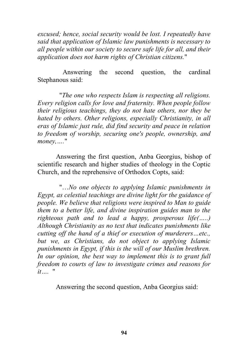*excused; hence, social security would be lost. I repeatedly have said that application of Islamic law punishments is necessary to all people within our society to secure safe life for all, and their application does not harm rights of Christian citizens.*"

 Answering the second question, the cardinal Stephanous said:

 "*The one who respects Islam is respecting all religions. Every religion calls for love and fraternity. When people follow their religious teachings, they do not hate others, nor they be hated by others. Other religions, especially Christianity, in all eras of Islamic just rule, did find security and peace in relation to freedom of worship, securing one's people, ownership, and money,….*"

 Answering the first question, Anba Georgius, bishop of scientific research and higher studies of theology in the Coptic Church, and the reprehensive of Orthodox Copts, said:

 "…*No one objects to applying Islamic punishments in Egypt, as celestial teachings are divine light for the guidance of people. We believe that religions were inspired to Man to guide them to a better life, and divine inspiration guides man to the righteous path and to lead a happy, prosperous life(…..) Although Christianity as no text that indicates punishments like cutting off the hand of a thief or execution of murderers…etc., but we, as Christians, do not object to applying Islamic punishments in Egypt, if this is the will of our Muslim brethren.*  In our opinion, the best way to implement this is to grant full *freedom to courts of law to investigate crimes and reasons for it….* "

Answering the second question, Anba Georgius said: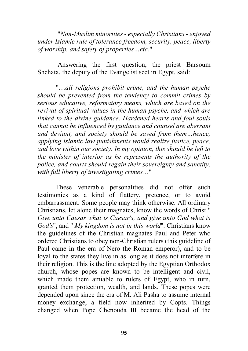"*Non-Muslim minorities - especially Christians - enjoyed under Islamic rule of tolerance freedom, security, peace, liberty of worship, and safety of properties…etc.*"

 Answering the first question, the priest Barsoum Shehata, the deputy of the Evangelist sect in Egypt, said:

 "…*all religions prohibit crime, and the human psyche should be prevented from the tendency to commit crimes by serious educative, reformatory means, which are based on the revival of spiritual values in the human psyche, and which are linked to the divine guidance. Hardened hearts and foul souls that cannot be influenced by guidance and counsel are aberrant and deviant, and society should be saved from them…hence, applying Islamic law punishments would realize justice, peace, and love within our society. In my opinion, this should be left to the minister of interior as he represents the authority of the police, and courts should regain their sovereignty and sanctity, with full liberty of investigating crimes…*"

 These venerable personalities did not offer such testimonies as a kind of flattery, pretence, or to avoid embarrassment. Some people may think otherwise. All ordinary Christians, let alone their magnates, know the words of Christ '' *Give unto Caesar what is Caesar's, and give unto God what is God's*'', and '' *My kingdom is not in this world*''. Christians know the guidelines of the Christian magnates Paul and Peter who ordered Christians to obey non-Christian rulers (this guideline of Paul came in the era of Nero the Roman emperor), and to be loyal to the states they live in as long as it does not interfere in their religion. This is the line adopted by the Egyptian Orthodox church, whose popes are known to be intelligent and civil, which made them amiable to rulers of Egypt, who in turn, granted them protection, wealth, and lands. These popes were depended upon since the era of M. Ali Pasha to assume internal money exchange, a field now inherited by Copts. Things changed when Pope Chenouda III became the head of the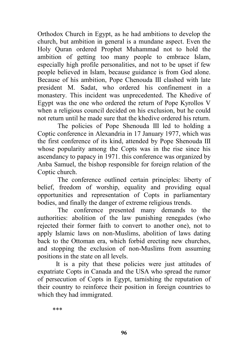Orthodox Church in Egypt, as he had ambitions to develop the church, but ambition in general is a mundane aspect. Even the Holy Quran ordered Prophet Muhammad not to hold the ambition of getting too many people to embrace Islam, especially high profile personalities, and not to be upset if few people believed in Islam, because guidance is from God alone. Because of his ambition, Pope Chenouda III clashed with late president M. Sadat, who ordered his confinement in a monastery. This incident was unprecedented. The Khedive of Egypt was the one who ordered the return of Pope Kyrollos V when a religious council decided on his exclusion, but he could not return until he made sure that the khedive ordered his return.

 The policies of Pope Shenouda III led to holding a Coptic conference in Alexandria in 17 January 1977, which was the first conference of its kind, attended by Pope Shenouda III whose popularity among the Copts was in the rise since his ascendancy to papacy in 1971. this conference was organized by Anba Samuel, the bishop responsible for foreign relation of the Coptic church.

 The conference outlined certain principles: liberty of belief, freedom of worship, equality and providing equal opportunities and representation of Copts in parliamentary bodies, and finally the danger of extreme religious trends.

 The conference presented many demands to the authorities: abolition of the law punishing renegades (who rejected their former faith to convert to another one), not to apply Islamic laws on non-Muslims, abolition of laws dating back to the Ottoman era, which forbid erecting new churches, and stopping the exclusion of non-Muslims from assuming positions in the state on all levels.

 It is a pity that these policies were just attitudes of expatriate Copts in Canada and the USA who spread the rumor of persecution of Copts in Egypt, tarnishing the reputation of their country to reinforce their position in foreign countries to which they had immigrated.

\*\*\*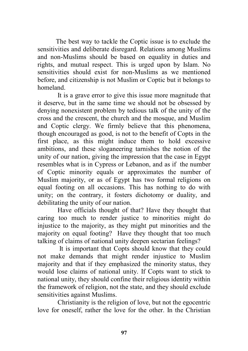The best way to tackle the Coptic issue is to exclude the sensitivities and deliberate disregard. Relations among Muslims and non-Muslims should be based on equality in duties and rights, and mutual respect. This is urged upon by Islam. No sensitivities should exist for non-Muslims as we mentioned before, and citizenship is not Muslim or Coptic but it belongs to homeland.

 It is a grave error to give this issue more magnitude that it deserve, but in the same time we should not be obsessed by denying nonexistent problem by tedious talk of the unity of the cross and the crescent, the church and the mosque, and Muslim and Coptic clergy. We firmly believe that this phenomena, though encouraged as good, is not to the benefit of Copts in the first place, as this might induce them to hold excessive ambitions, and these sloganeering tarnishes the notion of the unity of our nation, giving the impression that the case in Egypt resembles what is in Cypress or Lebanon, and as if the number of Coptic minority equals or approximates the number of Muslim majority, or as of Egypt has two formal religions on equal footing on all occasions. This has nothing to do with unity; on the contrary, it fosters dichotomy or duality, and debilitating the unity of our nation.

 Have officials thought of that? Have they thought that caring too much to render justice to minorities might do injustice to the majority, as they might put minorities and the majority on equal footing? Have they thought that too much talking of claims of national unity deepen sectarian feelings?

 It is important that Copts should know that they could not make demands that might render injustice to Muslim majority and that if they emphasized the minority status, they would lose claims of national unity. If Copts want to stick to national unity, they should confine their religious identity within the framework of religion, not the state, and they should exclude sensitivities against Muslims.

 Christianity is the religion of love, but not the egocentric love for oneself, rather the love for the other. In the Christian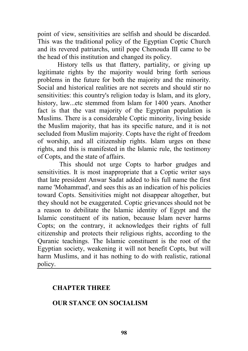point of view, sensitivities are selfish and should be discarded. This was the traditional policy of the Egyptian Coptic Church and its revered patriarchs, until pope Chenouda III came to be the head of this institution and changed its policy.

 History tells us that flattery, partiality, or giving up legitimate rights by the majority would bring forth serious problems in the future for both the majority and the minority. Social and historical realities are not secrets and should stir no sensitivities: this country's religion today is Islam, and its glory, history, law...etc stemmed from Islam for 1400 years. Another fact is that the vast majority of the Egyptian population is Muslims. There is a considerable Coptic minority, living beside the Muslim majority, that has its specific nature, and it is not secluded from Muslim majority. Copts have the right of freedom of worship, and all citizenship rights. Islam urges on these rights, and this is manifested in the Islamic rule, the testimony of Copts, and the state of affairs.

 This should not urge Copts to harbor grudges and sensitivities. It is most inappropriate that a Coptic writer says that late president Anwar Sadat added to his full name the first name 'Mohammad', and sees this as an indication of his policies toward Copts. Sensitivities might not disappear altogether, but they should not be exaggerated. Coptic grievances should not be a reason to debilitate the Islamic identity of Egypt and the Islamic constituent of its nation, because Islam never harms Copts; on the contrary, it acknowledges their rights of full citizenship and protects their religious rights, according to the Quranic teachings. The Islamic constituent is the root of the Egyptian society, weakening it will not benefit Copts, but will harm Muslims, and it has nothing to do with realistic, rational policy.

# **CHAPTER THREE**

# **OUR STANCE ON SOCIALISM**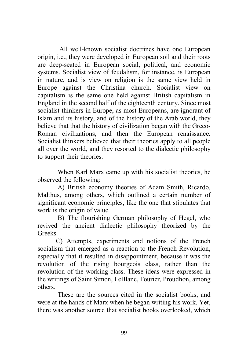All well-known socialist doctrines have one European origin, i.e., they were developed in European soil and their roots are deep-seated in European social, political, and economic systems. Socialist view of feudalism, for instance, is European in nature, and is view on religion is the same view held in Europe against the Christina church. Socialist view on capitalism is the same one held against British capitalism in England in the second half of the eighteenth century. Since most socialist thinkers in Europe, as most Europeans, are ignorant of Islam and its history, and of the history of the Arab world, they believe that that the history of civilization began with the Greco-Roman civilizations, and then the European renaissance. Socialist thinkers believed that their theories apply to all people all over the world, and they resorted to the dialectic philosophy to support their theories.

 When Karl Marx came up with his socialist theories, he observed the following:

 A) British economy theories of Adam Smith, Ricardo, Malthus, among others, which outlined a certain number of significant economic principles, like the one that stipulates that work is the origin of value.

 B) The flourishing German philosophy of Hegel, who revived the ancient dialectic philosophy theorized by the Greeks.

 C) Attempts, experiments and notions of the French socialism that emerged as a reaction to the French Revolution, especially that it resulted in disappointment, because it was the revolution of the rising bourgeois class, rather than the revolution of the working class. These ideas were expressed in the writings of Saint Simon, LeBlanc, Fourier, Proudhon, among others.

 These are the sources cited in the socialist books, and were at the hands of Marx when he began writing his work. Yet, there was another source that socialist books overlooked, which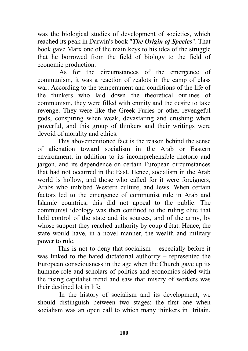was the biological studies of development of societies, which reached its peak in Darwin's book "*The Origin of Species*". That book gave Marx one of the main keys to his idea of the struggle that he borrowed from the field of biology to the field of economic production.

 As for the circumstances of the emergence of communism, it was a reaction of zealots in the camp of class war. According to the temperament and conditions of the life of the thinkers who laid down the theoretical outlines of communism, they were filled with enmity and the desire to take revenge. They were like the Greek Furies or other revengeful gods, conspiring when weak, devastating and crushing when powerful, and this group of thinkers and their writings were devoid of morality and ethics.

 This abovementioned fact is the reason behind the sense of alienation toward socialism in the Arab or Eastern environment, in addition to its incomprehensible rhetoric and jargon, and its dependence on certain European circumstances that had not occurred in the East. Hence, socialism in the Arab world is hollow, and those who called for it were foreigners, Arabs who imbibed Western culture, and Jews. When certain factors led to the emergence of communist rule in Arab and Islamic countries, this did not appeal to the public. The communist ideology was then confined to the ruling elite that held control of the state and its sources, and of the army, by whose support they reached authority by coup d'état. Hence, the state would have, in a novel manner, the wealth and military power to rule.

 This is not to deny that socialism – especially before it was linked to the hated dictatorial authority – represented the European consciousness in the age when the Church gave up its humane role and scholars of politics and economics sided with the rising capitalist trend and saw that misery of workers was their destined lot in life.

 In the history of socialism and its development, we should distinguish between two stages: the first one when socialism was an open call to which many thinkers in Britain,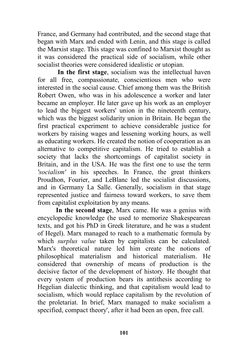France, and Germany had contributed, and the second stage that began with Marx and ended with Lenin, and this stage is called the Marxist stage. This stage was confined to Marxist thought as it was considered the practical side of socialism, while other socialist theories were considered idealistic or utopian.

 **In the first stage**, socialism was the intellectual haven for all free, compassionate, conscientious men who were interested in the social cause. Chief among them was the British Robert Owen, who was in his adolescence a worker and later became an employer. He later gave up his work as an employer to lead the biggest workers' union in the nineteenth century, which was the biggest solidarity union in Britain. He began the first practical experiment to achieve considerable justice for workers by raising wages and lessening working hours, as well as educating workers. He created the notion of cooperation as an alternative to competitive capitalism. He tried to establish a society that lacks the shortcomings of capitalist society in Britain, and in the USA. He was the first one to use the term *'socialism'* in his speeches. In France, the great thinkers Proudhon, Fourier, and LeBlanc led the socialist discussions, and in Germany La Salle. Generally, socialism in that stage represented justice and fairness toward workers, to save them from capitalist exploitation by any means.

 **In the second stage**, Marx came. He was a genius with encyclopedic knowledge (he used to memorize Shakespearean texts, and got his PhD in Greek literature, and he was a student of Hegel). Marx managed to reach to a mathematic formula by which *surplus value* taken by capitalists can be calculated. Marx's theoretical nature led him create the notions of philosophical materialism and historical materialism. He considered that ownership of means of production is the decisive factor of the development of history. He thought that every system of production bears its antithesis according to Hegelian dialectic thinking, and that capitalism would lead to socialism, which would replace capitalism by the revolution of the proletariat. In brief, Marx managed to make socialism a specified, compact theory', after it had been an open, free call.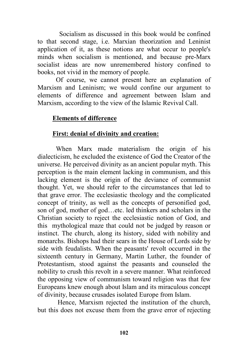Socialism as discussed in this book would be confined to that second stage, i.e. Marxian theorization and Leninist application of it, as these notions are what occur to people's minds when socialism is mentioned, and because pre-Marx socialist ideas are now unremembered history confined to books, not vivid in the memory of people.

 Of course, we cannot present here an explanation of Marxism and Leninism; we would confine our argument to elements of difference and agreement between Islam and Marxism, according to the view of the Islamic Revival Call.

### **Elements of difference**

### **First: denial of divinity and creation:**

 When Marx made materialism the origin of his dialecticism, he excluded the existence of God the Creator of the universe. He perceived divinity as an ancient popular myth. This perception is the main element lacking in communism, and this lacking element is the origin of the deviance of communist thought. Yet, we should refer to the circumstances that led to that grave error. The ecclesiastic theology and the complicated concept of trinity, as well as the concepts of personified god, son of god, mother of god…etc. led thinkers and scholars in the Christian society to reject the ecclesiastic notion of God, and this mythological maze that could not be judged by reason or instinct. The church, along its history, sided with nobility and monarchs. Bishops had their sears in the House of Lords side by side with feudalists. When the peasants' revolt occurred in the sixteenth century in Germany, Martin Luther, the founder of Protestantism, stood against the peasants and counseled the nobility to crush this revolt in a severe manner. What reinforced the opposing view of communism toward religion was that few Europeans knew enough about Islam and its miraculous concept of divinity, because crusades isolated Europe from Islam.

 Hence, Marxism rejected the institution of the church, but this does not excuse them from the grave error of rejecting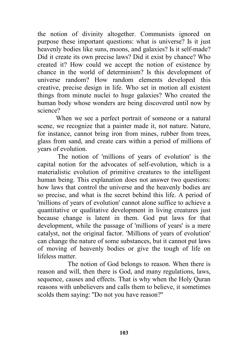the notion of divinity altogether. Communists ignored on purpose these important questions: what is universe? Is it just heavenly bodies like suns, moons, and galaxies? Is it self-made? Did it create its own precise laws? Did it exist by chance? Who created it? How could we accept the notion of existence by chance in the world of determinism? Is this development of universe random? How random elements developed this creative, precise design in life. Who set in motion all existent things from minute nuclei to huge galaxies? Who created the human body whose wonders are being discovered until now by science?

 When we see a perfect portrait of someone or a natural scene, we recognize that a painter made it, not nature. Nature, for instance, cannot bring iron from mines, rubber from trees, glass from sand, and create cars within a period of millions of years of evolution.

 The notion of 'millions of years of evolution' is the capital notion for the advocates of self-evolution, which is a materialistic evolution of primitive creatures to the intelligent human being. This explanation does not answer two questions: how laws that control the universe and the heavenly bodies are so precise, and what is the secret behind this life. A period of 'millions of years of evolution' cannot alone suffice to achieve a quantitative or qualitative development in living creatures just because change is latent in them. God put laws for that development, while the passage of 'millions of years' is a mere catalyst, not the original factor. 'Millions of years of evolution' can change the nature of some substances, but it cannot put laws of moving of heavenly bodies or give the tough of life on lifeless matter.

 The notion of God belongs to reason. When there is reason and will, then there is God, and many regulations, laws, sequence, causes and effects. That is why when the Holy Quran reasons with unbelievers and calls them to believe, it sometimes scolds them saying: ''Do not you have reason?''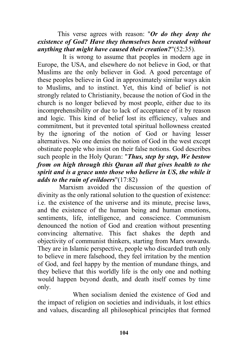This verse agrees with reason: ''*Or do they deny the existence of God? Have they themselves been created without anything that might have caused their creation?*"(52:35).

 It is wrong to assume that peoples in modern age in Europe, the USA, and elsewhere do not believe in God, or that Muslims are the only believer in God. A good percentage of these peoples believe in God in approximately similar ways akin to Muslims, and to instinct. Yet, this kind of belief is not strongly related to Christianity, because the notion of God in the church is no longer believed by most people, either due to its incomprehensibility or due to lack of acceptance of it by reason and logic. This kind of belief lost its efficiency, values and commitment, but it prevented total spiritual hollowness created by the ignoring of the notion of God or having lesser alternatives. No one denies the notion of God in the west except obstinate people who insist on their false notions. God describes such people in the Holy Quran: "*Thus, step by step, We bestow from on high through this Quran all that gives health to the spirit and is a grace unto those who believe in US, the while it adds to the ruin of evildoers*"(17:82)

 Marxism avoided the discussion of the question of divinity as the only rational solution to the question of existence: i.e. the existence of the universe and its minute, precise laws, and the existence of the human being and human emotions, sentiments, life, intelligence, and conscience. Communism denounced the notion of God and creation without presenting convincing alternative. This fact shakes the depth and objectivity of communist thinkers, starting from Marx onwards. They are in Islamic perspective, people who discarded truth only to believe in mere falsehood, they feel irritation by the mention of God, and feel happy by the mention of mundane things, and they believe that this worldly life is the only one and nothing would happen beyond death, and death itself comes by time only.

 When socialism denied the existence of God and the impact of religion on societies and individuals, it lost ethics and values, discarding all philosophical principles that formed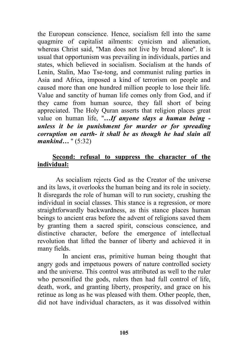the European conscience. Hence, socialism fell into the same quagmire of capitalist ailments: cynicism and alienation, whereas Christ said, ''Man does not live by bread alone''. It is usual that opportunism was prevailing in individuals, parties and states, which believed in socialism. Socialism at the hands of Lenin, Stalin, Mao Tse-tong, and communist ruling parties in Asia and Africa, imposed a kind of terrorism on people and caused more than one hundred million people to lose their life. Value and sanctity of human life comes only from God, and if they came from human source, they fall short of being appreciated. The Holy Quran asserts that religion places great value on human life, ''*…If anyone slays a human being unless it be in punishment for murder or for spreading corruption on earth- it shall be as though he had slain all mankind...* " (5:32)

# **Second: refusal to suppress the character of the individual:**

 As socialism rejects God as the Creator of the universe and its laws, it overlooks the human being and its role in society. It disregards the role of human will to run society, crushing the individual in social classes. This stance is a regression, or more straightforwardly backwardness, as this stance places human beings to ancient eras before the advent of religions saved them by granting them a sacred spirit, conscious conscience, and distinctive character, before the emergence of intellectual revolution that lifted the banner of liberty and achieved it in many fields.

 In ancient eras, primitive human being thought that angry gods and impetuous powers of nature controlled society and the universe. This control was attributed as well to the ruler who personified the gods, rulers then had full control of life, death, work, and granting liberty, prosperity, and grace on his retinue as long as he was pleased with them. Other people, then, did not have individual characters, as it was dissolved within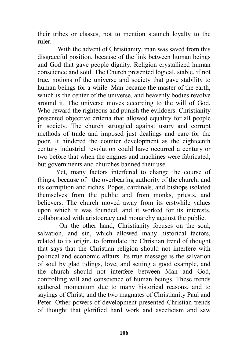their tribes or classes, not to mention staunch loyalty to the ruler.

 With the advent of Christianity, man was saved from this disgraceful position, because of the link between human beings and God that gave people dignity. Religion crystallized human conscience and soul. The Church presented logical, stable, if not true, notions of the universe and society that gave stability to human beings for a while. Man became the master of the earth, which is the center of the universe, and heavenly bodies revolve around it. The universe moves according to the will of God, Who reward the righteous and punish the evildoers. Christianity presented objective criteria that allowed equality for all people in society. The church struggled against usury and corrupt methods of trade and imposed just dealings and care for the poor. It hindered the counter development as the eighteenth century industrial revolution could have occurred a century or two before that when the engines and machines were fabricated, but governments and churches banned their use.

 Yet, many factors interfered to change the course of things, because of the overbearing authority of the church, and its corruption and riches. Popes, cardinals, and bishops isolated themselves from the public and from monks, priests, and believers. The church moved away from its erstwhile values upon which it was founded, and it worked for its interests, collaborated with aristocracy and monarchy against the public.

 On the other hand, Christianity focuses on the soul, salvation, and sin, which allowed many historical factors, related to its origin, to formulate the Christian trend of thought that says that the Christian religion should not interfere with political and economic affairs. Its true message is the salvation of soul by glad tidings, love, and setting a good example, and the church should not interfere between Man and God, controlling will and conscience of human beings. These trends gathered momentum due to many historical reasons, and to sayings of Christ, and the two magnates of Christianity Paul and Peter. Other powers of development presented Christian trends of thought that glorified hard work and asceticism and saw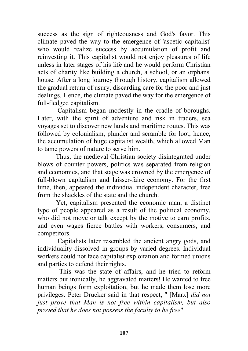success as the sign of righteousness and God's favor. This climate paved the way to the emergence of 'ascetic capitalist' who would realize success by accumulation of profit and reinvesting it. This capitalist would not enjoy pleasures of life unless in later stages of his life and he would perform Christian acts of charity like building a church, a school, or an orphans' house. After a long journey through history, capitalism allowed the gradual return of usury, discarding care for the poor and just dealings. Hence, the climate paved the way for the emergence of full-fledged capitalism.

 Capitalism began modestly in the cradle of boroughs. Later, with the spirit of adventure and risk in traders, sea voyages set to discover new lands and maritime routes. This was followed by colonialism, plunder and scramble for loot; hence, the accumulation of huge capitalist wealth, which allowed Man to tame powers of nature to serve him.

 Thus, the medieval Christian society disintegrated under blows of counter powers, politics was separated from religion and economics, and that stage was crowned by the emergence of full-blown capitalism and laisser-faire economy. For the first time, then, appeared the individual independent character, free from the shackles of the state and the church.

 Yet, capitalism presented the economic man, a distinct type of people appeared as a result of the political economy, who did not move or talk except by the motive to earn profits, and even wages fierce battles with workers, consumers, and competitors.

 Capitalists later resembled the ancient angry gods, and individuality dissolved in groups by varied degrees. Individual workers could not face capitalist exploitation and formed unions and parties to defend their rights.

 This was the state of affairs, and he tried to reform matters but ironically, he aggravated matters! He wanted to free human beings form exploitation, but he made them lose more privileges. Peter Drucker said in that respect, '' [Marx] *did not just prove that Man is not free within capitalism, but also proved that he does not possess the faculty to be free*''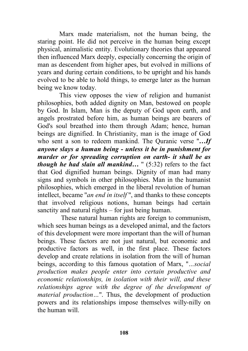Marx made materialism, not the human being, the staring point. He did not perceive in the human being except physical, animalistic entity. Evolutionary theories that appeared then influenced Marx deeply, especially concerning the origin of man as descendent from higher apes, but evolved in millions of years and during certain conditions, to be upright and his hands evolved to be able to hold things, to emerge later as the human being we know today.

 This view opposes the view of religion and humanist philosophies, both added dignity on Man, bestowed on people by God. In Islam, Man is the deputy of God upon earth, and angels prostrated before him, as human beings are bearers of God's soul breathed into them through Adam; hence, human beings are dignified. In Christianity, man is the image of God who sent a son to redeem mankind. The Quranic verse "...If *anyone slays a human being - unless it be in punishment for murder or for spreading corruption on earth- it shall be as though he had slain all mankind...* " (5:32) refers to the fact that God dignified human beings. Dignity of man had many signs and symbols in other philosophies. Man in the humanist philosophies, which emerged in the liberal revolution of human intellect, became ''*an end in itself* '', and thanks to these concepts that involved religious notions, human beings had certain sanctity and natural rights – for just being human.

 These natural human rights are foreign to communism, which sees human beings as a developed animal, and the factors of this development were more important than the will of human beings. These factors are not just natural, but economic and productive factors as well, in the first place. These factors develop and create relations in isolation from the will of human beings, according to this famous quotation of Marx, ''*…social production makes people enter into certain productive and economic relationships, in isolation with their will, and these relationships agree with the degree of the development of material production*...". Thus, the development of production powers and its relationships impose themselves willy-nilly on the human will.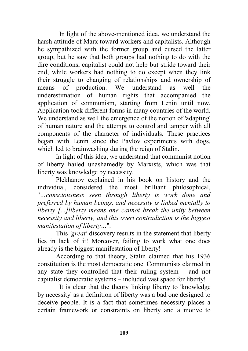In light of the above-mentioned idea, we understand the harsh attitude of Marx toward workers and capitalists. Although he sympathized with the former group and cursed the latter group, but he saw that both groups had nothing to do with the dire conditions, capitalist could not help but stride toward their end, while workers had nothing to do except when they link their struggle to changing of relationships and ownership of means of production. We understand as well the underestimation of human rights that accompanied the application of communism, starting from Lenin until now. Application took different forms in many countries of the world. We understand as well the emergence of the notion of 'adapting' of human nature and the attempt to control and tamper with all components of the character of individuals. These practices began with Lenin since the Pavlov experiments with dogs, which led to brainwashing during the reign of Stalin.

 In light of this idea, we understand that communist notion of liberty hailed unashamedly by Marxists, which was that liberty was knowledge by necessity.

 Plekhanov explained in his book on history and the individual, considered the most brilliant philosophical, ''*…consciousness seen through liberty is work done and preferred by human beings, and necessity is linked mentally to liberty [...]liberty means one cannot break the unity between necessity and liberty, and this overt contradiction is the biggest manifestation of liberty…*''.

 This *'great'* discovery results in the statement that liberty lies in lack of it! Moreover, failing to work what one does already is the biggest manifestation of liberty!

 According to that theory, Stalin claimed that his 1936 constitution is the most democratic one. Communists claimed in any state they controlled that their ruling system – and not capitalist democratic systems – included vast space for liberty!

 It is clear that the theory linking liberty to 'knowledge by necessity' as a definition of liberty was a bad one designed to deceive people. It is a fact that sometimes necessity places a certain framework or constraints on liberty and a motive to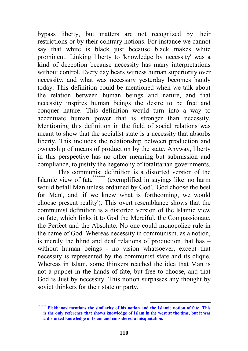bypass liberty, but matters are not recognized by their restrictions or by their contrary notions. For instance we cannot say that white is black just because black makes white prominent. Linking liberty to 'knowledge by necessity' was a kind of deception because necessity has many interpretations without control. Every day bears witness human superiority over necessity, and what was necessary yesterday becomes handy today. This definition could be mentioned when we talk about the relation between human beings and nature, and that necessity inspires human beings the desire to be free and conquer nature. This definition would turn into a way to accentuate human power that is stronger than necessity. Mentioning this definition in the field of social relations was meant to show that the socialist state is a necessity that absorbs liberty. This includes the relationship between production and ownership of means of production by the state. Anyway, liberty in this perspective has no other meaning but submission and compliance, to justify the hegemony of totalitarian governments.

 This communist definition is a distorted version of the Islamic view of fate<sup>\*\*\*\*\*\*</sup> (exemplified in sayings like 'no harm would befall Man unless ordained by God', 'God choose the best for Man', and 'if we knew what is forthcoming, we would choose present reality'). This overt resemblance shows that the communist definition is a distorted version of the Islamic view on fate, which links it to God the Merciful, the Compassionate, the Perfect and the Absolute. No one could monopolize rule in the name of God. Whereas necessity in communism, as a notion, is merely the blind and deaf relations of production that has – without human beings - no vision whatsoever, except that necessity is represented by the communist state and its clique. Whereas in Islam, some thinkers reached the idea that Man is not a puppet in the hands of fate, but free to choose, and that God is Just by necessity. This notion surpasses any thought by soviet thinkers for their state or party.

 $\overline{a}$ **\*\*\*\*\*\* Plekhanov mentions the similarity of his notion and the Islamic notion of fate. This is the only reference that shows knowledge of Islam in the west at the time, but it was a distorted knowledge of Islam and considered a misquotation.**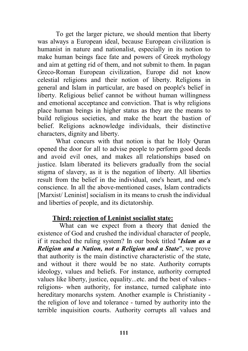To get the larger picture, we should mention that liberty was always a European ideal, because European civilization is humanist in nature and nationalist, especially in its notion to make human beings face fate and powers of Greek mythology and aim at getting rid of them, and not submit to them. In pagan Greco-Roman European civilization, Europe did not know celestial religions and their notion of liberty. Religions in general and Islam in particular, are based on people's belief in liberty. Religious belief cannot be without human willingness and emotional acceptance and conviction. That is why religions place human beings in higher status as they are the means to build religious societies, and make the heart the bastion of belief. Religions acknowledge individuals, their distinctive characters, dignity and liberty.

 What concurs with that notion is that he Holy Quran opened the door for all to advise people to perform good deeds and avoid evil ones, and makes all relationships based on justice. Islam liberated its believers gradually from the social stigma of slavery, as it is the negation of liberty. All liberties result from the belief in the individual, one's heart, and one's conscience. In all the above-mentioned cases, Islam contradicts [Marxist/ Leninist] socialism in its means to crush the individual and liberties of people, and its dictatorship.

# **Third: rejection of Leninist socialist state:**

 What can we expect from a theory that denied the existence of God and crushed the individual character of people, if it reached the ruling system? In our book titled ''*Islam as a Religion and a Nation, not a Religion and a State*", we prove that authority is the main distinctive characteristic of the state, and without it there would be no state. Authority corrupts ideology, values and beliefs. For instance, authority corrupted values like liberty, justice, equality...etc. and the best of values religions- when authority, for instance, turned caliphate into hereditary monarchs system. Another example is Christianity the religion of love and tolerance - turned by authority into the terrible inquisition courts. Authority corrupts all values and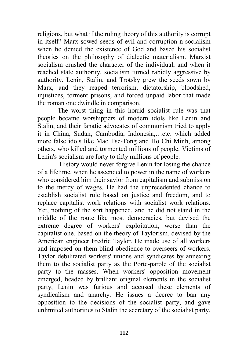religions, but what if the ruling theory of this authority is corrupt in itself? Marx sowed seeds of evil and corruption n socialism when he denied the existence of God and based his socialist theories on the philosophy of dialectic materialism. Marxist socialism crushed the character of the individual, and when it reached state authority, socialism turned rabidly aggressive by authority. Lenin, Stalin, and Trotsky grew the seeds sown by Marx, and they reaped terrorism, dictatorship, bloodshed, injustices, torment prisons, and forced unpaid labor that made the roman one dwindle in comparison.

 The worst thing in this horrid socialist rule was that people became worshippers of modern idols like Lenin and Stalin, and their fanatic advocates of communism tried to apply it in China, Sudan, Cambodia, Indonesia,…etc. which added more false idols like Mao Tse-Tong and Ho Chi Minh, among others, who killed and tormented millions of people. Victims of Lenin's socialism are forty to fifty millions of people.

 History would never forgive Lenin for losing the chance of a lifetime, when he ascended to power in the name of workers who considered him their savior from capitalism and submission to the mercy of wages. He had the unprecedented chance to establish socialist rule based on justice and freedom, and to replace capitalist work relations with socialist work relations. Yet, nothing of the sort happened, and he did not stand in the middle of the route like most democracies, but devised the extreme degree of workers' exploitation, worse than the capitalist one, based on the theory of Taylorism, devised by the American engineer Fredric Taylor. He made use of all workers and imposed on them blind obedience to overseers of workers. Taylor debilitated workers' unions and syndicates by annexing them to the socialist party as the Porte-parole of the socialist party to the masses. When workers' opposition movement emerged, headed by brilliant original elements in the socialist party, Lenin was furious and accused these elements of syndicalism and anarchy. He issues a decree to ban any opposition to the decisions of the socialist party, and gave unlimited authorities to Stalin the secretary of the socialist party,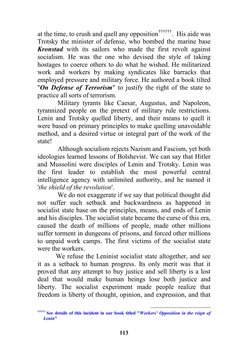at the time, to crush and quell any opposition<sup>††††††</sup>. His aide was Trotsky the minister of defense, who bombed the marine base *Kronstad* with its sailors who made the first revolt against socialism. He was the one who devised the style of taking hostages to coerce others to do what he wished. He militarized work and workers by making syndicates like barracks that employed pressure and military force. He authored a book tilted ''*On Defense of Terrorism*" to justify the right of the state to practice all sorts of terrorism.

 Military tyrants like Caesar, Augustus, and Napoleon, tyrannized people on the pretext of military rule restrictions. Lenin and Trotsky quelled liberty, and their means to quell it were based on primary principles to make quelling unavoidable method, and a desired virtue or integral part of the work of the state!

 Although socialism rejects Nazism and Fascism, yet both ideologies learned lessons of Bolshevist. We can say that Hitler and Mussolini were disciples of Lenin and Trotsky. Lenin was the first leader to establish the most powerful central intelligence agency with unlimited authority, and he named it '*the shield of the revolution*'.

 We do not exaggerate if we say that political thought did not suffer such setback and backwardness as happened in socialist state base on the principles, means, and ends of Lenin and his disciples. The socialist state became the curse of this era, caused the death of millions of people, made other millions suffer torment in dungeons of prisons, and forced other millions to unpaid work camps. The first victims of the socialist state were the workers.

 We refuse the Leninist socialist state altogether, and see it as a setback to human progress. Its only merit was that it proved that any attempt to buy justice and sell liberty is a lost deal that would make human beings lose both justice and liberty. The socialist experiment made people realize that freedom is liberty of thought, opinion, and expression, and that

 $\overline{a}$ **†††††† See details of this incident in our book titled ''***Workers' Opposition in the reign of Lenin***''**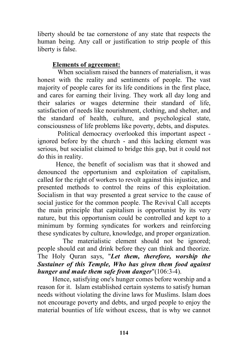liberty should be tae cornerstone of any state that respects the human being. Any call or justification to strip people of this liberty is false.

# **Elements of agreement:**

When socialism raised the banners of materialism, it was honest with the reality and sentiments of people. The vast majority of people cares for its life conditions in the first place, and cares for earning their living. They work all day long and their salaries or wages determine their standard of life, satisfaction of needs like nourishment, clothing, and shelter, and the standard of health, culture, and psychological state, consciousness of life problems like poverty, debts, and disputes.

 Political democracy overlooked this important aspect ignored before by the church - and this lacking element was serious, but socialist claimed to bridge this gap, but it could not do this in reality.

 Hence, the benefit of socialism was that it showed and denounced the opportunism and exploitation of capitalism, called for the right of workers to revolt against this injustice, and presented methods to control the reins of this exploitation. Socialism in that way presented a great service to the cause of social justice for the common people. The Revival Call accepts the main principle that capitalism is opportunist by its very nature, but this opportunism could be controlled and kept to a minimum by forming syndicates for workers and reinforcing these syndicates by culture, knowledge, and proper organization.

 The materialistic element should not be ignored; people should eat and drink before they can think and theorize. The Holy Quran says, "*Let them, therefore, worship the Sustainer of this Temple, Who has given them food against hunger and made them safe from danger*"(106:3-4).

Hence, satisfying one's hunger comes before worship and a reason for it. Islam established certain systems to satisfy human needs without violating the divine laws for Muslims. Islam does not encourage poverty and debts, and urged people to enjoy the material bounties of life without excess, that is why we cannot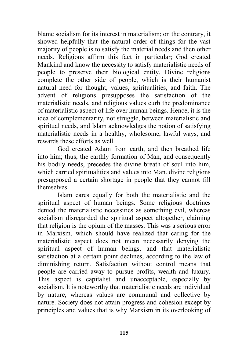blame socialism for its interest in materialism; on the contrary, it showed helpfully that the natural order of things for the vast majority of people is to satisfy the material needs and then other needs. Religions affirm this fact in particular; God created Mankind and know the necessity to satisfy materialistic needs of people to preserve their biological entity. Divine religions complete the other side of people, which is their humanist natural need for thought, values, spiritualities, and faith. The advent of religions presupposes the satisfaction of the materialistic needs, and religious values curb the predominance of materialistic aspect of life over human beings. Hence, it is the idea of complementarity, not struggle, between materialistic and spiritual needs, and Islam acknowledges the notion of satisfying materialistic needs in a healthy, wholesome, lawful ways, and rewards these efforts as well.

 God created Adam from earth, and then breathed life into him; thus, the earthly formation of Man, and consequently his bodily needs, precedes the divine breath of soul into him, which carried spiritualities and values into Man. divine religions presupposed a certain shortage in people that they cannot fill themselves.

 Islam cares equally for both the materialistic and the spiritual aspect of human beings. Some religious doctrines denied the materialistic necessities as something evil, whereas socialism disregarded the spiritual aspect altogether, claiming that religion is the opium of the masses. This was a serious error in Marxism, which should have realized that caring for the materialistic aspect does not mean necessarily denying the spiritual aspect of human beings, and that materialistic satisfaction at a certain point declines, according to the law of diminishing return. Satisfaction without control means that people are carried away to pursue profits, wealth and luxury. This aspect is capitalist and unacceptable, especially by socialism. It is noteworthy that materialistic needs are individual by nature, whereas values are communal and collective by nature. Society does not attain progress and cohesion except by principles and values that is why Marxism in its overlooking of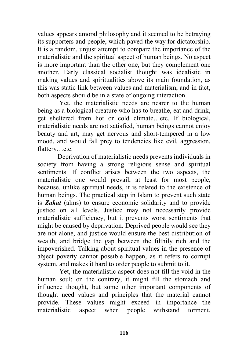values appears amoral philosophy and it seemed to be betraying its supporters and people, which paved the way for dictatorship. It is a random, unjust attempt to compare the importance of the materialistic and the spiritual aspect of human beings. No aspect is more important than the other one, but they complement one another. Early classical socialist thought was idealistic in making values and spiritualities above its main foundation, as this was static link between values and materialism, and in fact, both aspects should be in a state of ongoing interaction.

 Yet, the materialistic needs are nearer to the human being as a biological creature who has to breathe, eat and drink, get sheltered from hot or cold climate…etc. If biological, materialistic needs are not satisfied, human beings cannot enjoy beauty and art, may get nervous and short-tempered in a low mood, and would fall prey to tendencies like evil, aggression, flattery…etc.

 Deprivation of materialistic needs prevents individuals in society from having a strong religious sense and spiritual sentiments. If conflict arises between the two aspects, the materialistic one would prevail, at least for most people, because, unlike spiritual needs, it is related to the existence of human beings. The practical step in Islam to prevent such state is *Zakat* (alms) to ensure economic solidarity and to provide justice on all levels. Justice may not necessarily provide materialistic sufficiency, but it prevents worst sentiments that might be caused by deprivation. Deprived people would see they are not alone, and justice would ensure the best distribution of wealth, and bridge the gap between the filthily rich and the impoverished. Talking about spiritual values in the presence of abject poverty cannot possible happen, as it refers to corrupt system, and makes it hard to order people to submit to it.

 Yet, the materialistic aspect does not fill the void in the human soul; on the contrary, it might fill the stomach and influence thought, but some other important components of thought need values and principles that the material cannot provide. These values might exceed in importance the materialistic aspect when people withstand torment,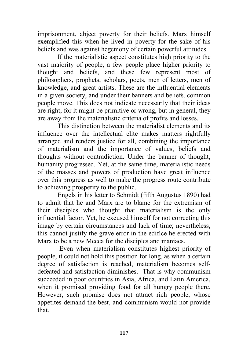imprisonment, abject poverty for their beliefs. Marx himself exemplified this when he lived in poverty for the sake of his beliefs and was against hegemony of certain powerful attitudes.

 If the materialistic aspect constitutes high priority to the vast majority of people, a few people place higher priority to thought and beliefs, and these few represent most of philosophers, prophets, scholars, poets, men of letters, men of knowledge, and great artists. These are the influential elements in a given society, and under their banners and beliefs, common people move. This does not indicate necessarily that their ideas are right, for it might be primitive or wrong, but in general, they are away from the materialistic criteria of profits and losses.

 This distinction between the materialist elements and its influence over the intellectual elite makes matters rightfully arranged and renders justice for all, combining the importance of materialism and the importance of values, beliefs and thoughts without contradiction. Under the banner of thought, humanity progressed. Yet, at the same time, materialistic needs of the masses and powers of production have great influence over this progress as well to make the progress route contribute to achieving prosperity to the public.

 Engels in his letter to Schmidt (fifth Augustus 1890) had to admit that he and Marx are to blame for the extremism of their disciples who thought that materialism is the only influential factor. Yet, he excused himself for not correcting this image by certain circumstances and lack of time; nevertheless, this cannot justify the grave error in the edifice he erected with Marx to be a new Mecca for the disciples and maniacs.

 Even when materialism constitutes highest priority of people, it could not hold this position for long, as when a certain degree of satisfaction is reached, materialism becomes selfdefeated and satisfaction diminishes. That is why communism succeeded in poor countries in Asia, Africa, and Latin America, when it promised providing food for all hungry people there. However, such promise does not attract rich people, whose appetites demand the best, and communism would not provide that.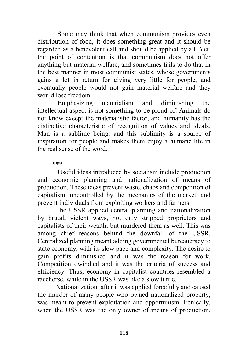Some may think that when communism provides even distribution of food, it does something great and it should be regarded as a benevolent call and should be applied by all. Yet, the point of contention is that communism does not offer anything but material welfare, and sometimes fails to do that in the best manner in most communist states, whose governments gains a lot in return for giving very little for people, and eventually people would not gain material welfare and they would lose freedom.

 Emphasizing materialism and diminishing the intellectual aspect is not something to be proud of! Animals do not know except the materialistic factor, and humanity has the distinctive characteristic of recognition of values and ideals. Man is a sublime being, and this sublimity is a source of inspiration for people and makes them enjoy a humane life in the real sense of the word.

#### \*\*\*

 Useful ideas introduced by socialism include production and economic planning and nationalization of means of production. These ideas prevent waste, chaos and competition of capitalism, uncontrolled by the mechanics of the market, and prevent individuals from exploiting workers and farmers.

 The USSR applied central planning and nationalization by brutal, violent ways, not only stripped proprietors and capitalists of their wealth, but murdered them as well. This was among chief reasons behind the downfall of the USSR. Centralized planning meant adding governmental bureaucracy to state economy, with its slow pace and complexity. The desire to gain profits diminished and it was the reason for work. Competition dwindled and it was the criteria of success and efficiency. Thus, economy in capitalist countries resembled a racehorse, while in the USSR was like a slow turtle.

 Nationalization, after it was applied forcefully and caused the murder of many people who owned nationalized property, was meant to prevent exploitation and opportunism. Ironically, when the USSR was the only owner of means of production,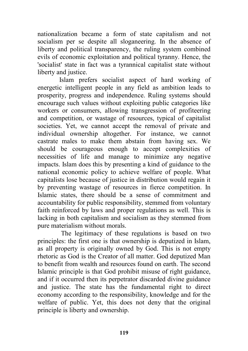nationalization became a form of state capitalism and not socialism per se despite all sloganeering. In the absence of liberty and political transparency, the ruling system combined evils of economic exploitation and political tyranny. Hence, the 'socialist' state in fact was a tyrannical capitalist state without liberty and justice.

 Islam prefers socialist aspect of hard working of energetic intelligent people in any field as ambition leads to prosperity, progress and independence. Ruling systems should encourage such values without exploiting public categories like workers or consumers, allowing transgression of profiteering and competition, or wastage of resources, typical of capitalist societies. Yet, we cannot accept the removal of private and individual ownership altogether. For instance, we cannot castrate males to make them abstain from having sex. We should be courageous enough to accept complexities of necessities of life and manage to minimize any negative impacts. Islam does this by presenting a kind of guidance to the national economic policy to achieve welfare of people. What capitalists lose because of justice in distribution would regain it by preventing wastage of resources in fierce competition. In Islamic states, there should be a sense of commitment and accountability for public responsibility, stemmed from voluntary faith reinforced by laws and proper regulations as well. This is lacking in both capitalism and socialism as they stemmed from pure materialism without morals.

 The legitimacy of these regulations is based on two principles: the first one is that ownership is deputized in Islam, as all property is originally owned by God. This is not empty rhetoric as God is the Creator of all matter. God deputized Man to benefit from wealth and resources found on earth. The second Islamic principle is that God prohibit misuse of right guidance, and if it occurred then its perpetrator discarded divine guidance and justice. The state has the fundamental right to direct economy according to the responsibility, knowledge and for the welfare of public. Yet, this does not deny that the original principle is liberty and ownership.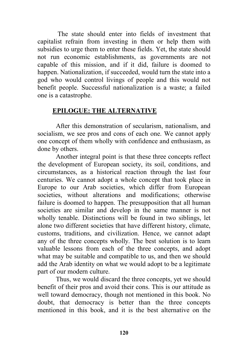The state should enter into fields of investment that capitalist refrain from investing in them or help them with subsidies to urge them to enter these fields. Yet, the state should not run economic establishments, as governments are not capable of this mission, and if it did, failure is doomed to happen. Nationalization, if succeeded, would turn the state into a god who would control livings of people and this would not benefit people. Successful nationalization is a waste; a failed one is a catastrophe.

### **EPILOGUE: THE ALTERNATIVE**

 After this demonstration of secularism, nationalism, and socialism, we see pros and cons of each one. We cannot apply one concept of them wholly with confidence and enthusiasm, as done by others.

 Another integral point is that these three concepts reflect the development of European society, its soil, conditions, and circumstances, as a historical reaction through the last four centuries. We cannot adopt a whole concept that took place in Europe to our Arab societies, which differ from European societies, without alterations and modifications; otherwise failure is doomed to happen. The presupposition that all human societies are similar and develop in the same manner is not wholly tenable. Distinctions will be found in two siblings, let alone two different societies that have different history, climate, customs, traditions, and civilization. Hence, we cannot adapt any of the three concepts wholly. The best solution is to learn valuable lessons from each of the three concepts, and adopt what may be suitable and compatible to us, and then we should add the Arab identity on what we would adopt to be a legitimate part of our modern culture.

 Thus, we would discard the three concepts, yet we should benefit of their pros and avoid their cons. This is our attitude as well toward democracy, though not mentioned in this book. No doubt, that democracy is better than the three concepts mentioned in this book, and it is the best alternative on the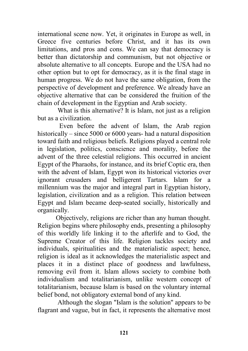international scene now. Yet, it originates in Europe as well, in Greece five centuries before Christ, and it has its own limitations, and pros and cons. We can say that democracy is better than dictatorship and communism, but not objective or absolute alternative to all concepts. Europe and the USA had no other option but to opt for democracy, as it is the final stage in human progress. We do not have the same obligation, from the perspective of development and preference. We already have an objective alternative that can be considered the fruition of the chain of development in the Egyptian and Arab society.

 What is this alternative? It is Islam, not just as a religion but as a civilization.

 Even before the advent of Islam, the Arab region historically – since 5000 or 6000 years- had a natural disposition toward faith and religious beliefs. Religions played a central role in legislation, politics, conscience and morality, before the advent of the three celestial religions. This occurred in ancient Egypt of the Pharaohs, for instance, and its brief Coptic era, then with the advent of Islam, Egypt won its historical victories over ignorant crusaders and belligerent Tartars. Islam for a millennium was the major and integral part in Egyptian history, legislation, civilization and as a religion. This relation between Egypt and Islam became deep-seated socially, historically and organically.

 Objectively, religions are richer than any human thought. Religion begins where philosophy ends, presenting a philosophy of this worldly life linking it to the afterlife and to God, the Supreme Creator of this life. Religion tackles society and individuals, spiritualities and the materialistic aspect; hence, religion is ideal as it acknowledges the materialistic aspect and places it in a distinct place of goodness and lawfulness, removing evil from it. Islam allows society to combine both individualism and totalitarianism, unlike western concept of totalitarianism, because Islam is based on the voluntary internal belief bond, not obligatory external bond of any kind.

 Although the slogan "Islam is the solution'' appears to be flagrant and vague, but in fact, it represents the alternative most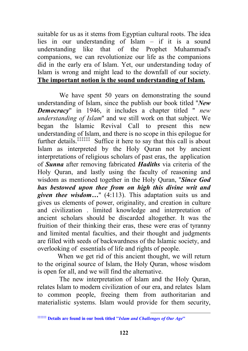suitable for us as it stems from Egyptian cultural roots. The idea lies in our understanding of Islam – if it is a sound understanding like that of the Prophet Muhammad's companions, we can revolutionize our life as the companions did in the early era of Islam. Yet, our understanding today of Islam is wrong and might lead to the downfall of our society. **The important notion is the sound understanding of Islam.**

 We have spent 50 years on demonstrating the sound understanding of Islam, since the publish our book titled ''*New Democracy*'' in 1946, it includes a chapter titled '' *new understanding of Islam*'' and we still work on that subject. We began the Islamic Revival Call to present this new understanding of Islam, and there is no scope in this epilogue for further details.<sup>‡‡‡‡‡‡</sup> Suffice it here to say that this call is about Islam as interpreted by the Holy Quran not by ancient interpretations of religious scholars of past eras, the application of *Sunna* after removing fabricated *Hadiths* via criteria of the Holy Quran, and lastly using the faculty of reasoning and wisdom as mentioned together in the Holy Quran, ''*Since God has bestowed upon thee from on high this divine writ and given thee wisdom…*'' (4:113). This adaptation suits us and gives us elements of power, originality, and creation in culture and civilization . limited knowledge and interpretation of ancient scholars should be discarded altogether. It was the fruition of their thinking their eras, these were eras of tyranny and limited mental faculties, and their thought and judgments are filled with seeds of backwardness of the Islamic society, and overlooking of essentials of life and rights of people.

 When we get rid of this ancient thought, we will return to the original source of Islam, the Holy Quran, whose wisdom is open for all, and we will find the alternative.

 The new interpretation of Islam and the Holy Quran, relates Islam to modern civilization of our era, and relates Islam to common people, freeing them from authoritarian and materialistic systems. Islam would provide for them security,

 $\overline{a}$ **‡‡‡‡‡‡ Details are found in our book titled ''***Islam and Challenges of Our Age***''**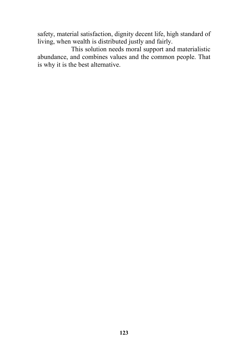safety, material satisfaction, dignity decent life, high standard of living, when wealth is distributed justly and fairly.

 This solution needs moral support and materialistic abundance, and combines values and the common people. That is why it is the best alternative.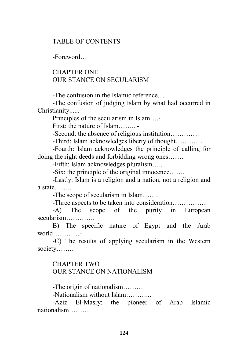TABLE OF CONTENTS

-Foreword…

# CHAPTER ONE OUR STANCE ON SECULARISM

-The confusion in the Islamic reference....

-The confusion of judging Islam by what had occurred in Christianity......

Principles of the secularism in Islam….-

First: the nature of Islam……...-

-Second: the absence of religious institution………….

-Third: Islam acknowledges liberty of thought…………

-Fourth: Islam acknowledges the principle of calling for doing the right deeds and forbidding wrong ones……..

-Fifth: Islam acknowledges pluralism…..

-Six: the principle of the original innocence…….

-Lastly: Islam is a religion and a nation, not a religion and a state……...

-The scope of secularism in Islam…….

-Three aspects to be taken into consideration……………

-A) The scope of the purity in European secularism………….

B) The specific nature of Egypt and the Arab world…………-

-C) The results of applying secularism in the Western society……..

### CHAPTER TWO OUR STANCE ON NATIONALISM

-The origin of nationalism………

-Nationalism without Islam………...

-Aziz El-Masry: the pioneer of Arab Islamic nationalism………